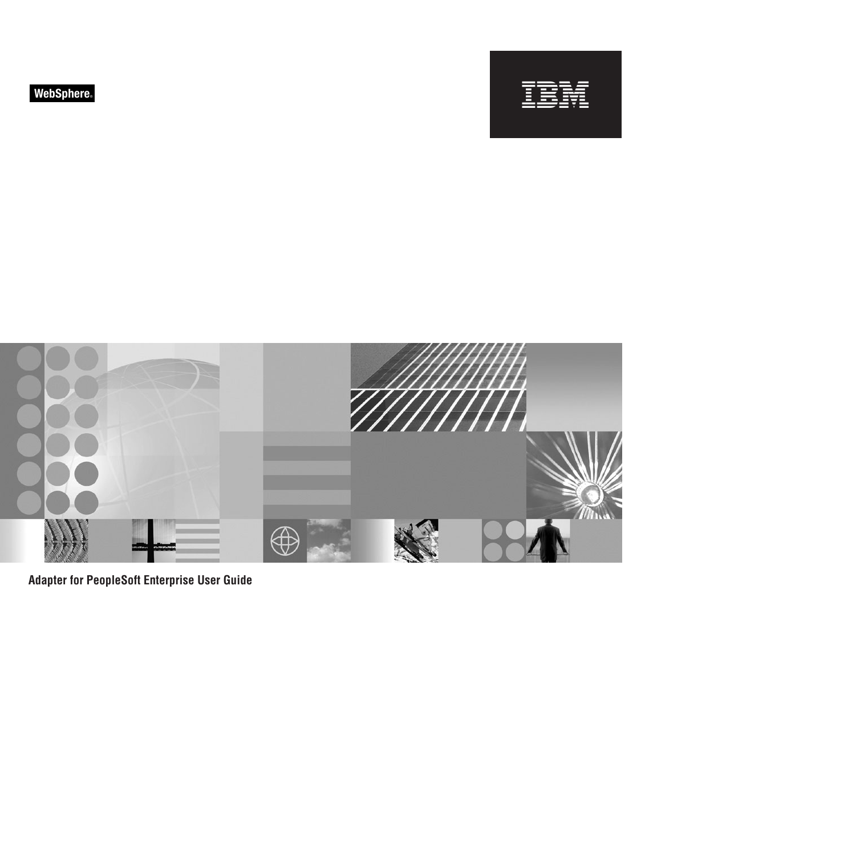



**Adapter for PeopleSoft Enterprise User Guide**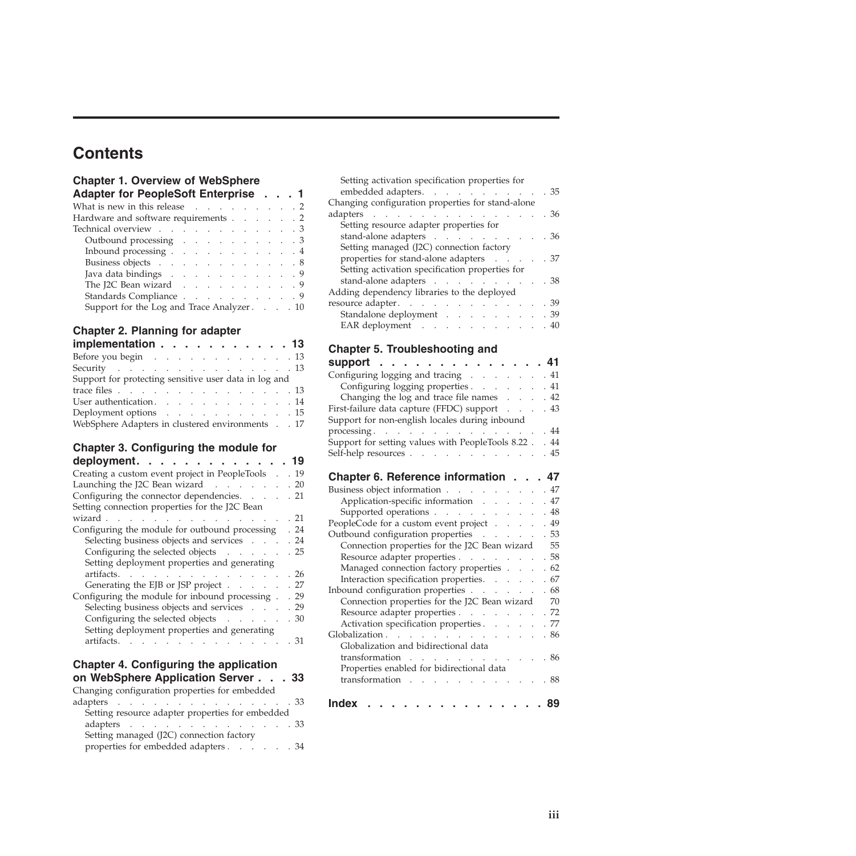# **Contents**

# **[Chapter 1. Overview of WebSphere](#page-4-0)**

| Adapter for PeopleSoft Enterprise 1                              |  |  |  |  |  |
|------------------------------------------------------------------|--|--|--|--|--|
| What is new in this release $\ldots$ 2                           |  |  |  |  |  |
| Hardware and software requirements 2                             |  |  |  |  |  |
| Technical overview 3                                             |  |  |  |  |  |
| Outbound processing 3                                            |  |  |  |  |  |
| Inbound processing 4                                             |  |  |  |  |  |
| Business objects 8                                               |  |  |  |  |  |
| Java data bindings 9                                             |  |  |  |  |  |
| The J2C Bean wizard $\ldots$ $\ldots$ $\ldots$ $\ldots$ $\ldots$ |  |  |  |  |  |
| Standards Compliance 9                                           |  |  |  |  |  |
| Support for the Log and Trace Analyzer 10                        |  |  |  |  |  |

# **[Chapter 2. Planning for adapter](#page-16-0)**

| implementation 13                                     |  |
|-------------------------------------------------------|--|
| Before you begin 13                                   |  |
| Security 13                                           |  |
| Support for protecting sensitive user data in log and |  |
| trace files 13                                        |  |
| User authentication. 14                               |  |
| Deployment options 15                                 |  |
| WebSphere Adapters in clustered environments 17       |  |
|                                                       |  |

# **[Chapter 3. Configuring the module for](#page-22-0)**

| 19<br>deployment. $\ldots$                                                |
|---------------------------------------------------------------------------|
| Creating a custom event project in PeopleTools<br>. 19                    |
| Launching the J2C Bean wizard<br>.20                                      |
| Configuring the connector dependencies.<br>.21                            |
| Setting connection properties for the J2C Bean                            |
| . 21<br>wizard.<br><b>Contractor</b>                                      |
| Configuring the module for outbound processing<br>. 24                    |
| Selecting business objects and services<br>. 24                           |
| Configuring the selected objects<br>.25                                   |
| Setting deployment properties and generating                              |
| artifacts.<br>. 26                                                        |
| Generating the EJB or JSP project<br>. 27                                 |
| Configuring the module for inbound processing.<br>. 29                    |
| Selecting business objects and services .<br>. 29<br>$\sim$ $\sim$ $\sim$ |
| Configuring the selected objects<br>. 30                                  |
| Setting deployment properties and generating                              |
| artifacts.<br>. 31                                                        |
|                                                                           |

### **[Chapter 4. Configuring the application](#page-36-0)**

| on WebSphere Application Server 33                                         |  |  |  |  |
|----------------------------------------------------------------------------|--|--|--|--|
| Changing configuration properties for embedded                             |  |  |  |  |
| adapters $\ldots$ $\ldots$ $\ldots$ $\ldots$ $\ldots$ $\ldots$ $\ldots$ 33 |  |  |  |  |
| Setting resource adapter properties for embedded                           |  |  |  |  |
| adapters $\ldots$ $\ldots$ $\ldots$ $\ldots$ $\ldots$ $\ldots$ $\ldots$ 33 |  |  |  |  |
| Setting managed (J2C) connection factory                                   |  |  |  |  |
| properties for embedded adapters 34                                        |  |  |  |  |

| . 35                                   |
|----------------------------------------|
|                                        |
| . 36                                   |
|                                        |
| . 36                                   |
|                                        |
| properties for stand-alone adapters 37 |
|                                        |
| . 38                                   |
|                                        |
| . 39                                   |
| Standalone deployment 39               |
| . 40                                   |
|                                        |

# **[Chapter 5. Troubleshooting and](#page-44-0)**

| support                                                           | 41   |
|-------------------------------------------------------------------|------|
| Configuring logging and tracing                                   | .41  |
| Configuring logging properties                                    | .41  |
| Changing the log and trace file names                             | .42  |
| First-failure data capture (FFDC) support<br>$\ddot{\phantom{a}}$ | . 43 |
| Support for non-english locales during inbound                    |      |
| processing.                                                       | .44  |
| Support for setting values with PeopleTools 8.22.                 | . 44 |
| Self-help resources                                               | .45  |
| Chapter 6. Reference information                                  | 47   |
| Business object information                                       | .47  |
| Application-specific information                                  | .47  |
| Supported operations                                              | .48  |
| PeopleCode for a custom event project                             | . 49 |
| Outbound configuration properties                                 | . 53 |
| Connection properties for the J2C Bean wizard                     | 55   |
| Resource adapter properties                                       | . 58 |
| Managed connection factory properties                             | .62  |
| Interaction specification properties.                             | . 67 |
| Inbound configuration properties                                  | . 68 |
| Connection properties for the J2C Bean wizard                     | 70   |
| Resource adapter properties                                       | .72  |
| Activation specification properties                               | . 77 |
| Globalization                                                     | .86  |
| Globalization and bidirectional data                              |      |
| transformation                                                    | .86  |
| Properties enabled for bidirectional data                         |      |
| transformation<br>and the contract of the con-<br>$\sim$          | . 88 |
| <b>Index</b>                                                      |      |
| the contract of the con-                                          | 89   |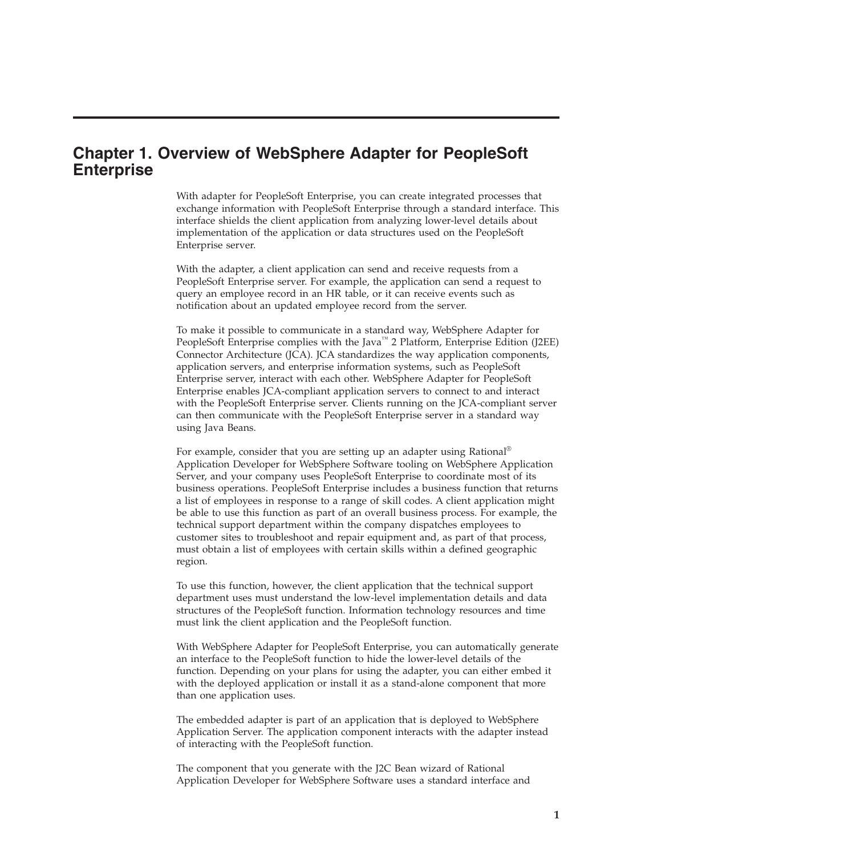# <span id="page-4-0"></span>**Chapter 1. Overview of WebSphere Adapter for PeopleSoft Enterprise**

With adapter for PeopleSoft Enterprise, you can create integrated processes that exchange information with PeopleSoft Enterprise through a standard interface. This interface shields the client application from analyzing lower-level details about implementation of the application or data structures used on the PeopleSoft Enterprise server.

With the adapter, a client application can send and receive requests from a PeopleSoft Enterprise server. For example, the application can send a request to query an employee record in an HR table, or it can receive events such as notification about an updated employee record from the server.

To make it possible to communicate in a standard way, WebSphere Adapter for PeopleSoft Enterprise complies with the Java<sup>™</sup> 2 Platform, Enterprise Edition (J2EE) Connector Architecture (JCA). JCA standardizes the way application components, application servers, and enterprise information systems, such as PeopleSoft Enterprise server, interact with each other. WebSphere Adapter for PeopleSoft Enterprise enables JCA-compliant application servers to connect to and interact with the PeopleSoft Enterprise server. Clients running on the JCA-compliant server can then communicate with the PeopleSoft Enterprise server in a standard way using Java Beans.

For example, consider that you are setting up an adapter using Rational<sup>®</sup> Application Developer for WebSphere Software tooling on WebSphere Application Server, and your company uses PeopleSoft Enterprise to coordinate most of its business operations. PeopleSoft Enterprise includes a business function that returns a list of employees in response to a range of skill codes. A client application might be able to use this function as part of an overall business process. For example, the technical support department within the company dispatches employees to customer sites to troubleshoot and repair equipment and, as part of that process, must obtain a list of employees with certain skills within a defined geographic region.

To use this function, however, the client application that the technical support department uses must understand the low-level implementation details and data structures of the PeopleSoft function. Information technology resources and time must link the client application and the PeopleSoft function.

With WebSphere Adapter for PeopleSoft Enterprise, you can automatically generate an interface to the PeopleSoft function to hide the lower-level details of the function. Depending on your plans for using the adapter, you can either embed it with the deployed application or install it as a stand-alone component that more than one application uses.

The embedded adapter is part of an application that is deployed to WebSphere Application Server. The application component interacts with the adapter instead of interacting with the PeopleSoft function.

The component that you generate with the J2C Bean wizard of Rational Application Developer for WebSphere Software uses a standard interface and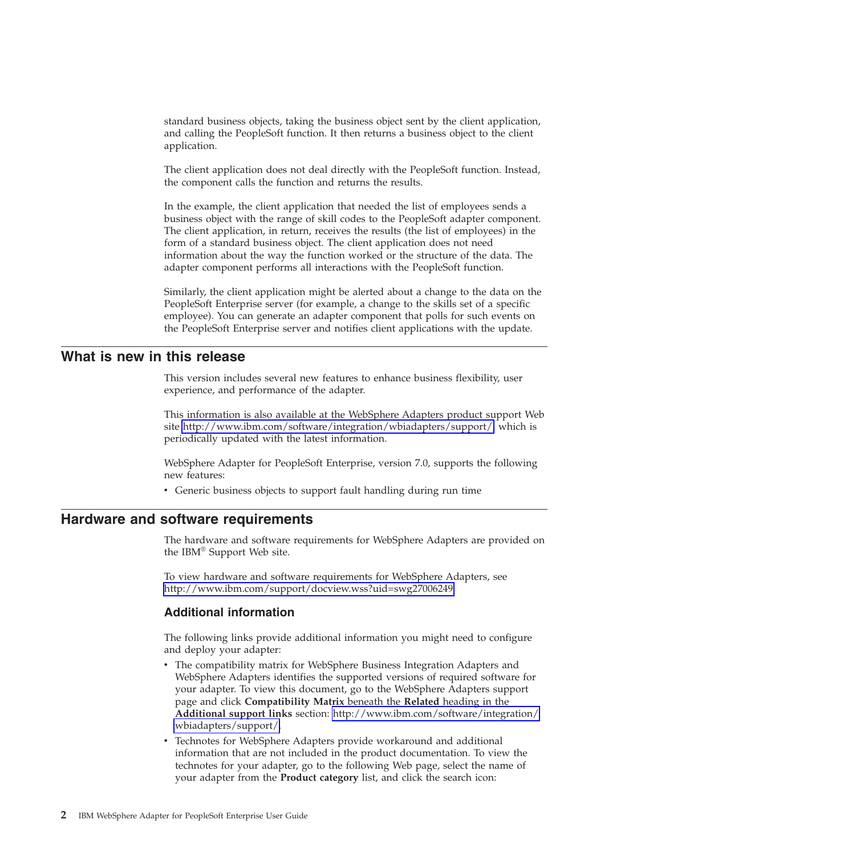<span id="page-5-0"></span>standard business objects, taking the business object sent by the client application, and calling the PeopleSoft function. It then returns a business object to the client application.

The client application does not deal directly with the PeopleSoft function. Instead, the component calls the function and returns the results.

In the example, the client application that needed the list of employees sends a business object with the range of skill codes to the PeopleSoft adapter component. The client application, in return, receives the results (the list of employees) in the form of a standard business object. The client application does not need information about the way the function worked or the structure of the data. The adapter component performs all interactions with the PeopleSoft function.

Similarly, the client application might be alerted about a change to the data on the PeopleSoft Enterprise server (for example, a change to the skills set of a specific employee). You can generate an adapter component that polls for such events on the PeopleSoft Enterprise server and notifies client applications with the update.

# **What is new in this release**

This version includes several new features to enhance business flexibility, user experience, and performance of the adapter.

This information is also available at the WebSphere Adapters product support Web site [http://www.ibm.com/software/integration/wbiadapters/support/,](http://www.ibm.com/software/integration/wbiadapters/support/) which is periodically updated with the latest information.

WebSphere Adapter for PeopleSoft Enterprise, version 7.0, supports the following new features:

• Generic business objects to support fault handling during run time

# **Hardware and software requirements**

The hardware and software requirements for WebSphere Adapters are provided on the IBM® Support Web site.

To view hardware and software requirements for WebSphere Adapters, see <http://www.ibm.com/support/docview.wss?uid=swg27006249>

#### **Additional information**

The following links provide additional information you might need to configure and deploy your adapter:

- The compatibility matrix for WebSphere Business Integration Adapters and WebSphere Adapters identifies the supported versions of required software for your adapter. To view this document, go to the WebSphere Adapters support page and click **Compatibility Matrix** beneath the **Related** heading in the **Additional support links** section: [http://www.ibm.com/software/integration/](http://www.ibm.com/software/integration/wbiadapters/support/) [wbiadapters/support/.](http://www.ibm.com/software/integration/wbiadapters/support/)
- Technotes for WebSphere Adapters provide workaround and additional information that are not included in the product documentation. To view the technotes for your adapter, go to the following Web page, select the name of your adapter from the **Product category** list, and click the search icon: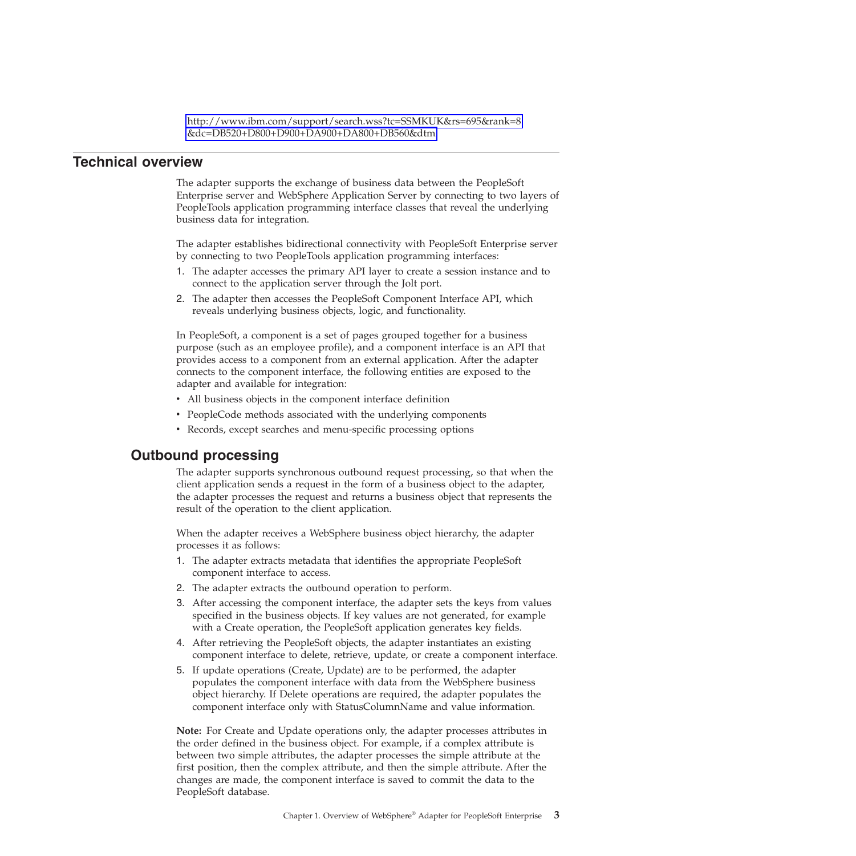[http://www.ibm.com/support/search.wss?tc=SSMKUK&rs=695&rank=8](http://www.ibm.com/support/search.wss?tc=SSMKUK&rs=695&rank=8&dc=DB520+D800+D900+DA900+DA800+DB560&dtm) [&dc=DB520+D800+D900+DA900+DA800+DB560&dtm.](http://www.ibm.com/support/search.wss?tc=SSMKUK&rs=695&rank=8&dc=DB520+D800+D900+DA900+DA800+DB560&dtm)

### <span id="page-6-0"></span>**Technical overview**

The adapter supports the exchange of business data between the PeopleSoft Enterprise server and WebSphere Application Server by connecting to two layers of PeopleTools application programming interface classes that reveal the underlying business data for integration.

The adapter establishes bidirectional connectivity with PeopleSoft Enterprise server by connecting to two PeopleTools application programming interfaces:

- 1. The adapter accesses the primary API layer to create a session instance and to connect to the application server through the Jolt port.
- 2. The adapter then accesses the PeopleSoft Component Interface API, which reveals underlying business objects, logic, and functionality.

In PeopleSoft, a component is a set of pages grouped together for a business purpose (such as an employee profile), and a component interface is an API that provides access to a component from an external application. After the adapter connects to the component interface, the following entities are exposed to the adapter and available for integration:

- v All business objects in the component interface definition
- PeopleCode methods associated with the underlying components
- Records, except searches and menu-specific processing options

### **Outbound processing**

The adapter supports synchronous outbound request processing, so that when the client application sends a request in the form of a business object to the adapter, the adapter processes the request and returns a business object that represents the result of the operation to the client application.

When the adapter receives a WebSphere business object hierarchy, the adapter processes it as follows:

- 1. The adapter extracts metadata that identifies the appropriate PeopleSoft component interface to access.
- 2. The adapter extracts the outbound operation to perform.
- 3. After accessing the component interface, the adapter sets the keys from values specified in the business objects. If key values are not generated, for example with a Create operation, the PeopleSoft application generates key fields.
- 4. After retrieving the PeopleSoft objects, the adapter instantiates an existing component interface to delete, retrieve, update, or create a component interface.
- 5. If update operations (Create, Update) are to be performed, the adapter populates the component interface with data from the WebSphere business object hierarchy. If Delete operations are required, the adapter populates the component interface only with StatusColumnName and value information.

**Note:** For Create and Update operations only, the adapter processes attributes in the order defined in the business object. For example, if a complex attribute is between two simple attributes, the adapter processes the simple attribute at the first position, then the complex attribute, and then the simple attribute. After the changes are made, the component interface is saved to commit the data to the PeopleSoft database.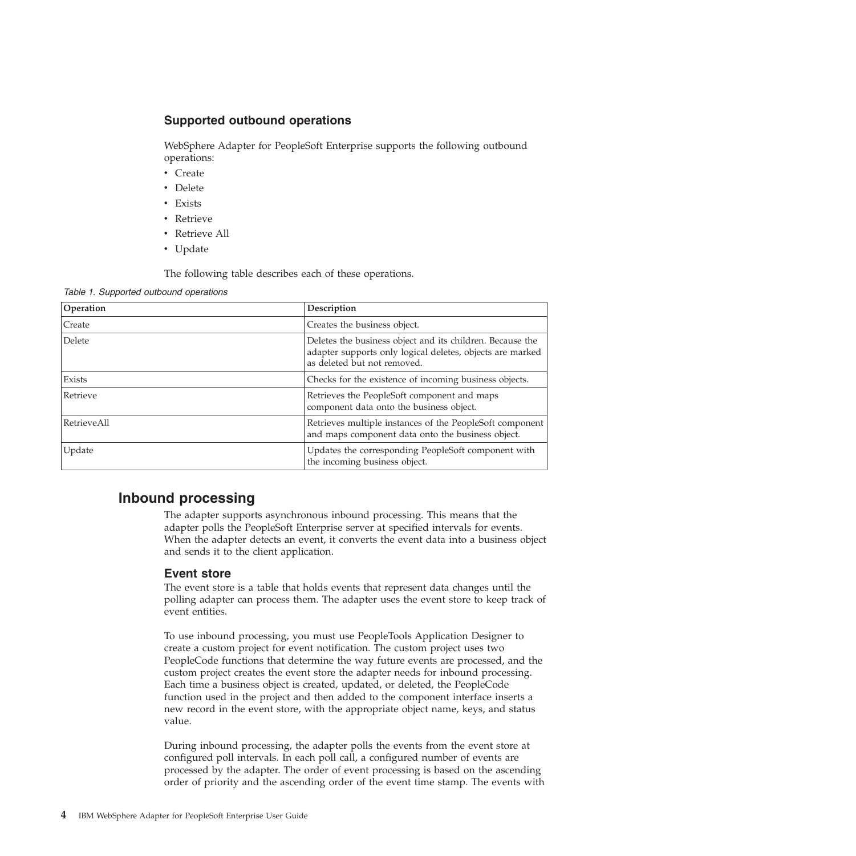# <span id="page-7-0"></span>**Supported outbound operations**

WebSphere Adapter for PeopleSoft Enterprise supports the following outbound operations:

- Create
- Delete
- Exists
- Retrieve
- Retrieve All
- Update

The following table describes each of these operations.

*Table 1. Supported outbound operations*

| Operation   | Description                                                                                                                                           |
|-------------|-------------------------------------------------------------------------------------------------------------------------------------------------------|
| Create      | Creates the business object.                                                                                                                          |
| Delete      | Deletes the business object and its children. Because the<br>adapter supports only logical deletes, objects are marked<br>as deleted but not removed. |
| Exists      | Checks for the existence of incoming business objects.                                                                                                |
| Retrieve    | Retrieves the PeopleSoft component and maps<br>component data onto the business object.                                                               |
| RetrieveAll | Retrieves multiple instances of the PeopleSoft component<br>and maps component data onto the business object.                                         |
| Update      | Updates the corresponding PeopleSoft component with<br>the incoming business object.                                                                  |

# **Inbound processing**

The adapter supports asynchronous inbound processing. This means that the adapter polls the PeopleSoft Enterprise server at specified intervals for events. When the adapter detects an event, it converts the event data into a business object and sends it to the client application.

#### **Event store**

The event store is a table that holds events that represent data changes until the polling adapter can process them. The adapter uses the event store to keep track of event entities.

To use inbound processing, you must use PeopleTools Application Designer to create a custom project for event notification. The custom project uses two PeopleCode functions that determine the way future events are processed, and the custom project creates the event store the adapter needs for inbound processing. Each time a business object is created, updated, or deleted, the PeopleCode function used in the project and then added to the component interface inserts a new record in the event store, with the appropriate object name, keys, and status value.

During inbound processing, the adapter polls the events from the event store at configured poll intervals. In each poll call, a configured number of events are processed by the adapter. The order of event processing is based on the ascending order of priority and the ascending order of the event time stamp. The events with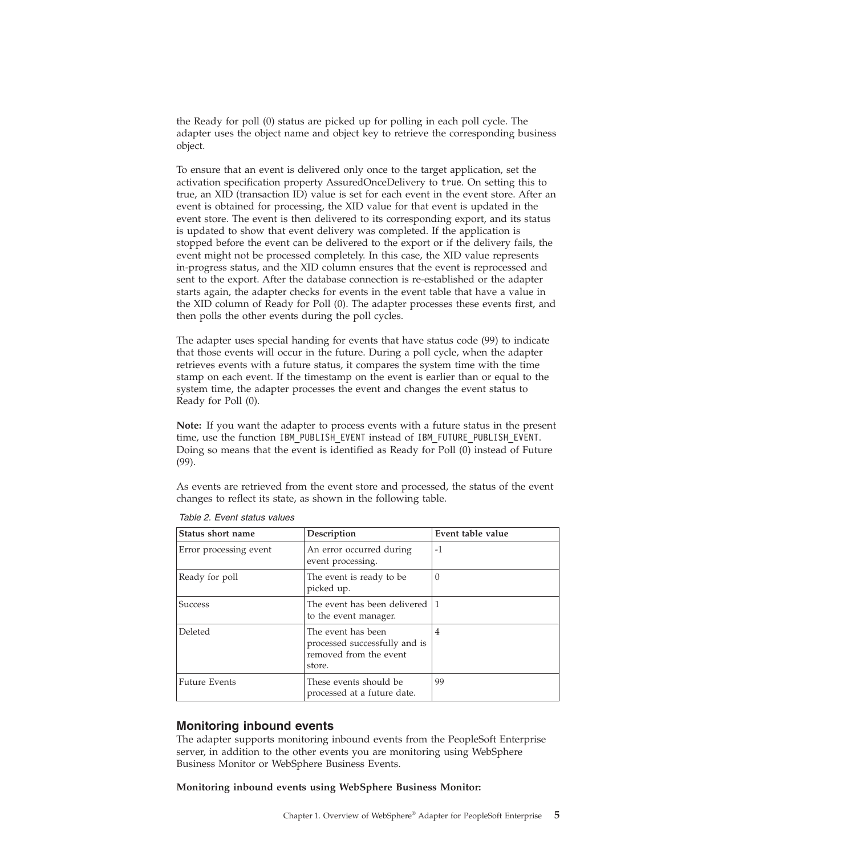the Ready for poll (0) status are picked up for polling in each poll cycle. The adapter uses the object name and object key to retrieve the corresponding business object.

To ensure that an event is delivered only once to the target application, set the activation specification property AssuredOnceDelivery to true. On setting this to true, an XID (transaction ID) value is set for each event in the event store. After an event is obtained for processing, the XID value for that event is updated in the event store. The event is then delivered to its corresponding export, and its status is updated to show that event delivery was completed. If the application is stopped before the event can be delivered to the export or if the delivery fails, the event might not be processed completely. In this case, the XID value represents in-progress status, and the XID column ensures that the event is reprocessed and sent to the export. After the database connection is re-established or the adapter starts again, the adapter checks for events in the event table that have a value in the XID column of Ready for Poll (0). The adapter processes these events first, and then polls the other events during the poll cycles.

The adapter uses special handing for events that have status code (99) to indicate that those events will occur in the future. During a poll cycle, when the adapter retrieves events with a future status, it compares the system time with the time stamp on each event. If the timestamp on the event is earlier than or equal to the system time, the adapter processes the event and changes the event status to Ready for Poll (0).

**Note:** If you want the adapter to process events with a future status in the present time, use the function IBM\_PUBLISH\_EVENT instead of IBM\_FUTURE\_PUBLISH\_EVENT. Doing so means that the event is identified as Ready for Poll (0) instead of Future (99).

As events are retrieved from the event store and processed, the status of the event changes to reflect its state, as shown in the following table.

| Status short name      | Description                                                                             | Event table value |
|------------------------|-----------------------------------------------------------------------------------------|-------------------|
| Error processing event | An error occurred during<br>event processing.                                           | $-1$              |
| Ready for poll         | The event is ready to be.<br>picked up.                                                 | $\left($          |
| Success                | The event has been delivered 1<br>to the event manager.                                 |                   |
| Deleted                | The event has been<br>processed successfully and is<br>removed from the event<br>store. | 4                 |
| <b>Future Events</b>   | These events should be<br>processed at a future date.                                   | 99                |

*Table 2. Event status values*

# **Monitoring inbound events**

The adapter supports monitoring inbound events from the PeopleSoft Enterprise server, in addition to the other events you are monitoring using WebSphere Business Monitor or WebSphere Business Events.

**Monitoring inbound events using WebSphere Business Monitor:**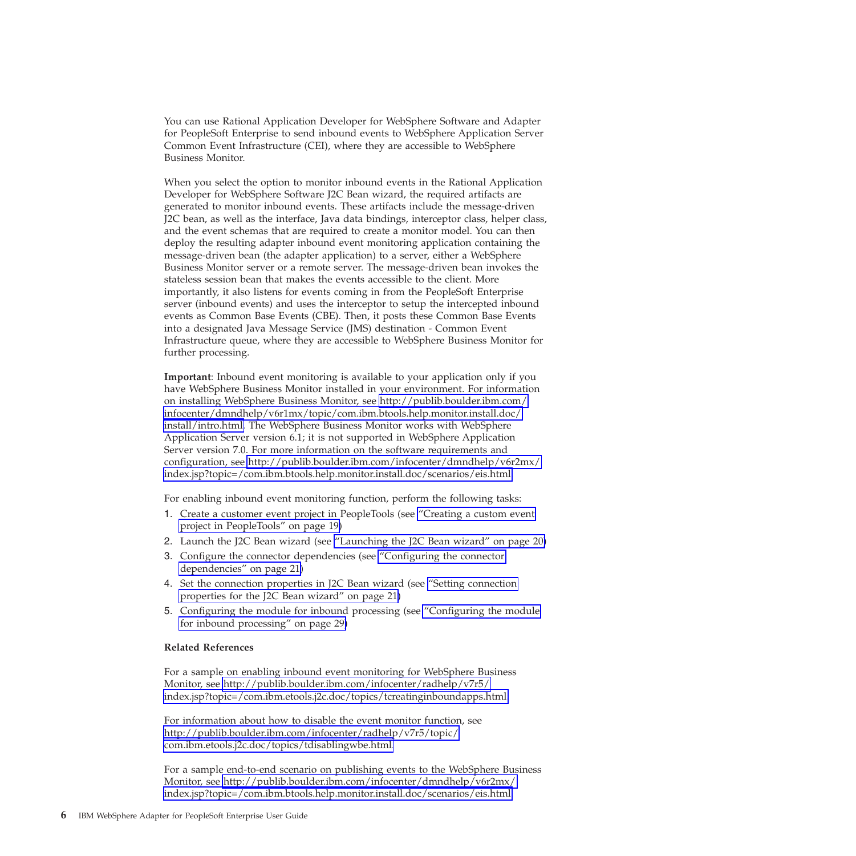You can use Rational Application Developer for WebSphere Software and Adapter for PeopleSoft Enterprise to send inbound events to WebSphere Application Server Common Event Infrastructure (CEI), where they are accessible to WebSphere Business Monitor.

When you select the option to monitor inbound events in the Rational Application Developer for WebSphere Software J2C Bean wizard, the required artifacts are generated to monitor inbound events. These artifacts include the message-driven J2C bean, as well as the interface, Java data bindings, interceptor class, helper class, and the event schemas that are required to create a monitor model. You can then deploy the resulting adapter inbound event monitoring application containing the message-driven bean (the adapter application) to a server, either a WebSphere Business Monitor server or a remote server. The message-driven bean invokes the stateless session bean that makes the events accessible to the client. More importantly, it also listens for events coming in from the PeopleSoft Enterprise server (inbound events) and uses the interceptor to setup the intercepted inbound events as Common Base Events (CBE). Then, it posts these Common Base Events into a designated Java Message Service (JMS) destination - Common Event Infrastructure queue, where they are accessible to WebSphere Business Monitor for further processing.

**Important**: Inbound event monitoring is available to your application only if you have WebSphere Business Monitor installed in your environment. For information on installing WebSphere Business Monitor, see [http://publib.boulder.ibm.com/](http://publib.boulder.ibm.com/infocenter/dmndhelp/v6r1mx/topic/com.ibm.btools.help.monitor.install.doc/install/intro.html) [infocenter/dmndhelp/v6r1mx/topic/com.ibm.btools.help.monitor.install.doc/](http://publib.boulder.ibm.com/infocenter/dmndhelp/v6r1mx/topic/com.ibm.btools.help.monitor.install.doc/install/intro.html) [install/intro.html.](http://publib.boulder.ibm.com/infocenter/dmndhelp/v6r1mx/topic/com.ibm.btools.help.monitor.install.doc/install/intro.html) The WebSphere Business Monitor works with WebSphere Application Server version 6.1; it is not supported in WebSphere Application Server version 7.0. For more information on the software requirements and configuration, see [http://publib.boulder.ibm.com/infocenter/dmndhelp/v6r2mx/](http://publib.boulder.ibm.com/infocenter/dmndhelp/v6r2mx/index.jsp?topic=/com.ibm.btools.help.monitor.install.doc/scenarios/eis.html) [index.jsp?topic=/com.ibm.btools.help.monitor.install.doc/scenarios/eis.html.](http://publib.boulder.ibm.com/infocenter/dmndhelp/v6r2mx/index.jsp?topic=/com.ibm.btools.help.monitor.install.doc/scenarios/eis.html)

For enabling inbound event monitoring function, perform the following tasks:

- 1. Create a customer event project in PeopleTools (see ["Creating a custom event](#page-22-0) [project in PeopleTools" on page 19\)](#page-22-0)
- 2. Launch the J2C Bean wizard (see ["Launching the J2C Bean wizard" on page 20\)](#page-23-0)
- 3. Configure the connector dependencies (see ["Configuring the connector](#page-24-0) [dependencies" on page 21\)](#page-24-0)
- 4. Set the connection properties in J2C Bean wizard (see ["Setting connection](#page-24-0) [properties for the J2C Bean wizard" on page 21\)](#page-24-0)
- 5. Configuring the module for inbound processing (see ["Configuring the module](#page-32-0) [for inbound processing" on page 29\)](#page-32-0)

#### **Related References**

For a sample on enabling inbound event monitoring for WebSphere Business Monitor, see [http://publib.boulder.ibm.com/infocenter/radhelp/v7r5/](http://publib.boulder.ibm.com/infocenter/radhelp/v7r5/index.jsp?topic=/com.ibm.etools.j2c.doc/topics/tcreatinginboundapps.html) [index.jsp?topic=/com.ibm.etools.j2c.doc/topics/tcreatinginboundapps.html.](http://publib.boulder.ibm.com/infocenter/radhelp/v7r5/index.jsp?topic=/com.ibm.etools.j2c.doc/topics/tcreatinginboundapps.html)

For information about how to disable the event monitor function, see [http://publib.boulder.ibm.com/infocenter/radhelp/v7r5/topic/](http://publib.boulder.ibm.com/infocenter/radhelp/v7r5/topic/com.ibm.etools.j2c.doc/topics/tdisablingwbe.html) [com.ibm.etools.j2c.doc/topics/tdisablingwbe.html.](http://publib.boulder.ibm.com/infocenter/radhelp/v7r5/topic/com.ibm.etools.j2c.doc/topics/tdisablingwbe.html)

For a sample end-to-end scenario on publishing events to the WebSphere Business Monitor, see [http://publib.boulder.ibm.com/infocenter/dmndhelp/v6r2mx/](http://publib.boulder.ibm.com/infocenter/dmndhelp/v6r2mx/index.jsp?topic=/com.ibm.btools.help.monitor.install.doc/scenarios/eis.html) [index.jsp?topic=/com.ibm.btools.help.monitor.install.doc/scenarios/eis.html.](http://publib.boulder.ibm.com/infocenter/dmndhelp/v6r2mx/index.jsp?topic=/com.ibm.btools.help.monitor.install.doc/scenarios/eis.html)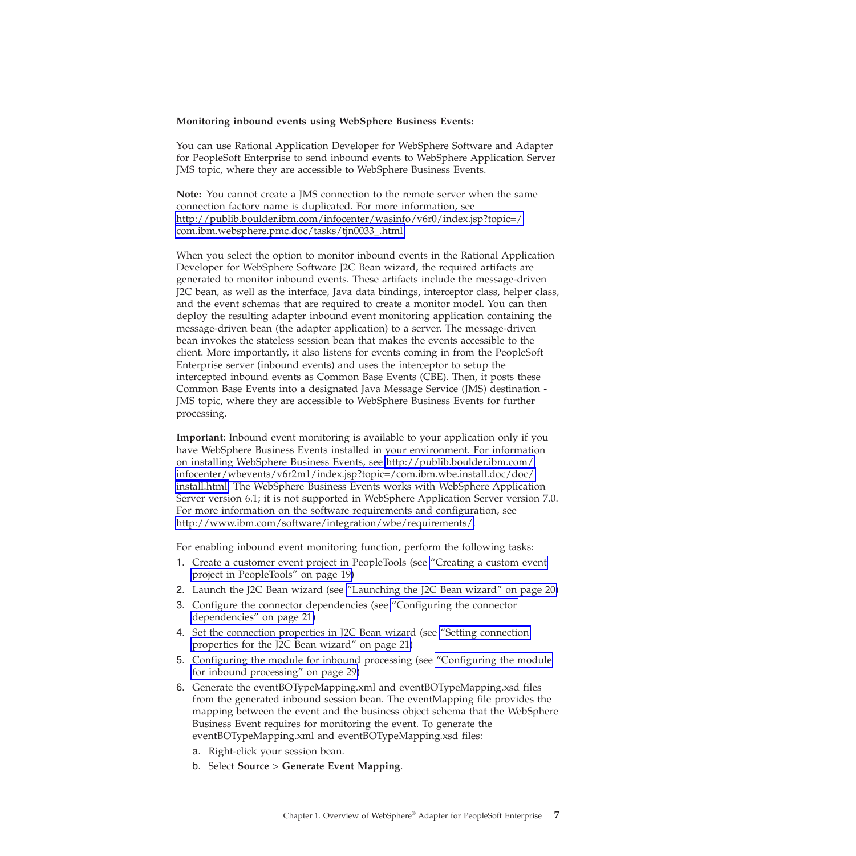#### **Monitoring inbound events using WebSphere Business Events:**

You can use Rational Application Developer for WebSphere Software and Adapter for PeopleSoft Enterprise to send inbound events to WebSphere Application Server JMS topic, where they are accessible to WebSphere Business Events.

**Note:** You cannot create a JMS connection to the remote server when the same connection factory name is duplicated. For more information, see [http://publib.boulder.ibm.com/infocenter/wasinfo/v6r0/index.jsp?topic=/](http://publib.boulder.ibm.com/infocenter/wasinfo/v6r0/index.jsp?topic=/com.ibm.websphere.pmc.doc/tasks/tjn0033_.html) [com.ibm.websphere.pmc.doc/tasks/tjn0033\\_.html](http://publib.boulder.ibm.com/infocenter/wasinfo/v6r0/index.jsp?topic=/com.ibm.websphere.pmc.doc/tasks/tjn0033_.html)

When you select the option to monitor inbound events in the Rational Application Developer for WebSphere Software J2C Bean wizard, the required artifacts are generated to monitor inbound events. These artifacts include the message-driven J2C bean, as well as the interface, Java data bindings, interceptor class, helper class, and the event schemas that are required to create a monitor model. You can then deploy the resulting adapter inbound event monitoring application containing the message-driven bean (the adapter application) to a server. The message-driven bean invokes the stateless session bean that makes the events accessible to the client. More importantly, it also listens for events coming in from the PeopleSoft Enterprise server (inbound events) and uses the interceptor to setup the intercepted inbound events as Common Base Events (CBE). Then, it posts these Common Base Events into a designated Java Message Service (JMS) destination - JMS topic, where they are accessible to WebSphere Business Events for further processing.

**Important**: Inbound event monitoring is available to your application only if you have WebSphere Business Events installed in your environment. For information on installing WebSphere Business Events, see [http://publib.boulder.ibm.com/](http://publib.boulder.ibm.com/infocenter/wbevents/v6r2m1/index.jsp?topic=/com.ibm.wbe.install.doc/doc/install.html) [infocenter/wbevents/v6r2m1/index.jsp?topic=/com.ibm.wbe.install.doc/doc/](http://publib.boulder.ibm.com/infocenter/wbevents/v6r2m1/index.jsp?topic=/com.ibm.wbe.install.doc/doc/install.html) [install.html.](http://publib.boulder.ibm.com/infocenter/wbevents/v6r2m1/index.jsp?topic=/com.ibm.wbe.install.doc/doc/install.html) The WebSphere Business Events works with WebSphere Application Server version 6.1; it is not supported in WebSphere Application Server version 7.0. For more information on the software requirements and configuration, see [http://www.ibm.com/software/integration/wbe/requirements/.](http://www.ibm.com/software/integration/wbe/requirements/)

For enabling inbound event monitoring function, perform the following tasks:

- 1. Create a customer event project in PeopleTools (see ["Creating a custom event](#page-22-0) [project in PeopleTools" on page 19\)](#page-22-0)
- 2. Launch the J2C Bean wizard (see ["Launching the J2C Bean wizard" on page 20\)](#page-23-0)
- 3. Configure the connector dependencies (see ["Configuring the connector](#page-24-0) [dependencies" on page 21\)](#page-24-0)
- 4. Set the connection properties in J2C Bean wizard (see ["Setting connection](#page-24-0) [properties for the J2C Bean wizard" on page 21\)](#page-24-0)
- 5. Configuring the module for inbound processing (see ["Configuring the module](#page-32-0) [for inbound processing" on page 29\)](#page-32-0)
- 6. Generate the eventBOTypeMapping.xml and eventBOTypeMapping.xsd files from the generated inbound session bean. The eventMapping file provides the mapping between the event and the business object schema that the WebSphere Business Event requires for monitoring the event. To generate the eventBOTypeMapping.xml and eventBOTypeMapping.xsd files:
	- a. Right-click your session bean.
	- b. Select **Source** > **Generate Event Mapping**.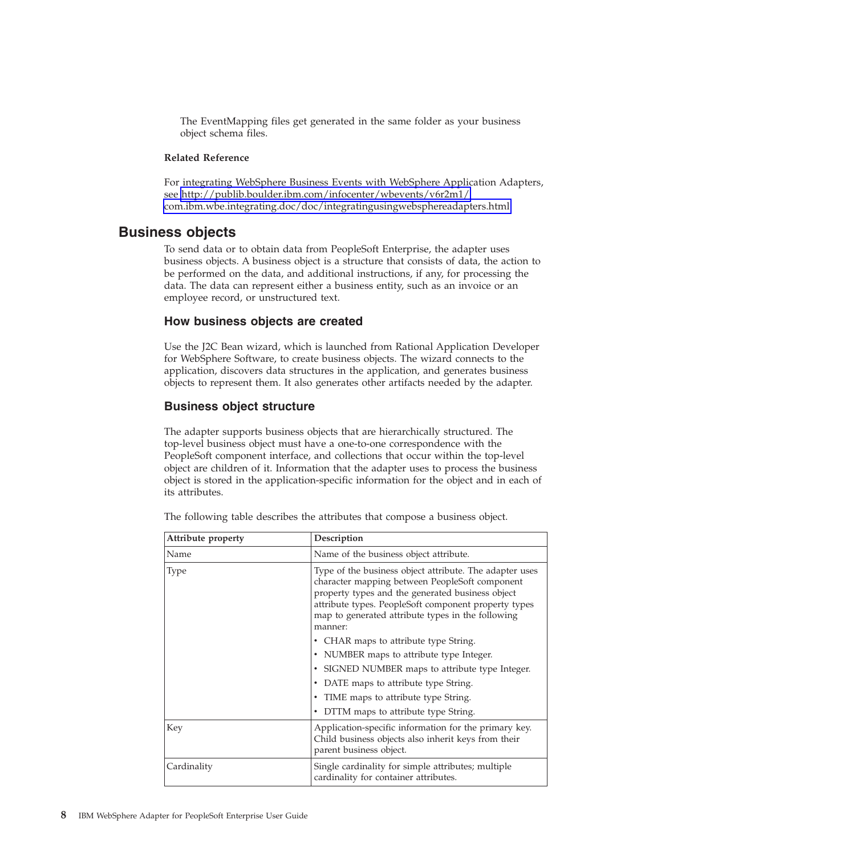<span id="page-11-0"></span>The EventMapping files get generated in the same folder as your business object schema files.

#### **Related Reference**

For integrating WebSphere Business Events with WebSphere Application Adapters, see [http://publib.boulder.ibm.com/infocenter/wbevents/v6r2m1/](http://publib.boulder.ibm.com/infocenter/wbevents/v6r2m1/com.ibm.wbe.integrating.doc/doc/integratingusingwebsphereadapters.html) [com.ibm.wbe.integrating.doc/doc/integratingusingwebsphereadapters.html.](http://publib.boulder.ibm.com/infocenter/wbevents/v6r2m1/com.ibm.wbe.integrating.doc/doc/integratingusingwebsphereadapters.html)

### **Business objects**

To send data or to obtain data from PeopleSoft Enterprise, the adapter uses business objects. A business object is a structure that consists of data, the action to be performed on the data, and additional instructions, if any, for processing the data. The data can represent either a business entity, such as an invoice or an employee record, or unstructured text.

#### **How business objects are created**

Use the J2C Bean wizard, which is launched from Rational Application Developer for WebSphere Software, to create business objects. The wizard connects to the application, discovers data structures in the application, and generates business objects to represent them. It also generates other artifacts needed by the adapter.

#### **Business object structure**

The adapter supports business objects that are hierarchically structured. The top-level business object must have a one-to-one correspondence with the PeopleSoft component interface, and collections that occur within the top-level object are children of it. Information that the adapter uses to process the business object is stored in the application-specific information for the object and in each of its attributes.

| Attribute property | Description                                                                                                                                                                                                                                                                           |
|--------------------|---------------------------------------------------------------------------------------------------------------------------------------------------------------------------------------------------------------------------------------------------------------------------------------|
| Name               | Name of the business object attribute.                                                                                                                                                                                                                                                |
| <b>Type</b>        | Type of the business object attribute. The adapter uses<br>character mapping between PeopleSoft component<br>property types and the generated business object<br>attribute types. PeopleSoft component property types<br>map to generated attribute types in the following<br>manner: |
|                    | • CHAR maps to attribute type String.                                                                                                                                                                                                                                                 |
|                    | • NUMBER maps to attribute type Integer.                                                                                                                                                                                                                                              |
|                    | • SIGNED NUMBER maps to attribute type Integer.                                                                                                                                                                                                                                       |
|                    | • DATE maps to attribute type String.                                                                                                                                                                                                                                                 |
|                    | • TIME maps to attribute type String.                                                                                                                                                                                                                                                 |
|                    | • DTTM maps to attribute type String.                                                                                                                                                                                                                                                 |
| Key                | Application-specific information for the primary key.<br>Child business objects also inherit keys from their<br>parent business object.                                                                                                                                               |
| Cardinality        | Single cardinality for simple attributes; multiple<br>cardinality for container attributes.                                                                                                                                                                                           |

The following table describes the attributes that compose a business object.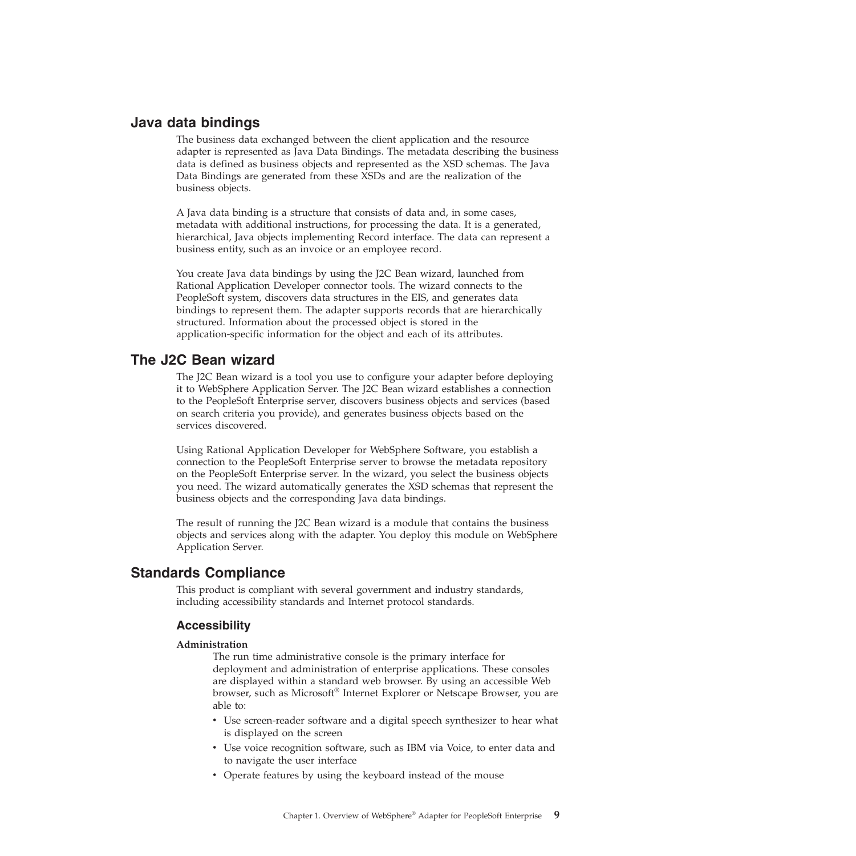# <span id="page-12-0"></span>**Java data bindings**

The business data exchanged between the client application and the resource adapter is represented as Java Data Bindings. The metadata describing the business data is defined as business objects and represented as the XSD schemas. The Java Data Bindings are generated from these XSDs and are the realization of the business objects.

A Java data binding is a structure that consists of data and, in some cases, metadata with additional instructions, for processing the data. It is a generated, hierarchical, Java objects implementing Record interface. The data can represent a business entity, such as an invoice or an employee record.

You create Java data bindings by using the J2C Bean wizard, launched from Rational Application Developer connector tools. The wizard connects to the PeopleSoft system, discovers data structures in the EIS, and generates data bindings to represent them. The adapter supports records that are hierarchically structured. Information about the processed object is stored in the application-specific information for the object and each of its attributes.

# **The J2C Bean wizard**

The J2C Bean wizard is a tool you use to configure your adapter before deploying it to WebSphere Application Server. The J2C Bean wizard establishes a connection to the PeopleSoft Enterprise server, discovers business objects and services (based on search criteria you provide), and generates business objects based on the services discovered.

Using Rational Application Developer for WebSphere Software, you establish a connection to the PeopleSoft Enterprise server to browse the metadata repository on the PeopleSoft Enterprise server. In the wizard, you select the business objects you need. The wizard automatically generates the XSD schemas that represent the business objects and the corresponding Java data bindings.

The result of running the J2C Bean wizard is a module that contains the business objects and services along with the adapter. You deploy this module on WebSphere Application Server.

### **Standards Compliance**

This product is compliant with several government and industry standards, including accessibility standards and Internet protocol standards.

### **Accessibility**

#### **Administration**

The run time administrative console is the primary interface for deployment and administration of enterprise applications. These consoles are displayed within a standard web browser. By using an accessible Web browser, such as Microsoft® Internet Explorer or Netscape Browser, you are able to:

- Use screen-reader software and a digital speech synthesizer to hear what is displayed on the screen
- Use voice recognition software, such as IBM via Voice, to enter data and to navigate the user interface
- Operate features by using the keyboard instead of the mouse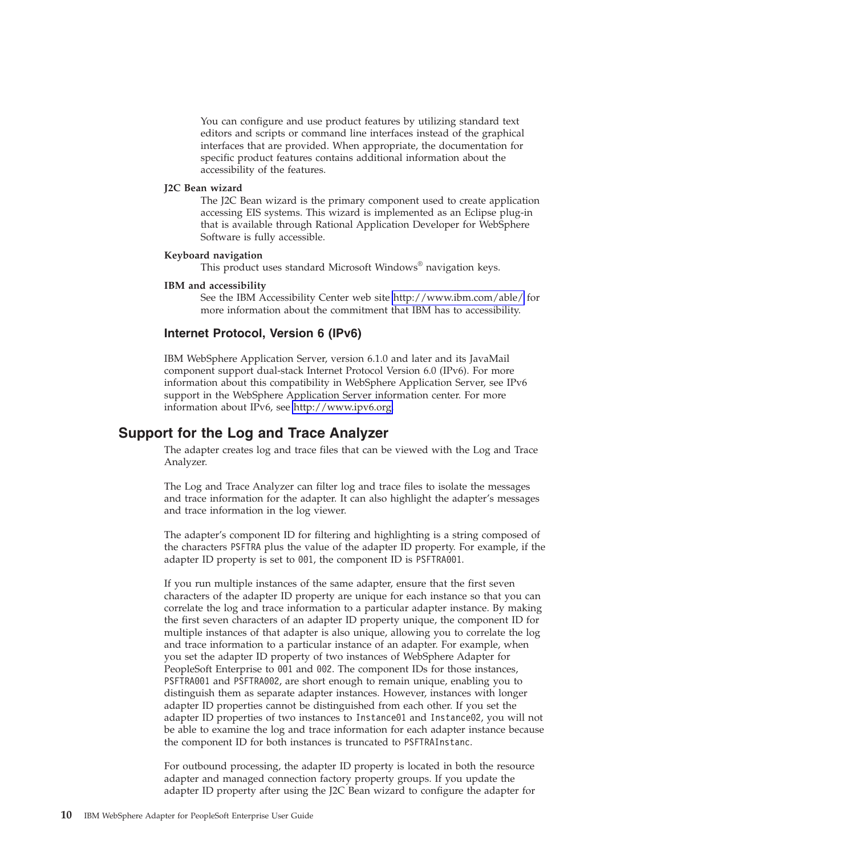You can configure and use product features by utilizing standard text editors and scripts or command line interfaces instead of the graphical interfaces that are provided. When appropriate, the documentation for specific product features contains additional information about the accessibility of the features.

#### <span id="page-13-0"></span>**J2C Bean wizard**

The J2C Bean wizard is the primary component used to create application accessing EIS systems. This wizard is implemented as an Eclipse plug-in that is available through Rational Application Developer for WebSphere Software is fully accessible.

#### **Keyboard navigation**

This product uses standard Microsoft Windows® navigation keys.

#### **IBM and accessibility**

See the IBM Accessibility Center web site<http://www.ibm.com/able/> for more information about the commitment that IBM has to accessibility.

#### **Internet Protocol, Version 6 (IPv6)**

IBM WebSphere Application Server, version 6.1.0 and later and its JavaMail component support dual-stack Internet Protocol Version 6.0 (IPv6). For more information about this compatibility in WebSphere Application Server, see IPv6 support in the WebSphere Application Server information center. For more information about IPv6, see [http://www.ipv6.org.](http://www.ipv6.org)

# **Support for the Log and Trace Analyzer**

The adapter creates log and trace files that can be viewed with the Log and Trace Analyzer.

The Log and Trace Analyzer can filter log and trace files to isolate the messages and trace information for the adapter. It can also highlight the adapter's messages and trace information in the log viewer.

The adapter's component ID for filtering and highlighting is a string composed of the characters PSFTRA plus the value of the adapter ID property. For example, if the adapter ID property is set to 001, the component ID is PSFTRA001.

If you run multiple instances of the same adapter, ensure that the first seven characters of the adapter ID property are unique for each instance so that you can correlate the log and trace information to a particular adapter instance. By making the first seven characters of an adapter ID property unique, the component ID for multiple instances of that adapter is also unique, allowing you to correlate the log and trace information to a particular instance of an adapter. For example, when you set the adapter ID property of two instances of WebSphere Adapter for PeopleSoft Enterprise to 001 and 002. The component IDs for those instances, PSFTRA001 and PSFTRA002, are short enough to remain unique, enabling you to distinguish them as separate adapter instances. However, instances with longer adapter ID properties cannot be distinguished from each other. If you set the adapter ID properties of two instances to Instance01 and Instance02, you will not be able to examine the log and trace information for each adapter instance because the component ID for both instances is truncated to PSFTRAInstanc.

For outbound processing, the adapter ID property is located in both the resource adapter and managed connection factory property groups. If you update the adapter ID property after using the J2C Bean wizard to configure the adapter for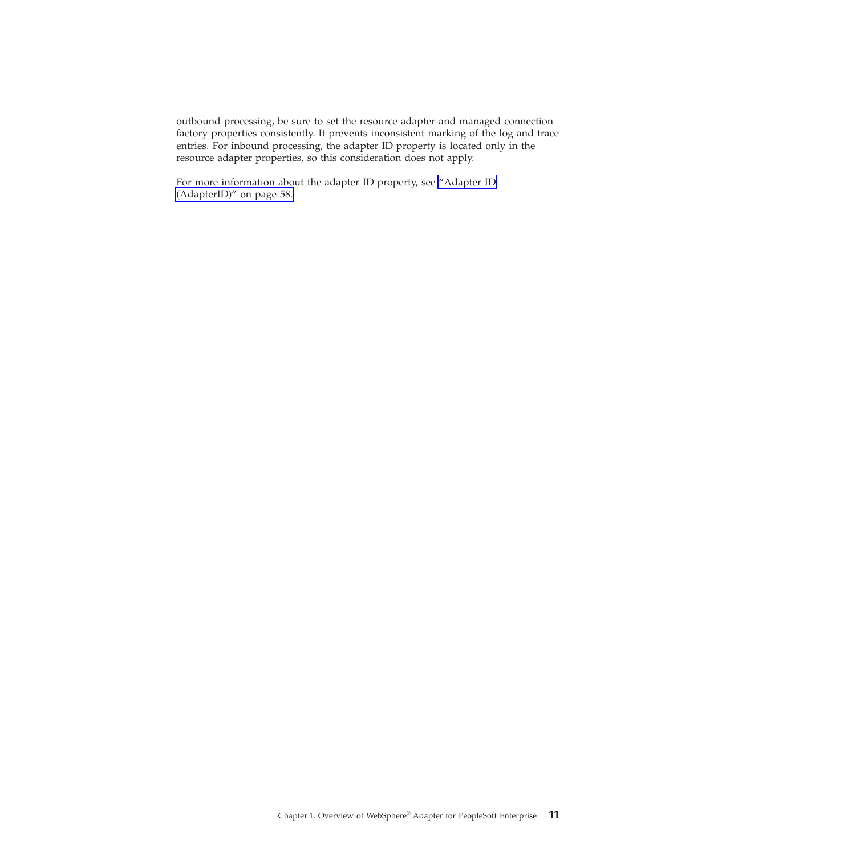outbound processing, be sure to set the resource adapter and managed connection factory properties consistently. It prevents inconsistent marking of the log and trace entries. For inbound processing, the adapter ID property is located only in the resource adapter properties, so this consideration does not apply.

For more information about the adapter ID property, see ["Adapter ID](#page-61-0) [\(AdapterID\)" on page 58.](#page-61-0)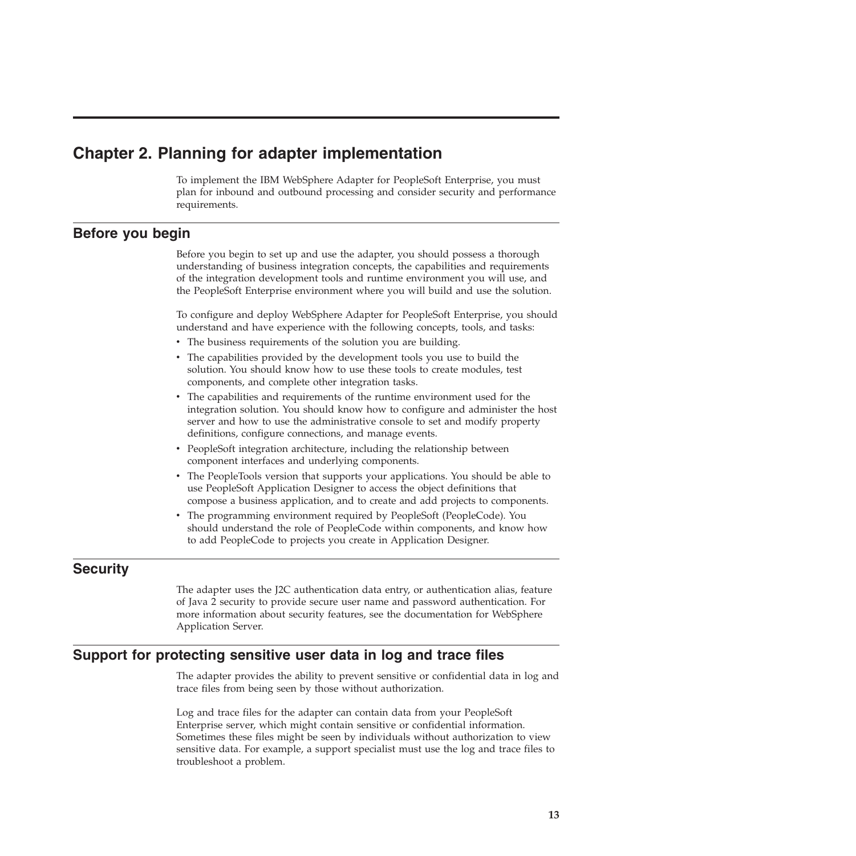# <span id="page-16-0"></span>**Chapter 2. Planning for adapter implementation**

To implement the IBM WebSphere Adapter for PeopleSoft Enterprise, you must plan for inbound and outbound processing and consider security and performance requirements.

# **Before you begin**

Before you begin to set up and use the adapter, you should possess a thorough understanding of business integration concepts, the capabilities and requirements of the integration development tools and runtime environment you will use, and the PeopleSoft Enterprise environment where you will build and use the solution.

To configure and deploy WebSphere Adapter for PeopleSoft Enterprise, you should understand and have experience with the following concepts, tools, and tasks:

- The business requirements of the solution you are building.
- v The capabilities provided by the development tools you use to build the solution. You should know how to use these tools to create modules, test components, and complete other integration tasks.
- The capabilities and requirements of the runtime environment used for the integration solution. You should know how to configure and administer the host server and how to use the administrative console to set and modify property definitions, configure connections, and manage events.
- PeopleSoft integration architecture, including the relationship between component interfaces and underlying components.
- v The PeopleTools version that supports your applications. You should be able to use PeopleSoft Application Designer to access the object definitions that compose a business application, and to create and add projects to components.
- The programming environment required by PeopleSoft (PeopleCode). You should understand the role of PeopleCode within components, and know how to add PeopleCode to projects you create in Application Designer.

# **Security**

The adapter uses the J2C authentication data entry, or authentication alias, feature of Java 2 security to provide secure user name and password authentication. For more information about security features, see the documentation for WebSphere Application Server.

# **Support for protecting sensitive user data in log and trace files**

The adapter provides the ability to prevent sensitive or confidential data in log and trace files from being seen by those without authorization.

Log and trace files for the adapter can contain data from your PeopleSoft Enterprise server, which might contain sensitive or confidential information. Sometimes these files might be seen by individuals without authorization to view sensitive data. For example, a support specialist must use the log and trace files to troubleshoot a problem.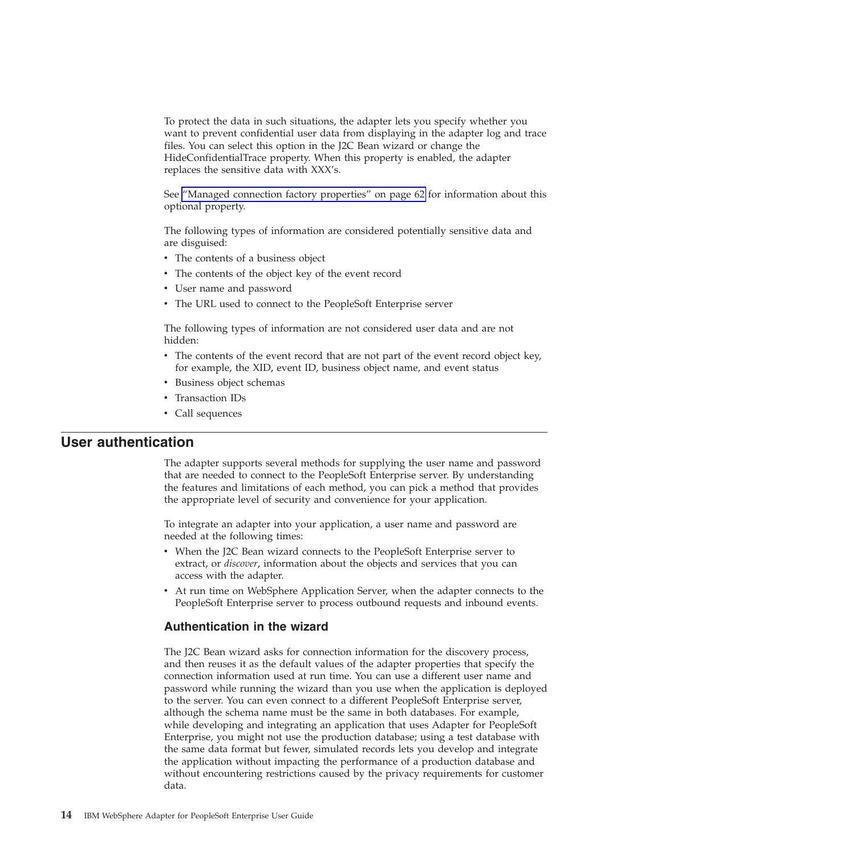<span id="page-17-0"></span>To protect the data in such situations, the adapter lets you specify whether you want to prevent confidential user data from displaying in the adapter log and trace files. You can select this option in the J2C Bean wizard or change the HideConfidentialTrace property. When this property is enabled, the adapter replaces the sensitive data with XXX's.

See ["Managed connection factory properties" on page 62](#page-65-0) for information about this optional property.

The following types of information are considered potentially sensitive data and are disguised:

- The contents of a business object
- The contents of the object key of the event record
- User name and password
- v The URL used to connect to the PeopleSoft Enterprise server

The following types of information are not considered user data and are not hidden:

- The contents of the event record that are not part of the event record object key, for example, the XID, event ID, business object name, and event status
- Business object schemas
- Transaction IDs
- Call sequences

## **User authentication**

The adapter supports several methods for supplying the user name and password that are needed to connect to the PeopleSoft Enterprise server. By understanding the features and limitations of each method, you can pick a method that provides the appropriate level of security and convenience for your application.

To integrate an adapter into your application, a user name and password are needed at the following times:

- When the J2C Bean wizard connects to the PeopleSoft Enterprise server to extract, or *discover*, information about the objects and services that you can access with the adapter.
- v At run time on WebSphere Application Server, when the adapter connects to the PeopleSoft Enterprise server to process outbound requests and inbound events.

#### **Authentication in the wizard**

The J2C Bean wizard asks for connection information for the discovery process, and then reuses it as the default values of the adapter properties that specify the connection information used at run time. You can use a different user name and password while running the wizard than you use when the application is deployed to the server. You can even connect to a different PeopleSoft Enterprise server, although the schema name must be the same in both databases. For example, while developing and integrating an application that uses Adapter for PeopleSoft Enterprise, you might not use the production database; using a test database with the same data format but fewer, simulated records lets you develop and integrate the application without impacting the performance of a production database and without encountering restrictions caused by the privacy requirements for customer data.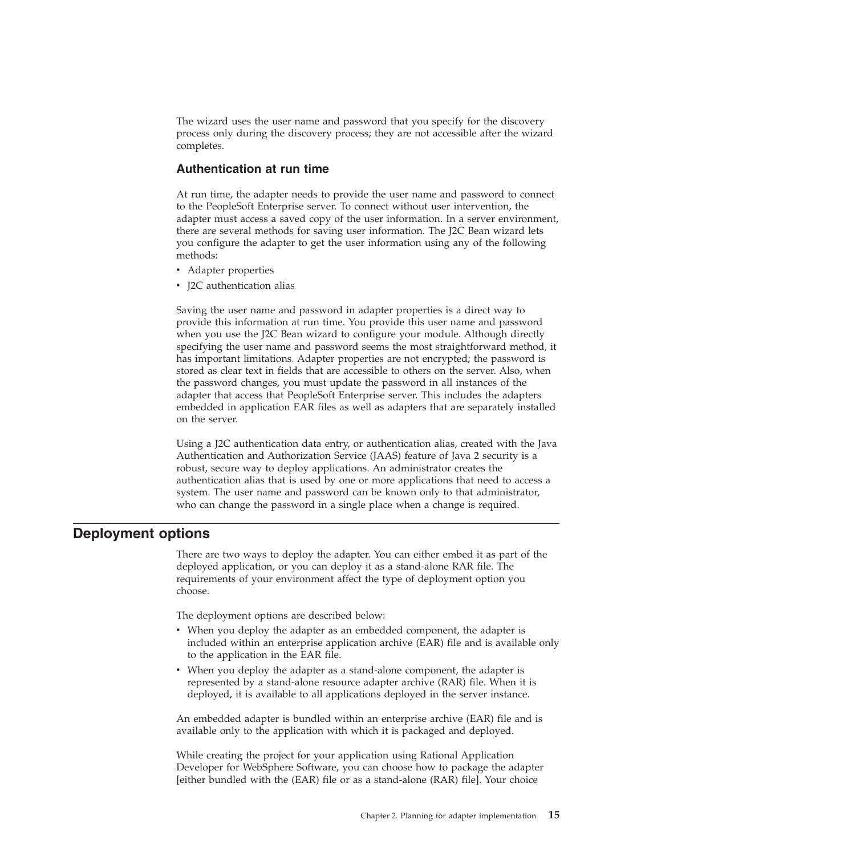<span id="page-18-0"></span>The wizard uses the user name and password that you specify for the discovery process only during the discovery process; they are not accessible after the wizard completes.

### **Authentication at run time**

At run time, the adapter needs to provide the user name and password to connect to the PeopleSoft Enterprise server. To connect without user intervention, the adapter must access a saved copy of the user information. In a server environment, there are several methods for saving user information. The J2C Bean wizard lets you configure the adapter to get the user information using any of the following methods:

- Adapter properties
- J2C authentication alias

Saving the user name and password in adapter properties is a direct way to provide this information at run time. You provide this user name and password when you use the J2C Bean wizard to configure your module. Although directly specifying the user name and password seems the most straightforward method, it has important limitations. Adapter properties are not encrypted; the password is stored as clear text in fields that are accessible to others on the server. Also, when the password changes, you must update the password in all instances of the adapter that access that PeopleSoft Enterprise server. This includes the adapters embedded in application EAR files as well as adapters that are separately installed on the server.

Using a J2C authentication data entry, or authentication alias, created with the Java Authentication and Authorization Service (JAAS) feature of Java 2 security is a robust, secure way to deploy applications. An administrator creates the authentication alias that is used by one or more applications that need to access a system. The user name and password can be known only to that administrator, who can change the password in a single place when a change is required.

### **Deployment options**

There are two ways to deploy the adapter. You can either embed it as part of the deployed application, or you can deploy it as a stand-alone RAR file. The requirements of your environment affect the type of deployment option you choose.

The deployment options are described below:

- When you deploy the adapter as an embedded component, the adapter is included within an enterprise application archive (EAR) file and is available only to the application in the EAR file.
- When you deploy the adapter as a stand-alone component, the adapter is represented by a stand-alone resource adapter archive (RAR) file. When it is deployed, it is available to all applications deployed in the server instance.

An embedded adapter is bundled within an enterprise archive (EAR) file and is available only to the application with which it is packaged and deployed.

While creating the project for your application using Rational Application Developer for WebSphere Software, you can choose how to package the adapter [either bundled with the (EAR) file or as a stand-alone (RAR) file]. Your choice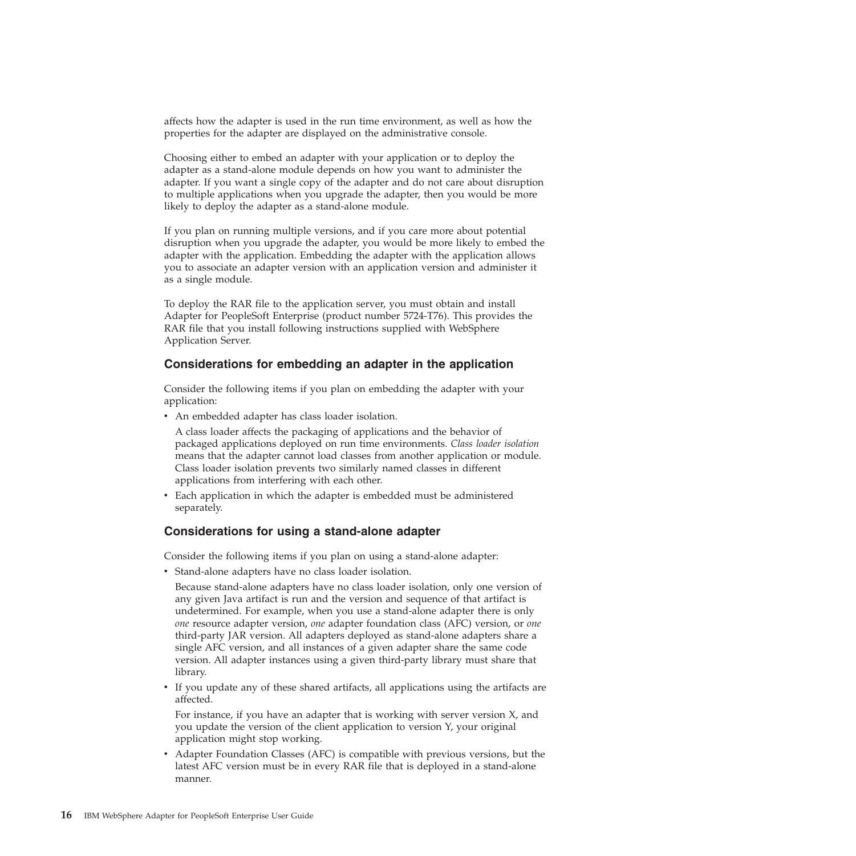affects how the adapter is used in the run time environment, as well as how the properties for the adapter are displayed on the administrative console.

Choosing either to embed an adapter with your application or to deploy the adapter as a stand-alone module depends on how you want to administer the adapter. If you want a single copy of the adapter and do not care about disruption to multiple applications when you upgrade the adapter, then you would be more likely to deploy the adapter as a stand-alone module.

If you plan on running multiple versions, and if you care more about potential disruption when you upgrade the adapter, you would be more likely to embed the adapter with the application. Embedding the adapter with the application allows you to associate an adapter version with an application version and administer it as a single module.

To deploy the RAR file to the application server, you must obtain and install Adapter for PeopleSoft Enterprise (product number 5724-T76). This provides the RAR file that you install following instructions supplied with WebSphere Application Server.

#### **Considerations for embedding an adapter in the application**

Consider the following items if you plan on embedding the adapter with your application:

• An embedded adapter has class loader isolation.

A class loader affects the packaging of applications and the behavior of packaged applications deployed on run time environments. *Class loader isolation* means that the adapter cannot load classes from another application or module. Class loader isolation prevents two similarly named classes in different applications from interfering with each other.

• Each application in which the adapter is embedded must be administered separately.

### **Considerations for using a stand-alone adapter**

Consider the following items if you plan on using a stand-alone adapter:

v Stand-alone adapters have no class loader isolation.

Because stand-alone adapters have no class loader isolation, only one version of any given Java artifact is run and the version and sequence of that artifact is undetermined. For example, when you use a stand-alone adapter there is only *one* resource adapter version, *one* adapter foundation class (AFC) version, or *one* third-party JAR version. All adapters deployed as stand-alone adapters share a single AFC version, and all instances of a given adapter share the same code version. All adapter instances using a given third-party library must share that library.

If you update any of these shared artifacts, all applications using the artifacts are affected.

For instance, if you have an adapter that is working with server version X, and you update the version of the client application to version Y, your original application might stop working.

v Adapter Foundation Classes (AFC) is compatible with previous versions, but the latest AFC version must be in every RAR file that is deployed in a stand-alone manner.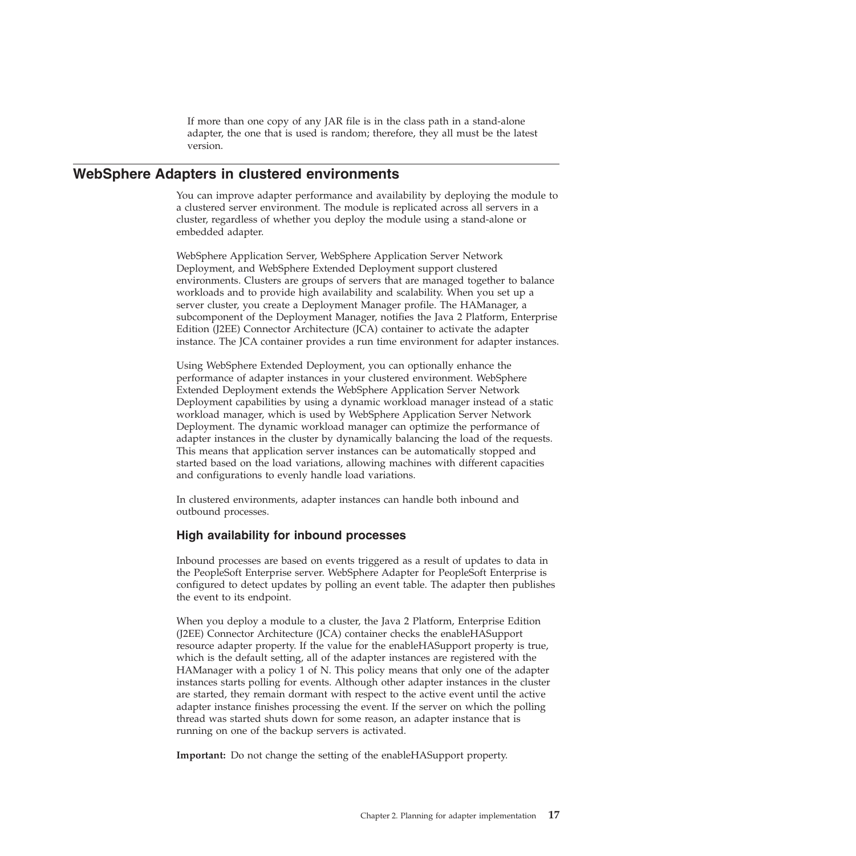If more than one copy of any JAR file is in the class path in a stand-alone adapter, the one that is used is random; therefore, they all must be the latest version.

# <span id="page-20-0"></span>**WebSphere Adapters in clustered environments**

You can improve adapter performance and availability by deploying the module to a clustered server environment. The module is replicated across all servers in a cluster, regardless of whether you deploy the module using a stand-alone or embedded adapter.

WebSphere Application Server, WebSphere Application Server Network Deployment, and WebSphere Extended Deployment support clustered environments. Clusters are groups of servers that are managed together to balance workloads and to provide high availability and scalability. When you set up a server cluster, you create a Deployment Manager profile. The HAManager, a subcomponent of the Deployment Manager, notifies the Java 2 Platform, Enterprise Edition (J2EE) Connector Architecture (JCA) container to activate the adapter instance. The JCA container provides a run time environment for adapter instances.

Using WebSphere Extended Deployment, you can optionally enhance the performance of adapter instances in your clustered environment. WebSphere Extended Deployment extends the WebSphere Application Server Network Deployment capabilities by using a dynamic workload manager instead of a static workload manager, which is used by WebSphere Application Server Network Deployment. The dynamic workload manager can optimize the performance of adapter instances in the cluster by dynamically balancing the load of the requests. This means that application server instances can be automatically stopped and started based on the load variations, allowing machines with different capacities and configurations to evenly handle load variations.

In clustered environments, adapter instances can handle both inbound and outbound processes.

### **High availability for inbound processes**

Inbound processes are based on events triggered as a result of updates to data in the PeopleSoft Enterprise server. WebSphere Adapter for PeopleSoft Enterprise is configured to detect updates by polling an event table. The adapter then publishes the event to its endpoint.

When you deploy a module to a cluster, the Java 2 Platform, Enterprise Edition (J2EE) Connector Architecture (JCA) container checks the enableHASupport resource adapter property. If the value for the enableHASupport property is true, which is the default setting, all of the adapter instances are registered with the HAManager with a policy 1 of N. This policy means that only one of the adapter instances starts polling for events. Although other adapter instances in the cluster are started, they remain dormant with respect to the active event until the active adapter instance finishes processing the event. If the server on which the polling thread was started shuts down for some reason, an adapter instance that is running on one of the backup servers is activated.

**Important:** Do not change the setting of the enableHASupport property.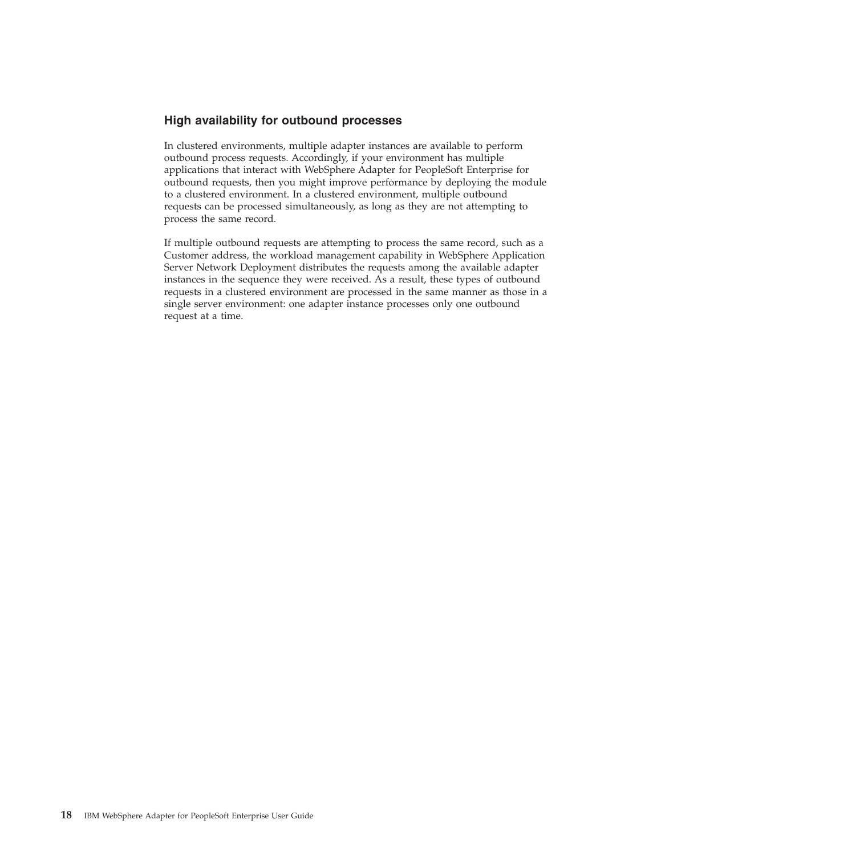### **High availability for outbound processes**

In clustered environments, multiple adapter instances are available to perform outbound process requests. Accordingly, if your environment has multiple applications that interact with WebSphere Adapter for PeopleSoft Enterprise for outbound requests, then you might improve performance by deploying the module to a clustered environment. In a clustered environment, multiple outbound requests can be processed simultaneously, as long as they are not attempting to process the same record.

If multiple outbound requests are attempting to process the same record, such as a Customer address, the workload management capability in WebSphere Application Server Network Deployment distributes the requests among the available adapter instances in the sequence they were received. As a result, these types of outbound requests in a clustered environment are processed in the same manner as those in a single server environment: one adapter instance processes only one outbound request at a time.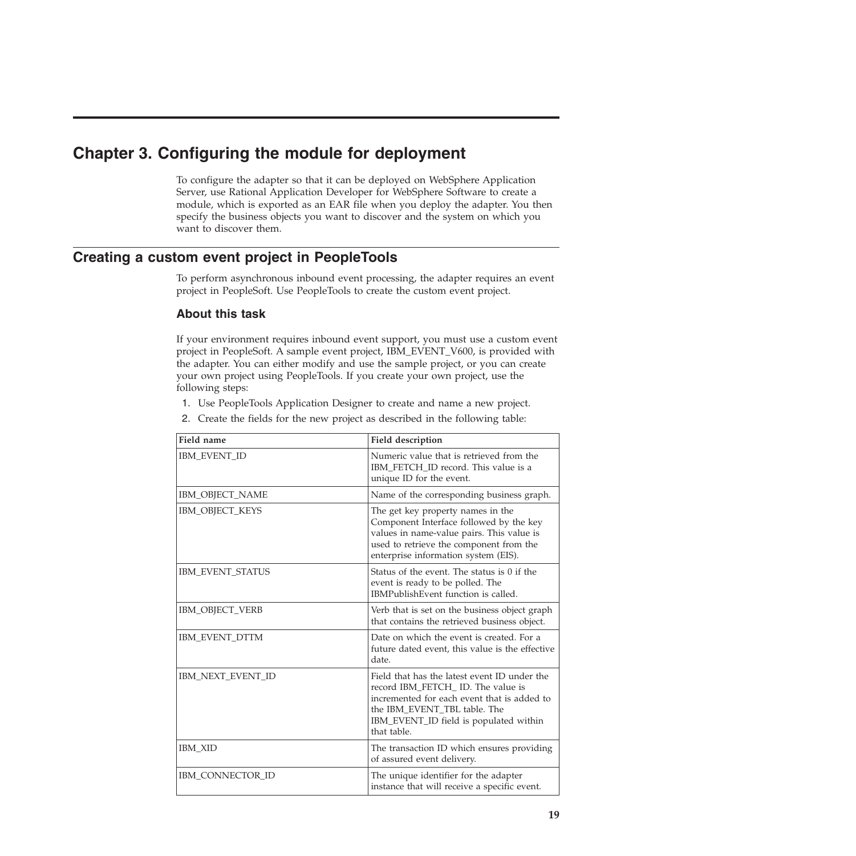# <span id="page-22-0"></span>**Chapter 3. Configuring the module for deployment**

To configure the adapter so that it can be deployed on WebSphere Application Server, use Rational Application Developer for WebSphere Software to create a module, which is exported as an EAR file when you deploy the adapter. You then specify the business objects you want to discover and the system on which you want to discover them.

# **Creating a custom event project in PeopleTools**

To perform asynchronous inbound event processing, the adapter requires an event project in PeopleSoft. Use PeopleTools to create the custom event project.

### **About this task**

If your environment requires inbound event support, you must use a custom event project in PeopleSoft. A sample event project, IBM\_EVENT\_V600, is provided with the adapter. You can either modify and use the sample project, or you can create your own project using PeopleTools. If you create your own project, use the following steps:

- 1. Use PeopleTools Application Designer to create and name a new project.
- 2. Create the fields for the new project as described in the following table:

| Field name             | Field description                                                                                                                                                                                                         |
|------------------------|---------------------------------------------------------------------------------------------------------------------------------------------------------------------------------------------------------------------------|
| <b>IBM EVENT ID</b>    | Numeric value that is retrieved from the<br>IBM_FETCH_ID record. This value is a<br>unique ID for the event.                                                                                                              |
| IBM_OBJECT_NAME        | Name of the corresponding business graph.                                                                                                                                                                                 |
| IBM_OBJECT_KEYS        | The get key property names in the<br>Component Interface followed by the key<br>values in name-value pairs. This value is<br>used to retrieve the component from the<br>enterprise information system (EIS).              |
| IBM_EVENT_STATUS       | Status of the event. The status is 0 if the<br>event is ready to be polled. The<br>IBMPublishEvent function is called.                                                                                                    |
| <b>IBM OBJECT_VERB</b> | Verb that is set on the business object graph<br>that contains the retrieved business object.                                                                                                                             |
| IBM EVENT DTTM         | Date on which the event is created. For a<br>future dated event, this value is the effective<br>date.                                                                                                                     |
| IBM_NEXT_EVENT_ID      | Field that has the latest event ID under the<br>record IBM_FETCH_ID. The value is<br>incremented for each event that is added to<br>the IBM_EVENT_TBL table. The<br>IBM_EVENT_ID field is populated within<br>that table. |
| <b>IBM XID</b>         | The transaction ID which ensures providing<br>of assured event delivery.                                                                                                                                                  |
| IBM CONNECTOR ID       | The unique identifier for the adapter<br>instance that will receive a specific event.                                                                                                                                     |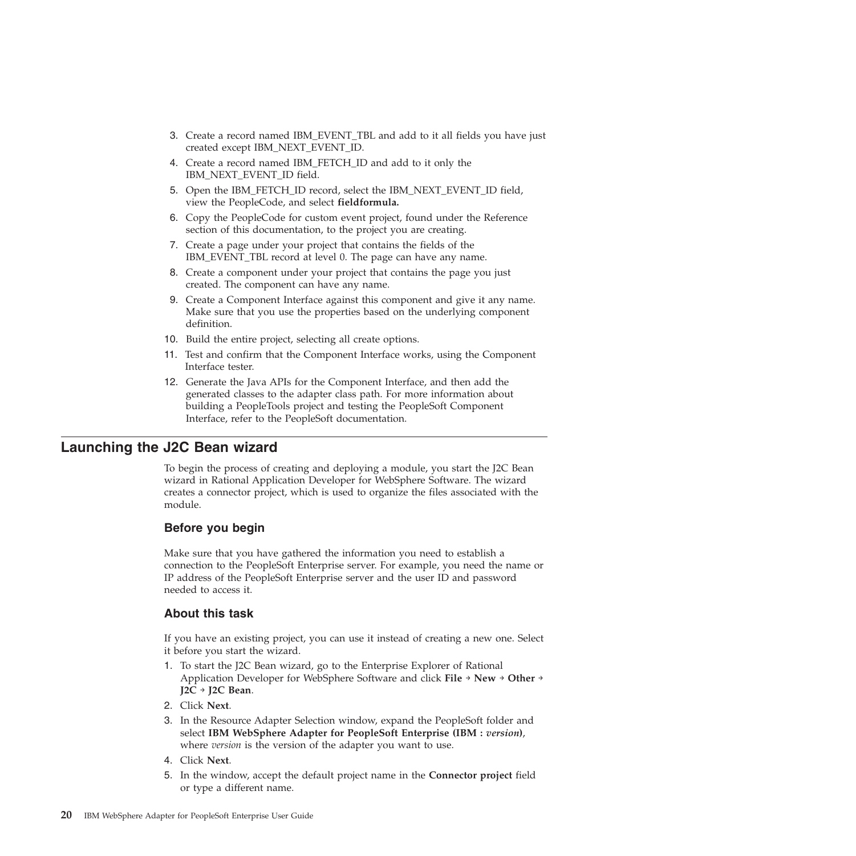- <span id="page-23-0"></span>3. Create a record named IBM\_EVENT\_TBL and add to it all fields you have just created except IBM\_NEXT\_EVENT\_ID.
- 4. Create a record named IBM\_FETCH\_ID and add to it only the IBM\_NEXT\_EVENT\_ID field.
- 5. Open the IBM\_FETCH\_ID record, select the IBM\_NEXT\_EVENT\_ID field, view the PeopleCode, and select **fieldformula.**
- 6. Copy the PeopleCode for custom event project, found under the Reference section of this documentation, to the project you are creating.
- 7. Create a page under your project that contains the fields of the IBM\_EVENT\_TBL record at level 0. The page can have any name.
- 8. Create a component under your project that contains the page you just created. The component can have any name.
- 9. Create a Component Interface against this component and give it any name. Make sure that you use the properties based on the underlying component definition.
- 10. Build the entire project, selecting all create options.
- 11. Test and confirm that the Component Interface works, using the Component Interface tester.
- 12. Generate the Java APIs for the Component Interface, and then add the generated classes to the adapter class path. For more information about building a PeopleTools project and testing the PeopleSoft Component Interface, refer to the PeopleSoft documentation.

### **Launching the J2C Bean wizard**

To begin the process of creating and deploying a module, you start the J2C Bean wizard in Rational Application Developer for WebSphere Software. The wizard creates a connector project, which is used to organize the files associated with the module.

#### **Before you begin**

Make sure that you have gathered the information you need to establish a connection to the PeopleSoft Enterprise server. For example, you need the name or IP address of the PeopleSoft Enterprise server and the user ID and password needed to access it.

#### **About this task**

If you have an existing project, you can use it instead of creating a new one. Select it before you start the wizard.

- 1. To start the J2C Bean wizard, go to the Enterprise Explorer of Rational Application Developer for WebSphere Software and click **File** → **New** → **Other** → **J2C** → **J2C Bean**.
- 2. Click **Next**.
- 3. In the Resource Adapter Selection window, expand the PeopleSoft folder and select **IBM WebSphere Adapter for PeopleSoft Enterprise (IBM :** *version***)**, where *version* is the version of the adapter you want to use.
- 4. Click **Next**.
- 5. In the window, accept the default project name in the **Connector project** field or type a different name.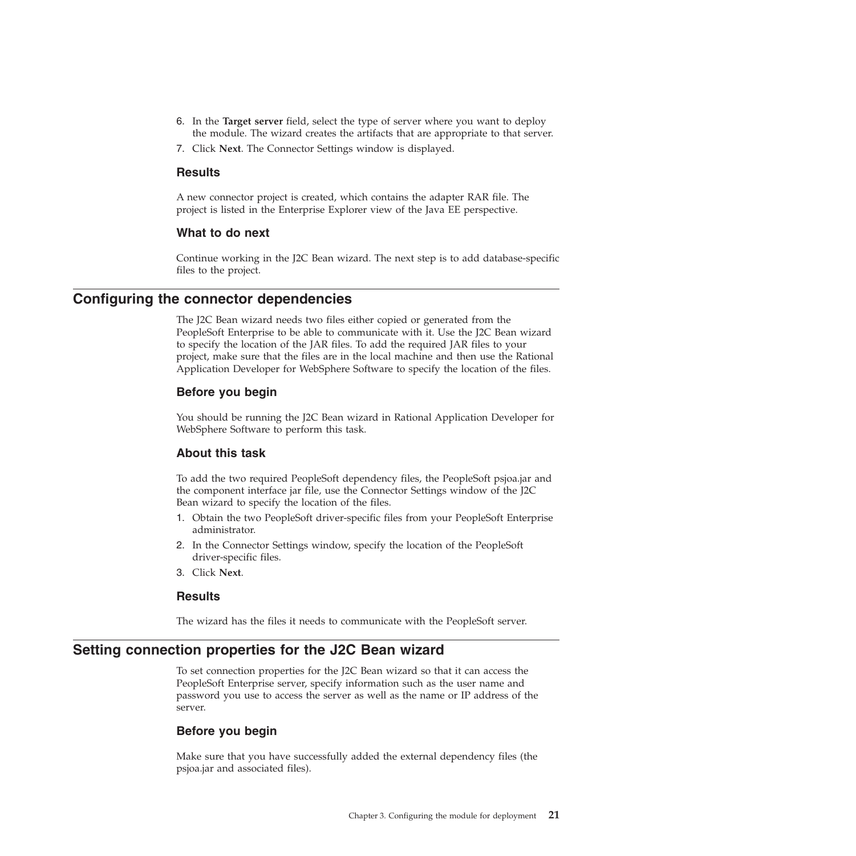- <span id="page-24-0"></span>6. In the **Target server** field, select the type of server where you want to deploy the module. The wizard creates the artifacts that are appropriate to that server.
- 7. Click **Next**. The Connector Settings window is displayed.

#### **Results**

A new connector project is created, which contains the adapter RAR file. The project is listed in the Enterprise Explorer view of the Java EE perspective.

#### **What to do next**

Continue working in the J2C Bean wizard. The next step is to add database-specific files to the project.

### **Configuring the connector dependencies**

The J2C Bean wizard needs two files either copied or generated from the PeopleSoft Enterprise to be able to communicate with it. Use the J2C Bean wizard to specify the location of the JAR files. To add the required JAR files to your project, make sure that the files are in the local machine and then use the Rational Application Developer for WebSphere Software to specify the location of the files.

#### **Before you begin**

You should be running the J2C Bean wizard in Rational Application Developer for WebSphere Software to perform this task.

#### **About this task**

To add the two required PeopleSoft dependency files, the PeopleSoft psjoa.jar and the component interface jar file, use the Connector Settings window of the J2C Bean wizard to specify the location of the files.

- 1. Obtain the two PeopleSoft driver-specific files from your PeopleSoft Enterprise administrator.
- 2. In the Connector Settings window, specify the location of the PeopleSoft driver-specific files.
- 3. Click **Next**.

#### **Results**

The wizard has the files it needs to communicate with the PeopleSoft server.

### **Setting connection properties for the J2C Bean wizard**

To set connection properties for the J2C Bean wizard so that it can access the PeopleSoft Enterprise server, specify information such as the user name and password you use to access the server as well as the name or IP address of the server.

#### **Before you begin**

Make sure that you have successfully added the external dependency files (the psjoa.jar and associated files).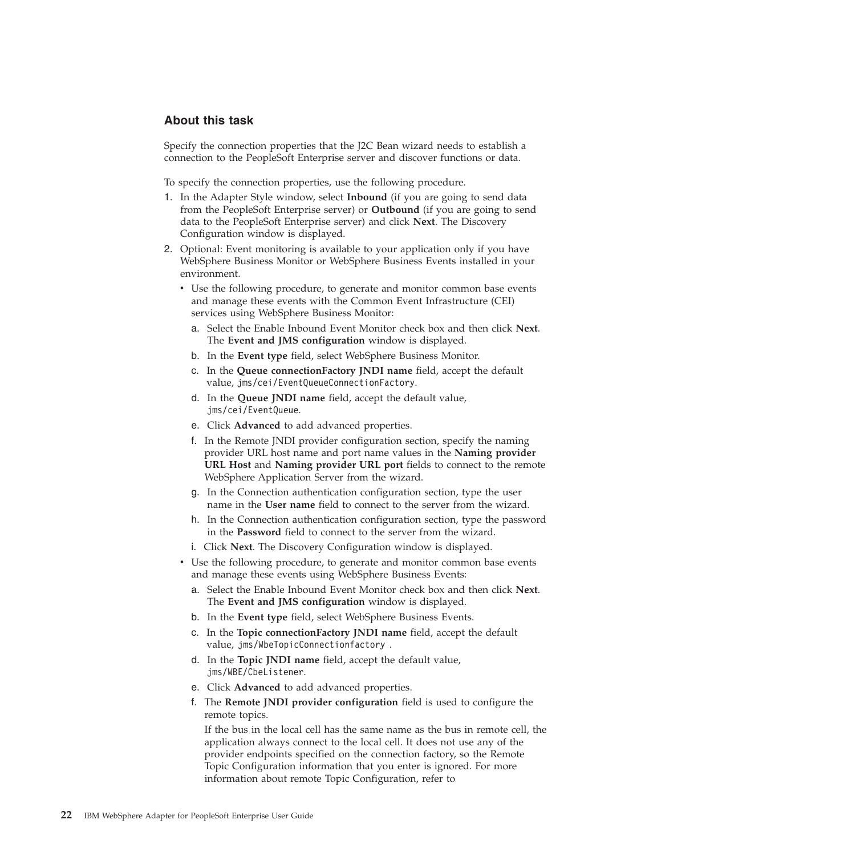### **About this task**

Specify the connection properties that the J2C Bean wizard needs to establish a connection to the PeopleSoft Enterprise server and discover functions or data.

To specify the connection properties, use the following procedure.

- 1. In the Adapter Style window, select **Inbound** (if you are going to send data from the PeopleSoft Enterprise server) or **Outbound** (if you are going to send data to the PeopleSoft Enterprise server) and click **Next**. The Discovery Configuration window is displayed.
- 2. Optional: Event monitoring is available to your application only if you have WebSphere Business Monitor or WebSphere Business Events installed in your environment.
	- v Use the following procedure, to generate and monitor common base events and manage these events with the Common Event Infrastructure (CEI) services using WebSphere Business Monitor:
		- a. Select the Enable Inbound Event Monitor check box and then click **Next**. The **Event and JMS configuration** window is displayed.
		- b. In the **Event type** field, select WebSphere Business Monitor.
		- c. In the **Queue connectionFactory JNDI name** field, accept the default value, jms/cei/EventQueueConnectionFactory.
		- d. In the **Queue JNDI name** field, accept the default value, jms/cei/EventQueue.
		- e. Click **Advanced** to add advanced properties.
		- f. In the Remote JNDI provider configuration section, specify the naming provider URL host name and port name values in the **Naming provider URL Host** and **Naming provider URL port** fields to connect to the remote WebSphere Application Server from the wizard.
		- g. In the Connection authentication configuration section, type the user name in the **User name** field to connect to the server from the wizard.
		- h. In the Connection authentication configuration section, type the password in the **Password** field to connect to the server from the wizard.
		- i. Click **Next**. The Discovery Configuration window is displayed.
	- v Use the following procedure, to generate and monitor common base events and manage these events using WebSphere Business Events:
		- a. Select the Enable Inbound Event Monitor check box and then click **Next**. The **Event and JMS configuration** window is displayed.
		- b. In the **Event type** field, select WebSphere Business Events.
		- c. In the **Topic connectionFactory JNDI name** field, accept the default value, jms/WbeTopicConnectionfactory .
		- d. In the **Topic JNDI name** field, accept the default value, jms/WBE/CbeListener.
		- e. Click **Advanced** to add advanced properties.
		- f. The **Remote JNDI provider configuration** field is used to configure the remote topics.

If the bus in the local cell has the same name as the bus in remote cell, the application always connect to the local cell. It does not use any of the provider endpoints specified on the connection factory, so the Remote Topic Configuration information that you enter is ignored. For more information about remote Topic Configuration, refer to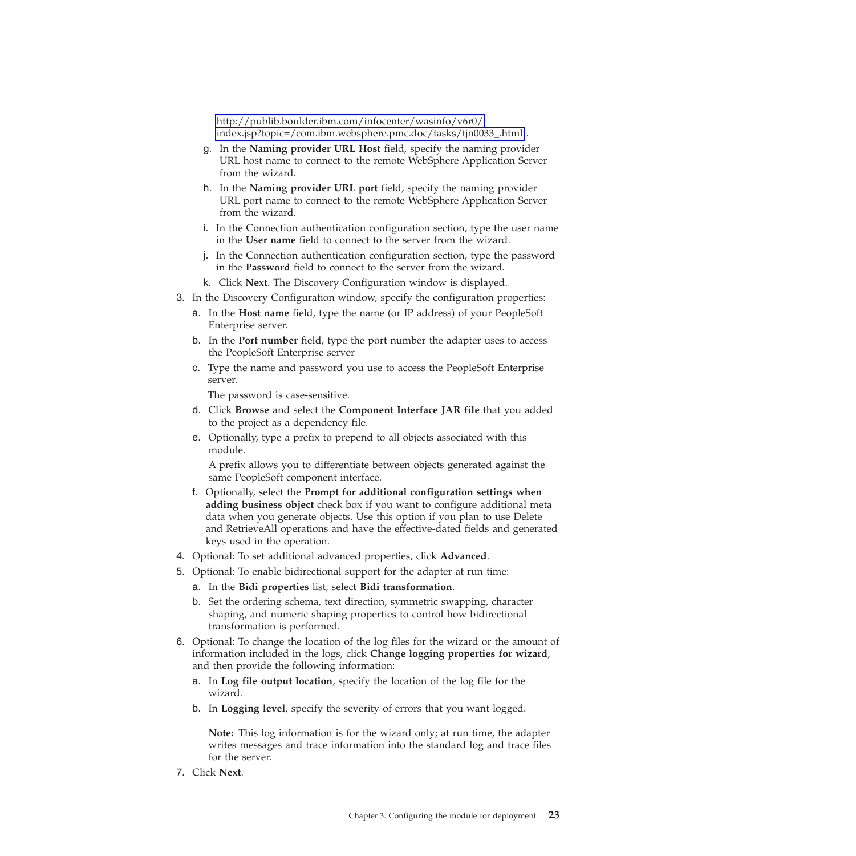[http://publib.boulder.ibm.com/infocenter/wasinfo/v6r0/](http://publib.boulder.ibm.com/infocenter/wasinfo/v6r0/index.jsp?topic=/com.ibm.websphere.pmc.doc/tasks/tjn0033_.html) [index.jsp?topic=/com.ibm.websphere.pmc.doc/tasks/tjn0033\\_.html](http://publib.boulder.ibm.com/infocenter/wasinfo/v6r0/index.jsp?topic=/com.ibm.websphere.pmc.doc/tasks/tjn0033_.html) .

- g. In the **Naming provider URL Host** field, specify the naming provider URL host name to connect to the remote WebSphere Application Server from the wizard.
- h. In the **Naming provider URL port** field, specify the naming provider URL port name to connect to the remote WebSphere Application Server from the wizard.
- i. In the Connection authentication configuration section, type the user name in the **User name** field to connect to the server from the wizard.
- j. In the Connection authentication configuration section, type the password in the **Password** field to connect to the server from the wizard.
- k. Click **Next**. The Discovery Configuration window is displayed.
- 3. In the Discovery Configuration window, specify the configuration properties:
	- a. In the **Host name** field, type the name (or IP address) of your PeopleSoft Enterprise server.
	- b. In the **Port number** field, type the port number the adapter uses to access the PeopleSoft Enterprise server
	- c. Type the name and password you use to access the PeopleSoft Enterprise server.

The password is case-sensitive.

- d. Click **Browse** and select the **Component Interface JAR file** that you added to the project as a dependency file.
- e. Optionally, type a prefix to prepend to all objects associated with this module.

A prefix allows you to differentiate between objects generated against the same PeopleSoft component interface.

- f. Optionally, select the **Prompt for additional configuration settings when adding business object** check box if you want to configure additional meta data when you generate objects. Use this option if you plan to use Delete and RetrieveAll operations and have the effective-dated fields and generated keys used in the operation.
- 4. Optional: To set additional advanced properties, click **Advanced**.
- 5. Optional: To enable bidirectional support for the adapter at run time:
	- a. In the **Bidi properties** list, select **Bidi transformation**.
	- b. Set the ordering schema, text direction, symmetric swapping, character shaping, and numeric shaping properties to control how bidirectional transformation is performed.
- 6. Optional: To change the location of the log files for the wizard or the amount of information included in the logs, click **Change logging properties for wizard**, and then provide the following information:
	- a. In **Log file output location**, specify the location of the log file for the wizard.
	- b. In **Logging level**, specify the severity of errors that you want logged.

**Note:** This log information is for the wizard only; at run time, the adapter writes messages and trace information into the standard log and trace files for the server.

7. Click **Next**.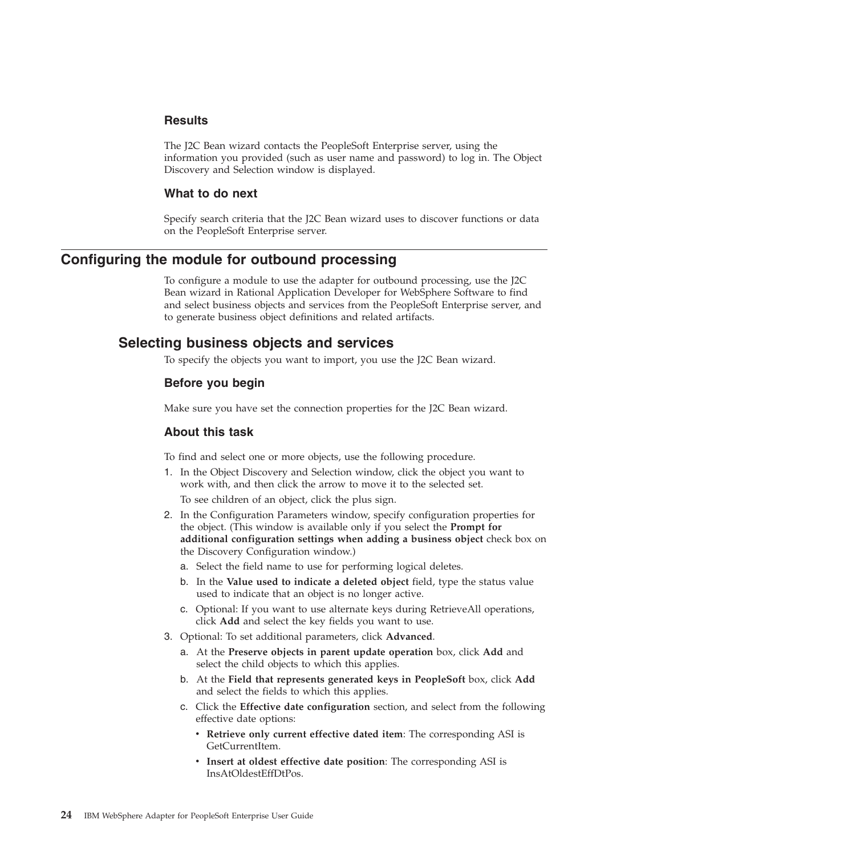#### <span id="page-27-0"></span>**Results**

The J2C Bean wizard contacts the PeopleSoft Enterprise server, using the information you provided (such as user name and password) to log in. The Object Discovery and Selection window is displayed.

#### **What to do next**

Specify search criteria that the J2C Bean wizard uses to discover functions or data on the PeopleSoft Enterprise server.

# **Configuring the module for outbound processing**

To configure a module to use the adapter for outbound processing, use the J2C Bean wizard in Rational Application Developer for WebSphere Software to find and select business objects and services from the PeopleSoft Enterprise server, and to generate business object definitions and related artifacts.

# **Selecting business objects and services**

To specify the objects you want to import, you use the J2C Bean wizard.

#### **Before you begin**

Make sure you have set the connection properties for the J2C Bean wizard.

#### **About this task**

To find and select one or more objects, use the following procedure.

- 1. In the Object Discovery and Selection window, click the object you want to work with, and then click the arrow to move it to the selected set. To see children of an object, click the plus sign.
- 2. In the Configuration Parameters window, specify configuration properties for the object. (This window is available only if you select the **Prompt for additional configuration settings when adding a business object** check box on the Discovery Configuration window.)
	- a. Select the field name to use for performing logical deletes.
	- b. In the **Value used to indicate a deleted object** field, type the status value used to indicate that an object is no longer active.
	- c. Optional: If you want to use alternate keys during RetrieveAll operations, click **Add** and select the key fields you want to use.
- 3. Optional: To set additional parameters, click **Advanced**.
	- a. At the **Preserve objects in parent update operation** box, click **Add** and select the child objects to which this applies.
	- b. At the **Field that represents generated keys in PeopleSoft** box, click **Add** and select the fields to which this applies.
	- c. Click the **Effective date configuration** section, and select from the following effective date options:
		- v **Retrieve only current effective dated item**: The corresponding ASI is GetCurrentItem.
		- v **Insert at oldest effective date position**: The corresponding ASI is InsAtOldestEffDtPos.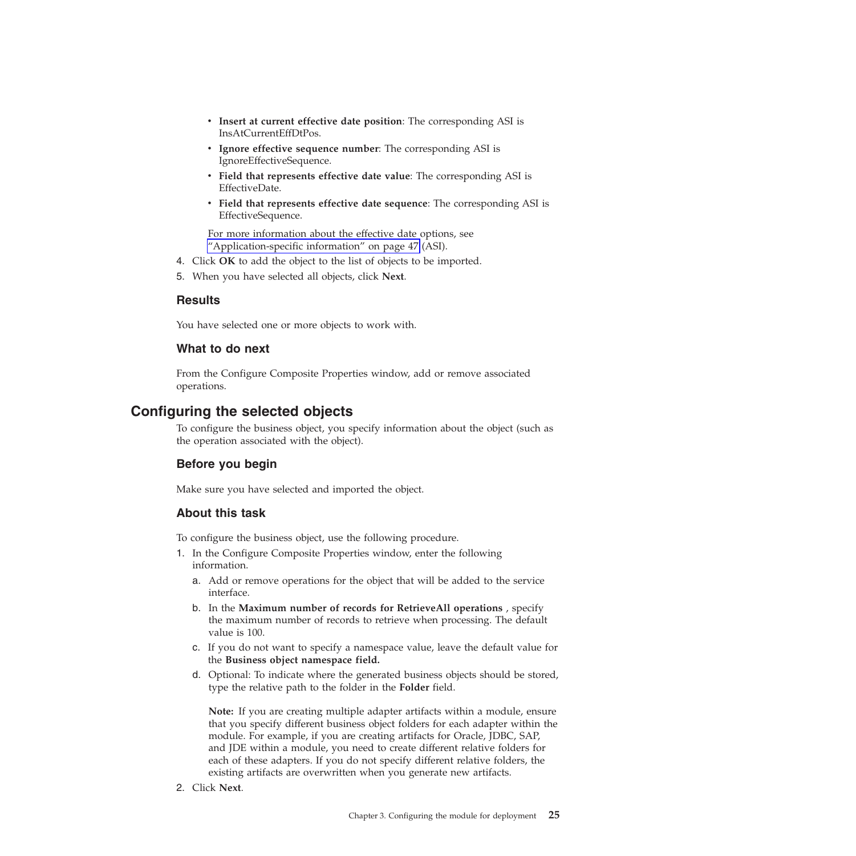- <span id="page-28-0"></span>v **Insert at current effective date position**: The corresponding ASI is InsAtCurrentEffDtPos.
- v **Ignore effective sequence number**: The corresponding ASI is IgnoreEffectiveSequence.
- v **Field that represents effective date value**: The corresponding ASI is EffectiveDate.
- v **Field that represents effective date sequence**: The corresponding ASI is EffectiveSequence.

For more information about the effective date options, see ["Application-specific information" on page 47](#page-50-0) (ASI).

- 4. Click **OK** to add the object to the list of objects to be imported.
- 5. When you have selected all objects, click **Next**.

#### **Results**

You have selected one or more objects to work with.

### **What to do next**

From the Configure Composite Properties window, add or remove associated operations.

# **Configuring the selected objects**

To configure the business object, you specify information about the object (such as the operation associated with the object).

### **Before you begin**

Make sure you have selected and imported the object.

### **About this task**

To configure the business object, use the following procedure.

- 1. In the Configure Composite Properties window, enter the following information.
	- a. Add or remove operations for the object that will be added to the service interface.
	- b. In the **Maximum number of records for RetrieveAll operations** , specify the maximum number of records to retrieve when processing. The default value is 100.
	- c. If you do not want to specify a namespace value, leave the default value for the **Business object namespace field.**
	- d. Optional: To indicate where the generated business objects should be stored, type the relative path to the folder in the **Folder** field.

**Note:** If you are creating multiple adapter artifacts within a module, ensure that you specify different business object folders for each adapter within the module. For example, if you are creating artifacts for Oracle, JDBC, SAP, and JDE within a module, you need to create different relative folders for each of these adapters. If you do not specify different relative folders, the existing artifacts are overwritten when you generate new artifacts.

2. Click **Next**.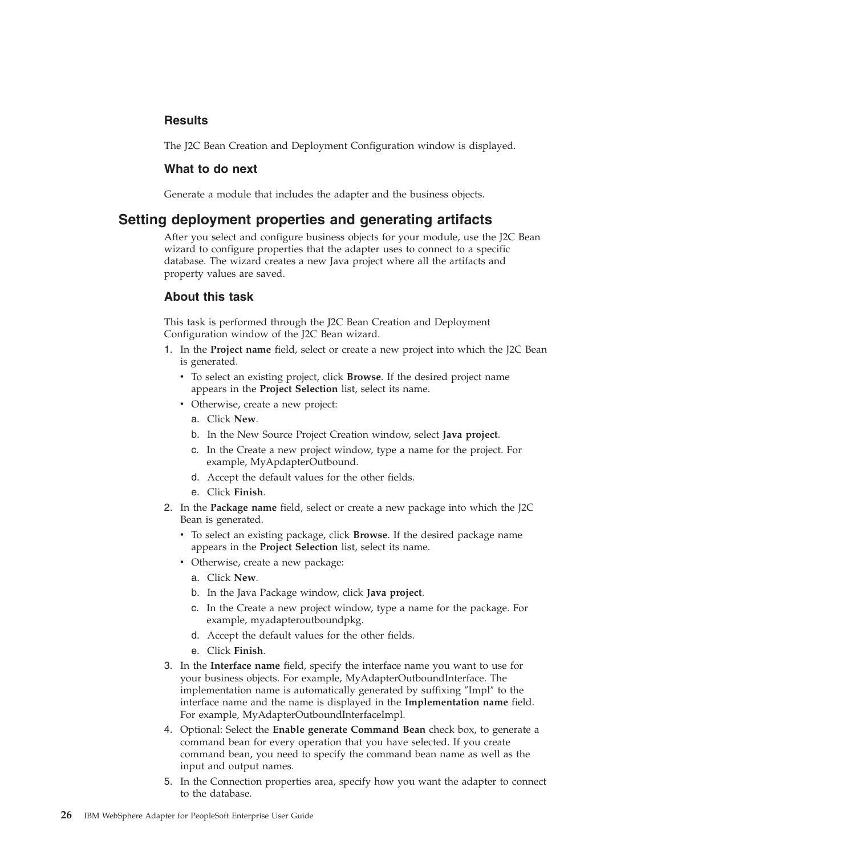### <span id="page-29-0"></span>**Results**

The J2C Bean Creation and Deployment Configuration window is displayed.

#### **What to do next**

Generate a module that includes the adapter and the business objects.

# **Setting deployment properties and generating artifacts**

After you select and configure business objects for your module, use the J2C Bean wizard to configure properties that the adapter uses to connect to a specific database. The wizard creates a new Java project where all the artifacts and property values are saved.

#### **About this task**

This task is performed through the J2C Bean Creation and Deployment Configuration window of the J2C Bean wizard.

- 1. In the **Project name** field, select or create a new project into which the J2C Bean is generated.
	- v To select an existing project, click **Browse**. If the desired project name appears in the **Project Selection** list, select its name.
	- Otherwise, create a new project:
		- a. Click **New**.
		- b. In the New Source Project Creation window, select **Java project**.
		- c. In the Create a new project window, type a name for the project. For example, MyApdapterOutbound.
		- d. Accept the default values for the other fields.
		- e. Click **Finish**.
- 2. In the **Package name** field, select or create a new package into which the J2C Bean is generated.
	- v To select an existing package, click **Browse**. If the desired package name appears in the **Project Selection** list, select its name.
	- Otherwise, create a new package:
		- a. Click **New**.
		- b. In the Java Package window, click **Java project**.
		- c. In the Create a new project window, type a name for the package. For example, myadapteroutboundpkg.
		- d. Accept the default values for the other fields.
		- e. Click **Finish**.
- 3. In the **Interface name** field, specify the interface name you want to use for your business objects. For example, MyAdapterOutboundInterface. The implementation name is automatically generated by suffixing ″Impl″ to the interface name and the name is displayed in the **Implementation name** field. For example, MyAdapterOutboundInterfaceImpl.
- 4. Optional: Select the **Enable generate Command Bean** check box, to generate a command bean for every operation that you have selected. If you create command bean, you need to specify the command bean name as well as the input and output names.
- 5. In the Connection properties area, specify how you want the adapter to connect to the database.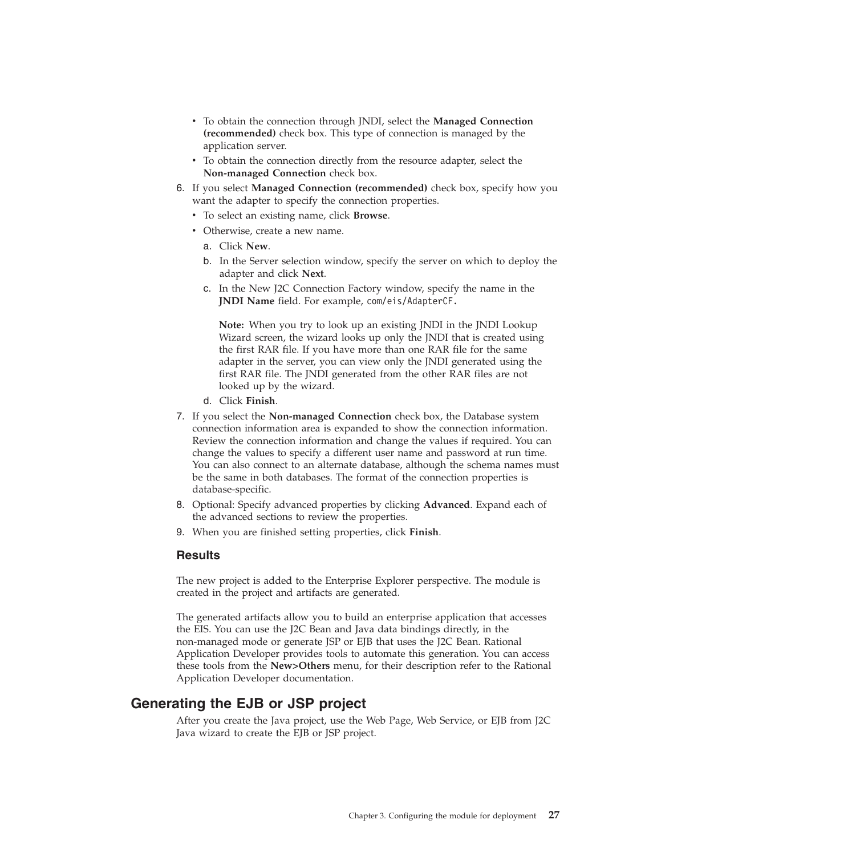- <span id="page-30-0"></span>v To obtain the connection through JNDI, select the **Managed Connection (recommended)** check box. This type of connection is managed by the application server.
- To obtain the connection directly from the resource adapter, select the **Non-managed Connection** check box.
- 6. If you select **Managed Connection (recommended)** check box, specify how you want the adapter to specify the connection properties.
	- v To select an existing name, click **Browse**.
	- Otherwise, create a new name.
		- a. Click **New**.
		- b. In the Server selection window, specify the server on which to deploy the adapter and click **Next**.
		- c. In the New J2C Connection Factory window, specify the name in the **JNDI Name** field. For example, com/eis/AdapterCF.

**Note:** When you try to look up an existing JNDI in the JNDI Lookup Wizard screen, the wizard looks up only the JNDI that is created using the first RAR file. If you have more than one RAR file for the same adapter in the server, you can view only the JNDI generated using the first RAR file. The JNDI generated from the other RAR files are not looked up by the wizard.

- d. Click **Finish**.
- 7. If you select the **Non-managed Connection** check box, the Database system connection information area is expanded to show the connection information. Review the connection information and change the values if required. You can change the values to specify a different user name and password at run time. You can also connect to an alternate database, although the schema names must be the same in both databases. The format of the connection properties is database-specific.
- 8. Optional: Specify advanced properties by clicking **Advanced**. Expand each of the advanced sections to review the properties.
- 9. When you are finished setting properties, click **Finish**.

#### **Results**

The new project is added to the Enterprise Explorer perspective. The module is created in the project and artifacts are generated.

The generated artifacts allow you to build an enterprise application that accesses the EIS. You can use the J2C Bean and Java data bindings directly, in the non-managed mode or generate JSP or EJB that uses the J2C Bean. Rational Application Developer provides tools to automate this generation. You can access these tools from the **New>Others** menu, for their description refer to the Rational Application Developer documentation.

# **Generating the EJB or JSP project**

After you create the Java project, use the Web Page, Web Service, or EJB from J2C Java wizard to create the EJB or JSP project.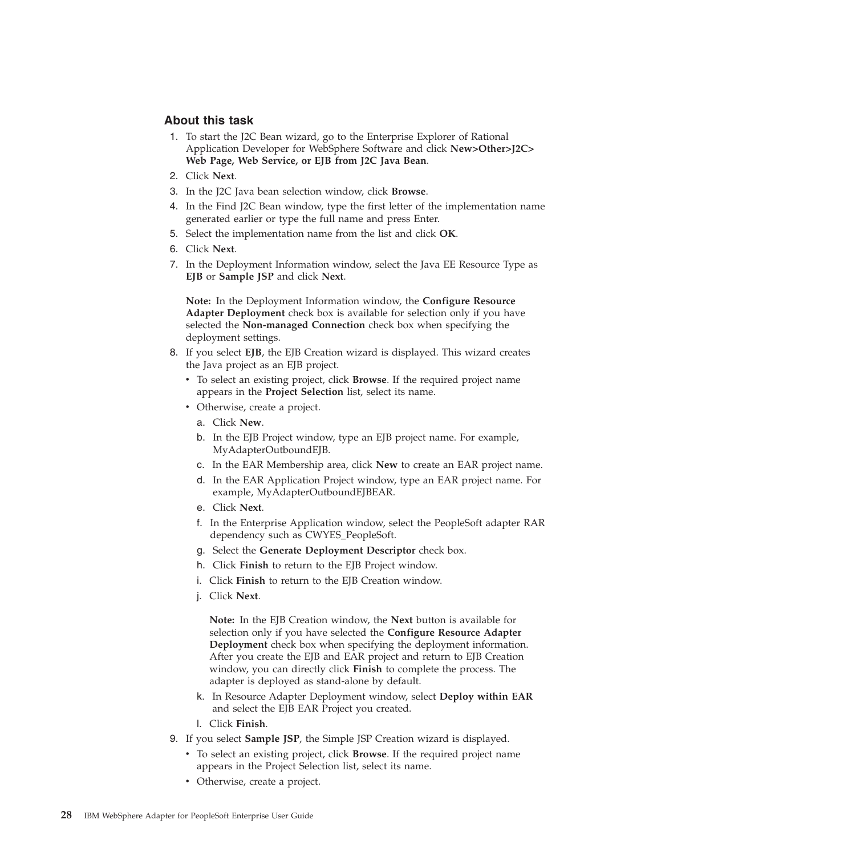### **About this task**

- 1. To start the J2C Bean wizard, go to the Enterprise Explorer of Rational Application Developer for WebSphere Software and click **New>Other>J2C> Web Page, Web Service, or EJB from J2C Java Bean**.
- 2. Click **Next**.
- 3. In the J2C Java bean selection window, click **Browse**.
- 4. In the Find J2C Bean window, type the first letter of the implementation name generated earlier or type the full name and press Enter.
- 5. Select the implementation name from the list and click **OK**.
- 6. Click **Next**.
- 7. In the Deployment Information window, select the Java EE Resource Type as **EJB** or **Sample JSP** and click **Next**.

**Note:** In the Deployment Information window, the **Configure Resource Adapter Deployment** check box is available for selection only if you have selected the **Non-managed Connection** check box when specifying the deployment settings.

- 8. If you select **EJB**, the EJB Creation wizard is displayed. This wizard creates the Java project as an EJB project.
	- v To select an existing project, click **Browse**. If the required project name appears in the **Project Selection** list, select its name.
	- Otherwise, create a project.
		- a. Click **New**.
		- b. In the EJB Project window, type an EJB project name. For example, MyAdapterOutboundEJB.
		- c. In the EAR Membership area, click **New** to create an EAR project name.
		- d. In the EAR Application Project window, type an EAR project name. For example, MyAdapterOutboundEJBEAR.
		- e. Click **Next**.
		- f. In the Enterprise Application window, select the PeopleSoft adapter RAR dependency such as CWYES\_PeopleSoft.
		- g. Select the **Generate Deployment Descriptor** check box.
		- h. Click **Finish** to return to the EJB Project window.
		- i. Click **Finish** to return to the EJB Creation window.
		- j. Click **Next**.

**Note:** In the EJB Creation window, the **Next** button is available for selection only if you have selected the **Configure Resource Adapter Deployment** check box when specifying the deployment information. After you create the EJB and EAR project and return to EJB Creation window, you can directly click **Finish** to complete the process. The adapter is deployed as stand-alone by default.

- k. In Resource Adapter Deployment window, select **Deploy within EAR** and select the EJB EAR Project you created.
- l. Click **Finish**.
- 9. If you select **Sample JSP**, the Simple JSP Creation wizard is displayed.
	- v To select an existing project, click **Browse**. If the required project name appears in the Project Selection list, select its name.
	- Otherwise, create a project.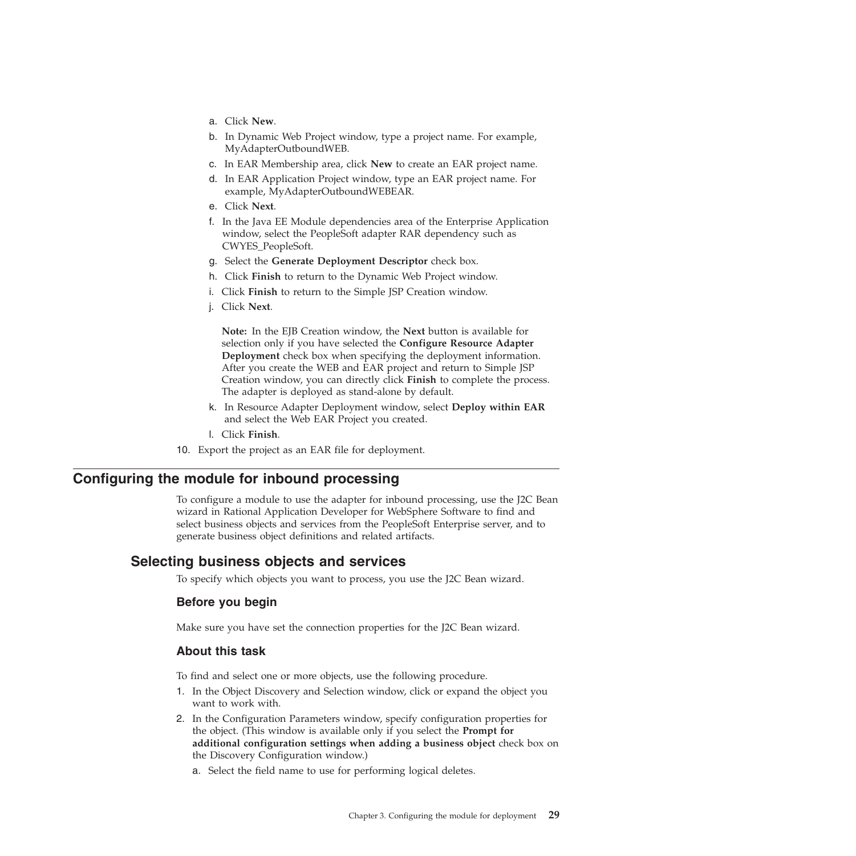- <span id="page-32-0"></span>a. Click **New**.
- b. In Dynamic Web Project window, type a project name. For example, MyAdapterOutboundWEB.
- c. In EAR Membership area, click **New** to create an EAR project name.
- d. In EAR Application Project window, type an EAR project name. For example, MyAdapterOutboundWEBEAR.
- e. Click **Next**.
- f. In the Java EE Module dependencies area of the Enterprise Application window, select the PeopleSoft adapter RAR dependency such as CWYES\_PeopleSoft.
- g. Select the **Generate Deployment Descriptor** check box.
- h. Click **Finish** to return to the Dynamic Web Project window.
- i. Click **Finish** to return to the Simple JSP Creation window.
- j. Click **Next**.

**Note:** In the EJB Creation window, the **Next** button is available for selection only if you have selected the **Configure Resource Adapter Deployment** check box when specifying the deployment information. After you create the WEB and EAR project and return to Simple JSP Creation window, you can directly click **Finish** to complete the process. The adapter is deployed as stand-alone by default.

- k. In Resource Adapter Deployment window, select **Deploy within EAR** and select the Web EAR Project you created.
- l. Click **Finish**.
- 10. Export the project as an EAR file for deployment.

# **Configuring the module for inbound processing**

To configure a module to use the adapter for inbound processing, use the J2C Bean wizard in Rational Application Developer for WebSphere Software to find and select business objects and services from the PeopleSoft Enterprise server, and to generate business object definitions and related artifacts.

### **Selecting business objects and services**

To specify which objects you want to process, you use the J2C Bean wizard.

#### **Before you begin**

Make sure you have set the connection properties for the J2C Bean wizard.

#### **About this task**

To find and select one or more objects, use the following procedure.

- 1. In the Object Discovery and Selection window, click or expand the object you want to work with.
- 2. In the Configuration Parameters window, specify configuration properties for the object. (This window is available only if you select the **Prompt for additional configuration settings when adding a business object** check box on the Discovery Configuration window.)
	- a. Select the field name to use for performing logical deletes.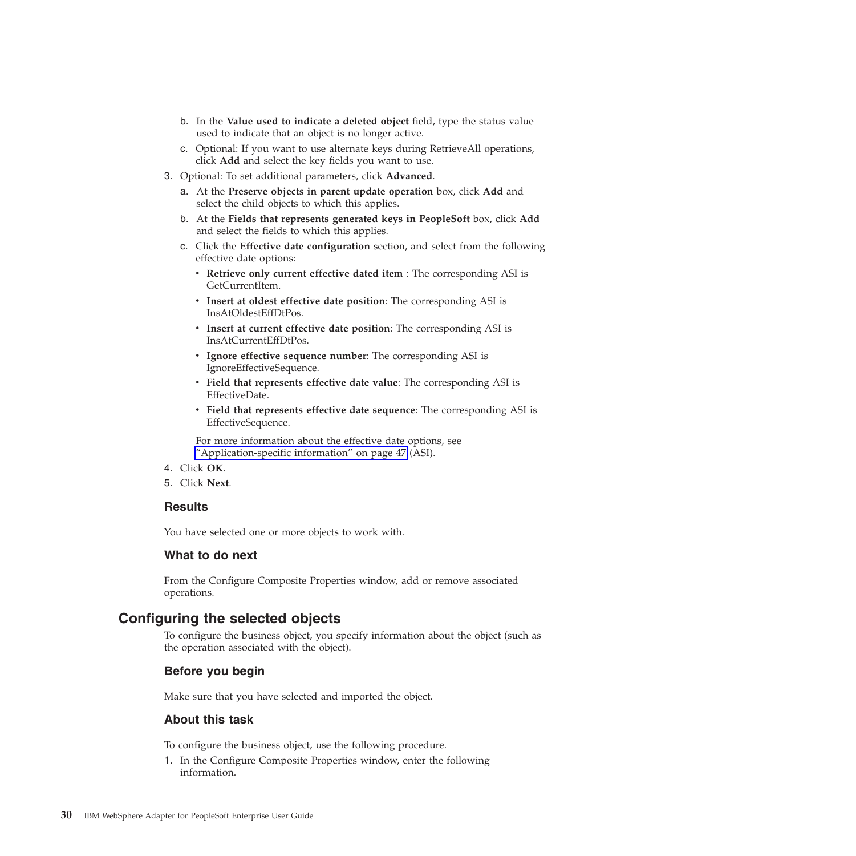- <span id="page-33-0"></span>b. In the **Value used to indicate a deleted object** field, type the status value used to indicate that an object is no longer active.
- c. Optional: If you want to use alternate keys during RetrieveAll operations, click **Add** and select the key fields you want to use.
- 3. Optional: To set additional parameters, click **Advanced**.
	- a. At the **Preserve objects in parent update operation** box, click **Add** and select the child objects to which this applies.
	- b. At the **Fields that represents generated keys in PeopleSoft** box, click **Add** and select the fields to which this applies.
	- c. Click the **Effective date configuration** section, and select from the following effective date options:
		- v **Retrieve only current effective dated item** : The corresponding ASI is GetCurrentItem.
		- v **Insert at oldest effective date position**: The corresponding ASI is InsAtOldestEffDtPos.
		- v **Insert at current effective date position**: The corresponding ASI is InsAtCurrentEffDtPos.
		- v **Ignore effective sequence number**: The corresponding ASI is IgnoreEffectiveSequence.
		- v **Field that represents effective date value**: The corresponding ASI is EffectiveDate.
		- v **Field that represents effective date sequence**: The corresponding ASI is EffectiveSequence.

For more information about the effective date options, see ["Application-specific information" on page 47](#page-50-0) (ASI).

- 4. Click **OK**.
- 5. Click **Next**.

#### **Results**

You have selected one or more objects to work with.

#### **What to do next**

From the Configure Composite Properties window, add or remove associated operations.

### **Configuring the selected objects**

To configure the business object, you specify information about the object (such as the operation associated with the object).

#### **Before you begin**

Make sure that you have selected and imported the object.

#### **About this task**

To configure the business object, use the following procedure.

1. In the Configure Composite Properties window, enter the following information.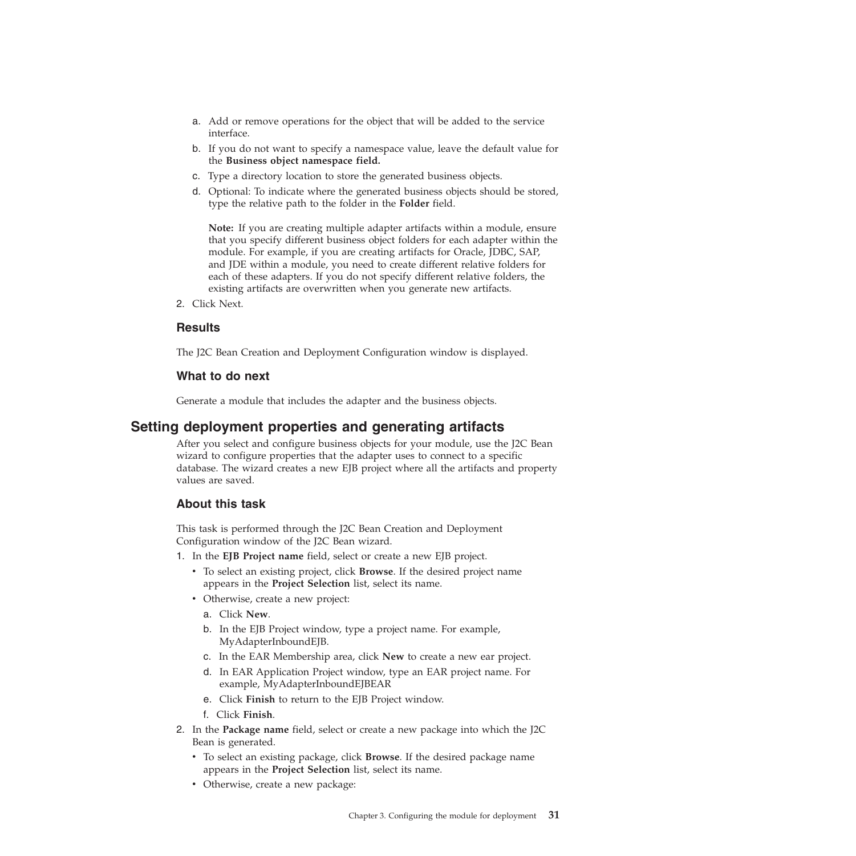- <span id="page-34-0"></span>a. Add or remove operations for the object that will be added to the service interface.
- b. If you do not want to specify a namespace value, leave the default value for the **Business object namespace field.**
- c. Type a directory location to store the generated business objects.
- d. Optional: To indicate where the generated business objects should be stored, type the relative path to the folder in the **Folder** field.

**Note:** If you are creating multiple adapter artifacts within a module, ensure that you specify different business object folders for each adapter within the module. For example, if you are creating artifacts for Oracle, JDBC, SAP, and JDE within a module, you need to create different relative folders for each of these adapters. If you do not specify different relative folders, the existing artifacts are overwritten when you generate new artifacts.

2. Click Next.

### **Results**

The J2C Bean Creation and Deployment Configuration window is displayed.

#### **What to do next**

Generate a module that includes the adapter and the business objects.

# **Setting deployment properties and generating artifacts**

After you select and configure business objects for your module, use the J2C Bean wizard to configure properties that the adapter uses to connect to a specific database. The wizard creates a new EJB project where all the artifacts and property values are saved.

### **About this task**

This task is performed through the J2C Bean Creation and Deployment Configuration window of the J2C Bean wizard.

- 1. In the **EJB Project name** field, select or create a new EJB project.
	- v To select an existing project, click **Browse**. If the desired project name appears in the **Project Selection** list, select its name.
	- Otherwise, create a new project:
		- a. Click **New**.
		- b. In the EJB Project window, type a project name. For example, MyAdapterInboundEJB.
		- c. In the EAR Membership area, click **New** to create a new ear project.
		- d. In EAR Application Project window, type an EAR project name. For example, MyAdapterInboundEJBEAR
		- e. Click **Finish** to return to the EJB Project window.
		- f. Click **Finish**.
- 2. In the **Package name** field, select or create a new package into which the J2C Bean is generated.
	- v To select an existing package, click **Browse**. If the desired package name appears in the **Project Selection** list, select its name.
	- Otherwise, create a new package: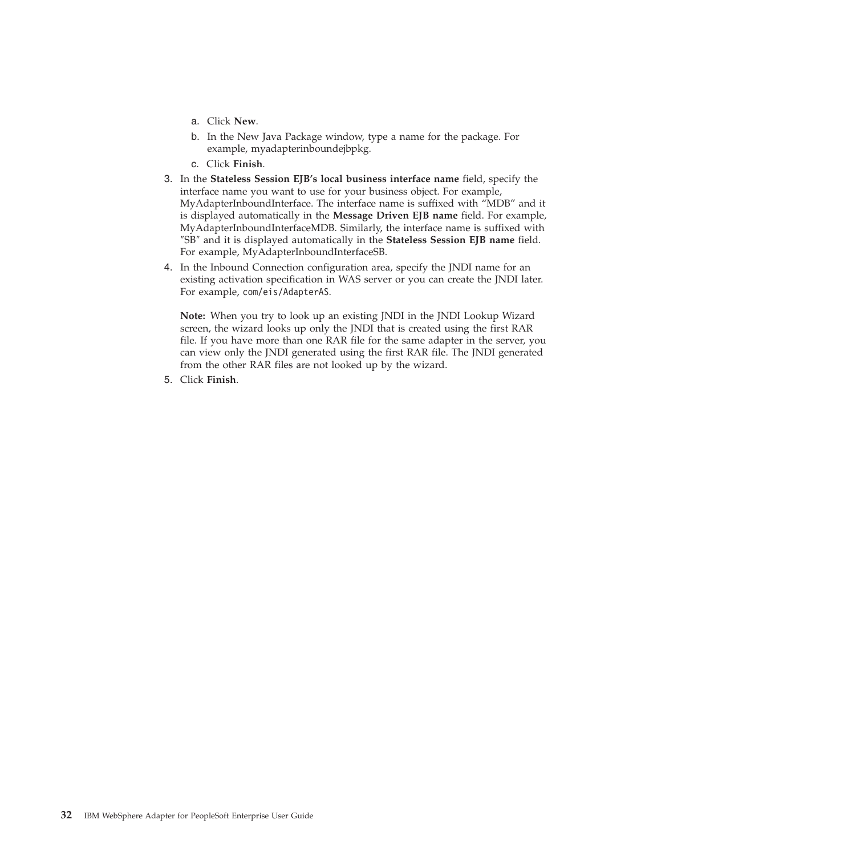- a. Click **New**.
- b. In the New Java Package window, type a name for the package. For example, myadapterinboundejbpkg.
- c. Click **Finish**.
- 3. In the **Stateless Session EJB's local business interface name** field, specify the interface name you want to use for your business object. For example, MyAdapterInboundInterface. The interface name is suffixed with "MDB" and it is displayed automatically in the **Message Driven EJB name** field. For example, MyAdapterInboundInterfaceMDB. Similarly, the interface name is suffixed with ″SB″ and it is displayed automatically in the **Stateless Session EJB name** field. For example, MyAdapterInboundInterfaceSB.
- 4. In the Inbound Connection configuration area, specify the JNDI name for an existing activation specification in WAS server or you can create the JNDI later. For example, com/eis/AdapterAS.

**Note:** When you try to look up an existing JNDI in the JNDI Lookup Wizard screen, the wizard looks up only the JNDI that is created using the first RAR file. If you have more than one RAR file for the same adapter in the server, you can view only the JNDI generated using the first RAR file. The JNDI generated from the other RAR files are not looked up by the wizard.

5. Click **Finish**.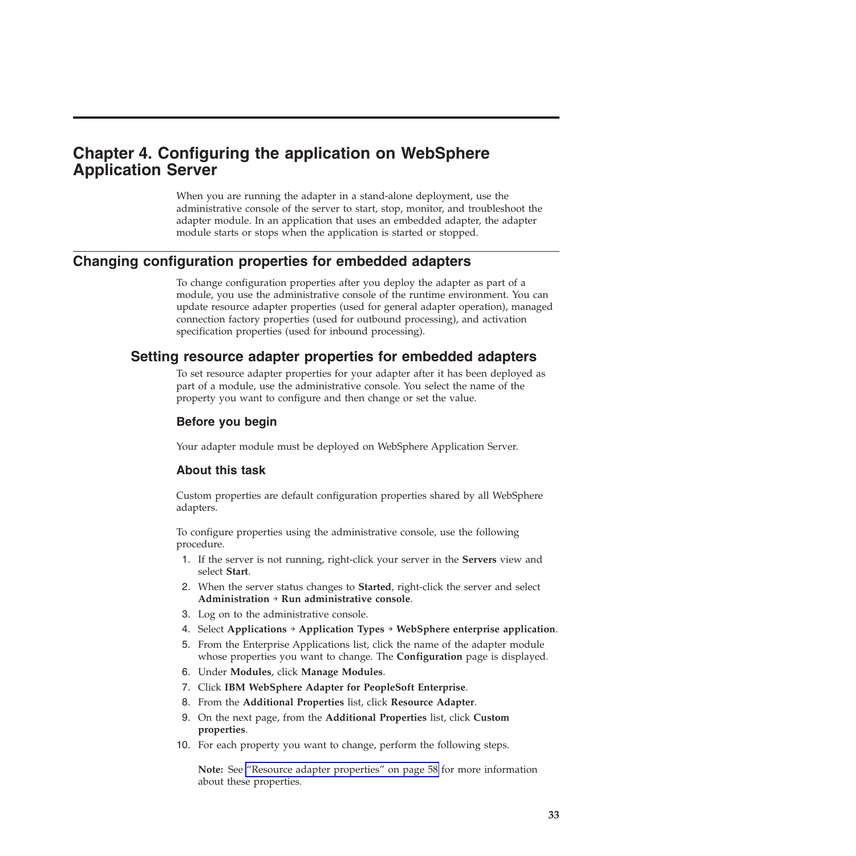# **Chapter 4. Configuring the application on WebSphere Application Server**

When you are running the adapter in a stand-alone deployment, use the administrative console of the server to start, stop, monitor, and troubleshoot the adapter module. In an application that uses an embedded adapter, the adapter module starts or stops when the application is started or stopped.

## **Changing configuration properties for embedded adapters**

To change configuration properties after you deploy the adapter as part of a module, you use the administrative console of the runtime environment. You can update resource adapter properties (used for general adapter operation), managed connection factory properties (used for outbound processing), and activation specification properties (used for inbound processing).

# **Setting resource adapter properties for embedded adapters**

To set resource adapter properties for your adapter after it has been deployed as part of a module, use the administrative console. You select the name of the property you want to configure and then change or set the value.

### **Before you begin**

Your adapter module must be deployed on WebSphere Application Server.

### **About this task**

Custom properties are default configuration properties shared by all WebSphere adapters.

To configure properties using the administrative console, use the following procedure.

- 1. If the server is not running, right-click your server in the **Servers** view and select **Start**.
- 2. When the server status changes to **Started**, right-click the server and select **Administration** → **Run administrative console**.
- 3. Log on to the administrative console.
- 4. Select **Applications** → **Application Types** → **WebSphere enterprise application**.
- 5. From the Enterprise Applications list, click the name of the adapter module whose properties you want to change. The **Configuration** page is displayed.
- 6. Under **Modules**, click **Manage Modules**.
- 7. Click **IBM WebSphere Adapter for PeopleSoft Enterprise**.
- 8. From the **Additional Properties** list, click **Resource Adapter**.
- 9. On the next page, from the **Additional Properties** list, click **Custom properties**.
- 10. For each property you want to change, perform the following steps.

**Note:** See ["Resource adapter properties" on page 58](#page-61-0) for more information about these properties.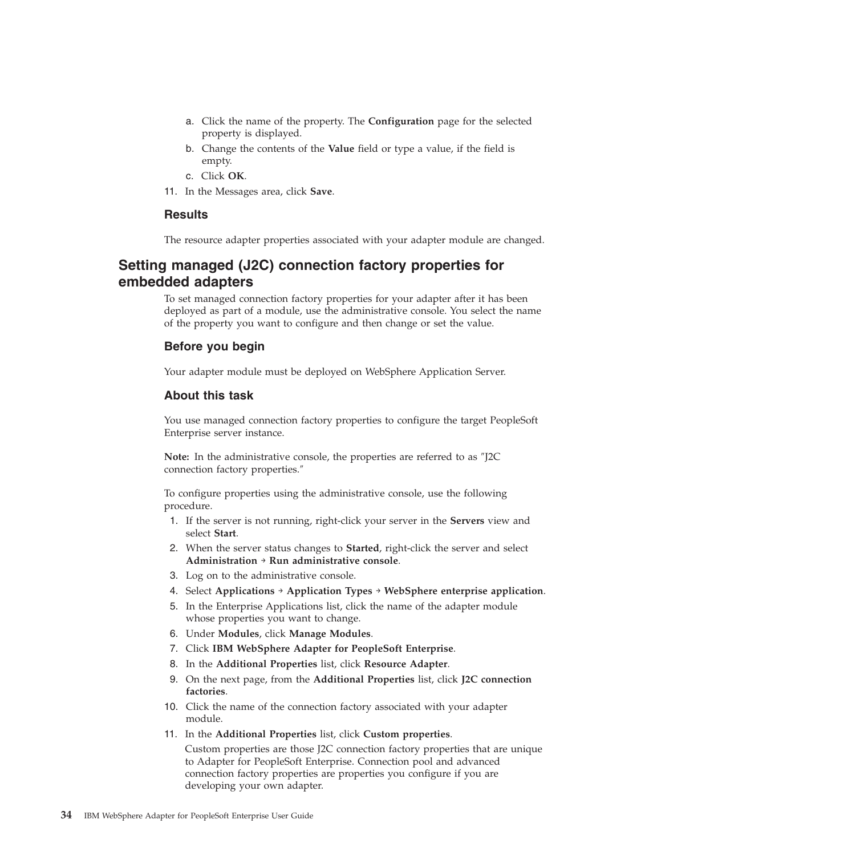- a. Click the name of the property. The **Configuration** page for the selected property is displayed.
- b. Change the contents of the **Value** field or type a value, if the field is empty.
- c. Click **OK**.
- 11. In the Messages area, click **Save**.

#### **Results**

The resource adapter properties associated with your adapter module are changed.

# **Setting managed (J2C) connection factory properties for embedded adapters**

To set managed connection factory properties for your adapter after it has been deployed as part of a module, use the administrative console. You select the name of the property you want to configure and then change or set the value.

#### **Before you begin**

Your adapter module must be deployed on WebSphere Application Server.

#### **About this task**

You use managed connection factory properties to configure the target PeopleSoft Enterprise server instance.

**Note:** In the administrative console, the properties are referred to as ″J2C connection factory properties.″

To configure properties using the administrative console, use the following procedure.

- 1. If the server is not running, right-click your server in the **Servers** view and select **Start**.
- 2. When the server status changes to **Started**, right-click the server and select **Administration** → **Run administrative console**.
- 3. Log on to the administrative console.
- 4. Select **Applications** → **Application Types** → **WebSphere enterprise application**.
- 5. In the Enterprise Applications list, click the name of the adapter module whose properties you want to change.
- 6. Under **Modules**, click **Manage Modules**.
- 7. Click **IBM WebSphere Adapter for PeopleSoft Enterprise**.
- 8. In the **Additional Properties** list, click **Resource Adapter**.
- 9. On the next page, from the **Additional Properties** list, click **J2C connection factories**.
- 10. Click the name of the connection factory associated with your adapter module.
- 11. In the **Additional Properties** list, click **Custom properties**.

Custom properties are those J2C connection factory properties that are unique to Adapter for PeopleSoft Enterprise. Connection pool and advanced connection factory properties are properties you configure if you are developing your own adapter.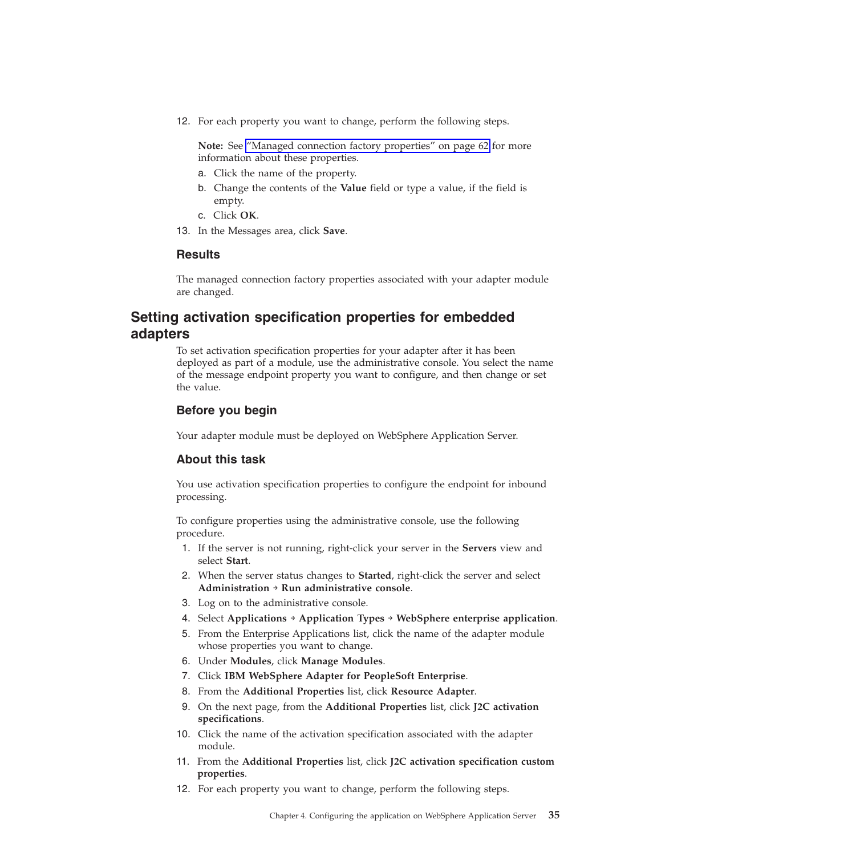12. For each property you want to change, perform the following steps.

**Note:** See ["Managed connection factory properties" on page 62](#page-65-0) for more information about these properties.

- a. Click the name of the property.
- b. Change the contents of the **Value** field or type a value, if the field is empty.
- c. Click **OK**.
- 13. In the Messages area, click **Save**.

### **Results**

The managed connection factory properties associated with your adapter module are changed.

## **Setting activation specification properties for embedded adapters**

To set activation specification properties for your adapter after it has been deployed as part of a module, use the administrative console. You select the name of the message endpoint property you want to configure, and then change or set the value.

#### **Before you begin**

Your adapter module must be deployed on WebSphere Application Server.

#### **About this task**

You use activation specification properties to configure the endpoint for inbound processing.

To configure properties using the administrative console, use the following procedure.

- 1. If the server is not running, right-click your server in the **Servers** view and select **Start**.
- 2. When the server status changes to **Started**, right-click the server and select **Administration** → **Run administrative console**.
- 3. Log on to the administrative console.
- 4. Select **Applications** → **Application Types** → **WebSphere enterprise application**.
- 5. From the Enterprise Applications list, click the name of the adapter module whose properties you want to change.
- 6. Under **Modules**, click **Manage Modules**.
- 7. Click **IBM WebSphere Adapter for PeopleSoft Enterprise**.
- 8. From the **Additional Properties** list, click **Resource Adapter**.
- 9. On the next page, from the **Additional Properties** list, click **J2C activation specifications**.
- 10. Click the name of the activation specification associated with the adapter module.
- 11. From the **Additional Properties** list, click **J2C activation specification custom properties**.
- 12. For each property you want to change, perform the following steps.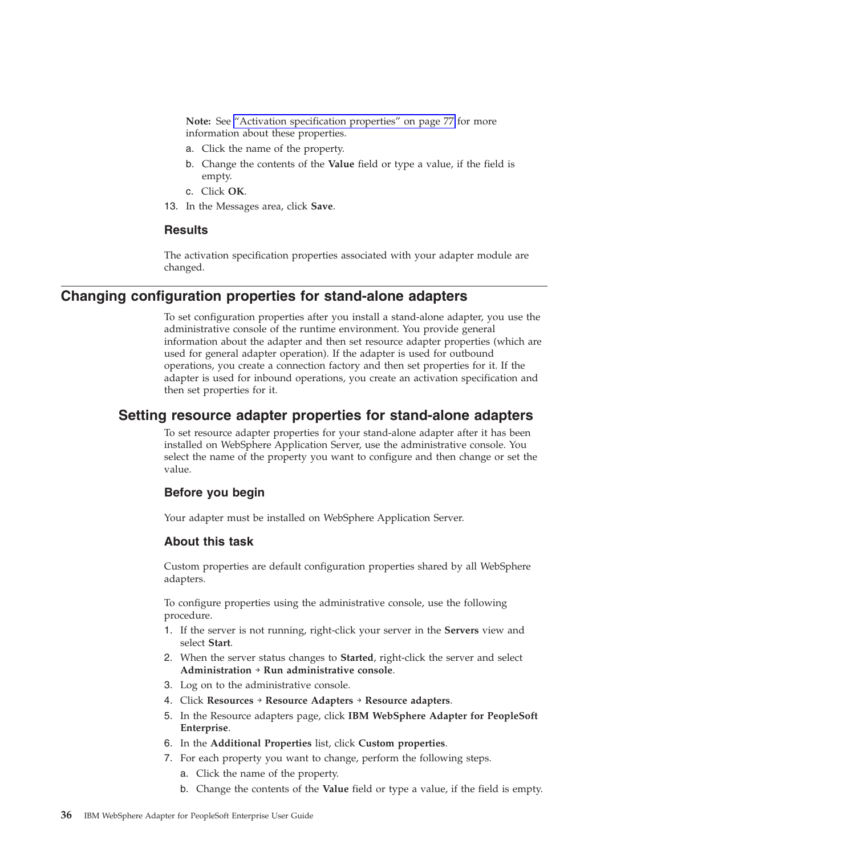**Note:** See ["Activation specification properties" on page 77](#page-80-0) for more information about these properties.

- a. Click the name of the property.
- b. Change the contents of the **Value** field or type a value, if the field is empty.
- c. Click **OK**.
- 13. In the Messages area, click **Save**.

#### **Results**

The activation specification properties associated with your adapter module are changed.

### **Changing configuration properties for stand-alone adapters**

To set configuration properties after you install a stand-alone adapter, you use the administrative console of the runtime environment. You provide general information about the adapter and then set resource adapter properties (which are used for general adapter operation). If the adapter is used for outbound operations, you create a connection factory and then set properties for it. If the adapter is used for inbound operations, you create an activation specification and then set properties for it.

### **Setting resource adapter properties for stand-alone adapters**

To set resource adapter properties for your stand-alone adapter after it has been installed on WebSphere Application Server, use the administrative console. You select the name of the property you want to configure and then change or set the value.

#### **Before you begin**

Your adapter must be installed on WebSphere Application Server.

#### **About this task**

Custom properties are default configuration properties shared by all WebSphere adapters.

To configure properties using the administrative console, use the following procedure.

- 1. If the server is not running, right-click your server in the **Servers** view and select **Start**.
- 2. When the server status changes to **Started**, right-click the server and select **Administration** → **Run administrative console**.
- 3. Log on to the administrative console.
- 4. Click **Resources** → **Resource Adapters** → **Resource adapters**.
- 5. In the Resource adapters page, click **IBM WebSphere Adapter for PeopleSoft Enterprise**.
- 6. In the **Additional Properties** list, click **Custom properties**.
- 7. For each property you want to change, perform the following steps.
	- a. Click the name of the property.
	- b. Change the contents of the **Value** field or type a value, if the field is empty.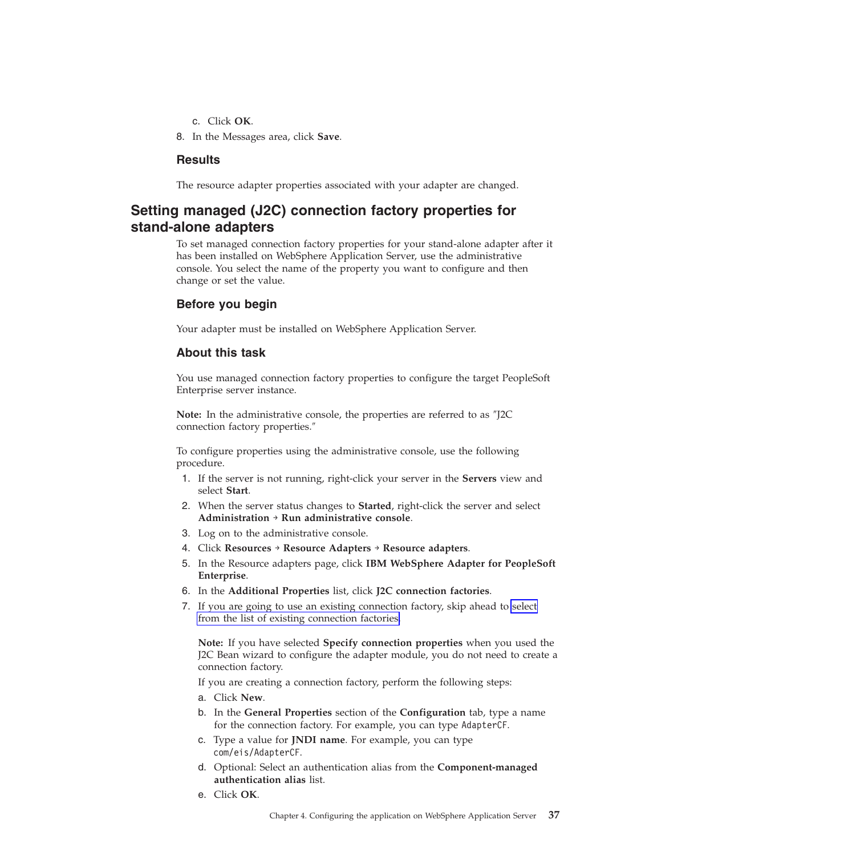- c. Click **OK**.
- 8. In the Messages area, click **Save**.

#### **Results**

The resource adapter properties associated with your adapter are changed.

# **Setting managed (J2C) connection factory properties for stand-alone adapters**

To set managed connection factory properties for your stand-alone adapter after it has been installed on WebSphere Application Server, use the administrative console. You select the name of the property you want to configure and then change or set the value.

### **Before you begin**

Your adapter must be installed on WebSphere Application Server.

### **About this task**

You use managed connection factory properties to configure the target PeopleSoft Enterprise server instance.

**Note:** In the administrative console, the properties are referred to as ″J2C connection factory properties.″

To configure properties using the administrative console, use the following procedure.

- 1. If the server is not running, right-click your server in the **Servers** view and select **Start**.
- 2. When the server status changes to **Started**, right-click the server and select **Administration** → **Run administrative console**.
- 3. Log on to the administrative console.
- 4. Click **Resources** → **Resource Adapters** → **Resource adapters**.
- 5. In the Resource adapters page, click **IBM WebSphere Adapter for PeopleSoft Enterprise**.
- 6. In the **Additional Properties** list, click **J2C connection factories**.
- 7. If you are going to use an existing connection factory, skip ahead to [select](#page-41-0) [from the list of existing connection factories.](#page-41-0)

**Note:** If you have selected **Specify connection properties** when you used the J2C Bean wizard to configure the adapter module, you do not need to create a connection factory.

If you are creating a connection factory, perform the following steps:

- a. Click **New**.
- b. In the **General Properties** section of the **Configuration** tab, type a name for the connection factory. For example, you can type AdapterCF.
- c. Type a value for **JNDI name**. For example, you can type com/eis/AdapterCF.
- d. Optional: Select an authentication alias from the **Component-managed authentication alias** list.
- e. Click **OK**.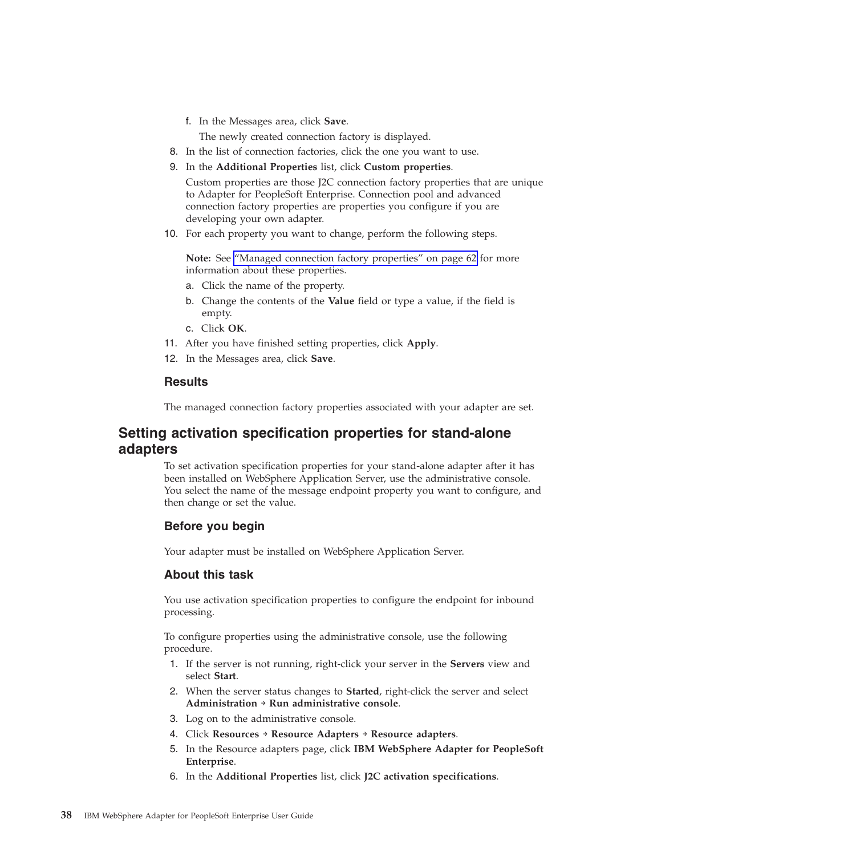f. In the Messages area, click **Save**.

The newly created connection factory is displayed.

- <span id="page-41-0"></span>8. In the list of connection factories, click the one you want to use.
- 9. In the **Additional Properties** list, click **Custom properties**.

Custom properties are those J2C connection factory properties that are unique to Adapter for PeopleSoft Enterprise. Connection pool and advanced connection factory properties are properties you configure if you are developing your own adapter.

10. For each property you want to change, perform the following steps.

**Note:** See ["Managed connection factory properties" on page 62](#page-65-0) for more information about these properties.

- a. Click the name of the property.
- b. Change the contents of the **Value** field or type a value, if the field is empty.
- c. Click **OK**.
- 11. After you have finished setting properties, click **Apply**.
- 12. In the Messages area, click **Save**.

#### **Results**

The managed connection factory properties associated with your adapter are set.

## **Setting activation specification properties for stand-alone adapters**

To set activation specification properties for your stand-alone adapter after it has been installed on WebSphere Application Server, use the administrative console. You select the name of the message endpoint property you want to configure, and then change or set the value.

## **Before you begin**

Your adapter must be installed on WebSphere Application Server.

### **About this task**

You use activation specification properties to configure the endpoint for inbound processing.

To configure properties using the administrative console, use the following procedure.

- 1. If the server is not running, right-click your server in the **Servers** view and select **Start**.
- 2. When the server status changes to **Started**, right-click the server and select **Administration** → **Run administrative console**.
- 3. Log on to the administrative console.
- 4. Click **Resources** → **Resource Adapters** → **Resource adapters**.
- 5. In the Resource adapters page, click **IBM WebSphere Adapter for PeopleSoft Enterprise**.
- 6. In the **Additional Properties** list, click **J2C activation specifications**.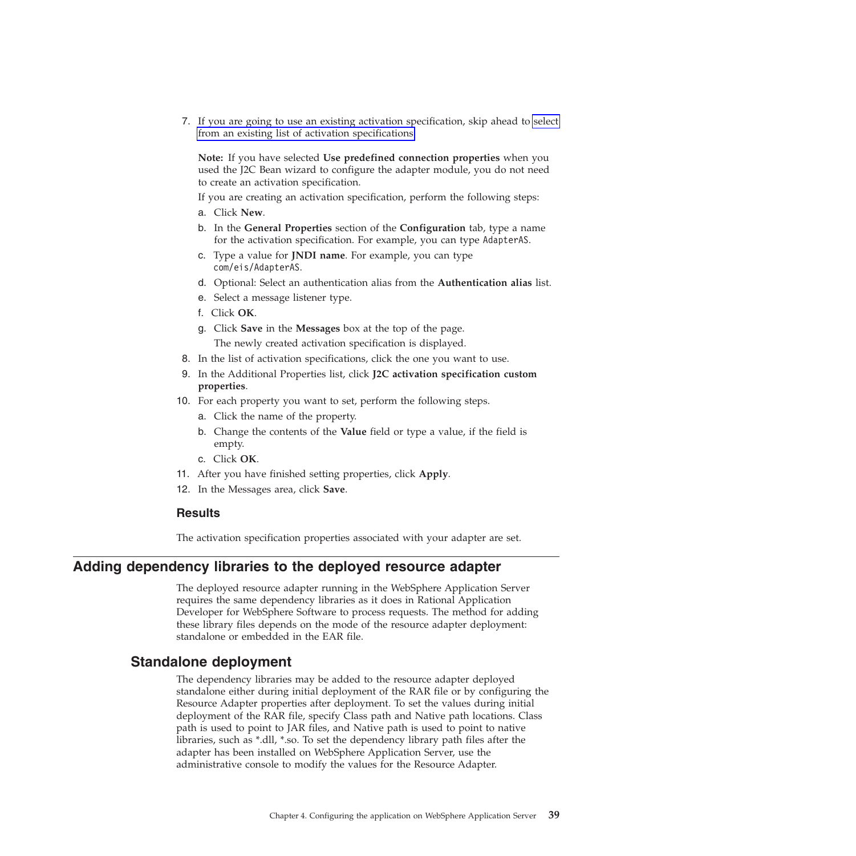7. If you are going to use an existing activation specification, skip ahead to select from an existing list of activation specifications.

**Note:** If you have selected **Use predefined connection properties** when you used the J2C Bean wizard to configure the adapter module, you do not need to create an activation specification.

If you are creating an activation specification, perform the following steps:

- a. Click **New**.
- b. In the **General Properties** section of the **Configuration** tab, type a name for the activation specification. For example, you can type AdapterAS.
- c. Type a value for **JNDI name**. For example, you can type com/eis/AdapterAS.
- d. Optional: Select an authentication alias from the **Authentication alias** list.
- e. Select a message listener type.
- f. Click **OK**.
- g. Click **Save** in the **Messages** box at the top of the page. The newly created activation specification is displayed.
- 8. In the list of activation specifications, click the one you want to use.
- 9. In the Additional Properties list, click **J2C activation specification custom properties**.
- 10. For each property you want to set, perform the following steps.
	- a. Click the name of the property.
	- b. Change the contents of the **Value** field or type a value, if the field is empty.
	- c. Click **OK**.
- 11. After you have finished setting properties, click **Apply**.
- 12. In the Messages area, click **Save**.

#### **Results**

The activation specification properties associated with your adapter are set.

## **Adding dependency libraries to the deployed resource adapter**

The deployed resource adapter running in the WebSphere Application Server requires the same dependency libraries as it does in Rational Application Developer for WebSphere Software to process requests. The method for adding these library files depends on the mode of the resource adapter deployment: standalone or embedded in the EAR file.

## **Standalone deployment**

The dependency libraries may be added to the resource adapter deployed standalone either during initial deployment of the RAR file or by configuring the Resource Adapter properties after deployment. To set the values during initial deployment of the RAR file, specify Class path and Native path locations. Class path is used to point to JAR files, and Native path is used to point to native libraries, such as \*.dll, \*.so. To set the dependency library path files after the adapter has been installed on WebSphere Application Server, use the administrative console to modify the values for the Resource Adapter.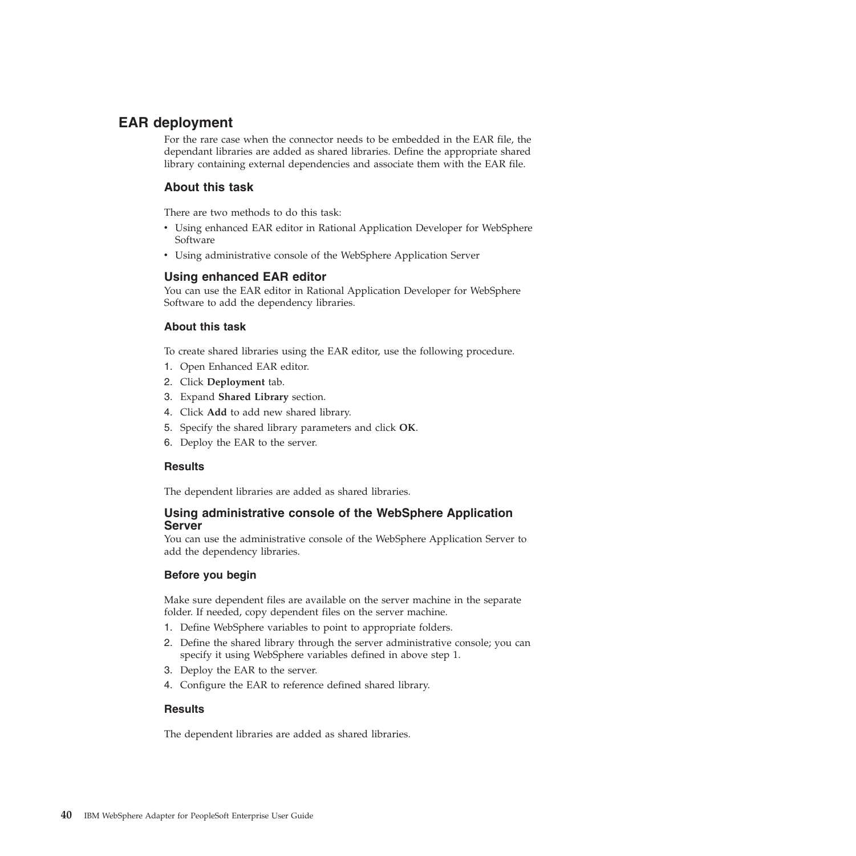# **EAR deployment**

For the rare case when the connector needs to be embedded in the EAR file, the dependant libraries are added as shared libraries. Define the appropriate shared library containing external dependencies and associate them with the EAR file.

### **About this task**

There are two methods to do this task:

- v Using enhanced EAR editor in Rational Application Developer for WebSphere Software
- v Using administrative console of the WebSphere Application Server

#### **Using enhanced EAR editor**

You can use the EAR editor in Rational Application Developer for WebSphere Software to add the dependency libraries.

#### **About this task**

To create shared libraries using the EAR editor, use the following procedure.

- 1. Open Enhanced EAR editor.
- 2. Click **Deployment** tab.
- 3. Expand **Shared Library** section.
- 4. Click **Add** to add new shared library.
- 5. Specify the shared library parameters and click **OK**.
- 6. Deploy the EAR to the server.

#### **Results**

The dependent libraries are added as shared libraries.

#### **Using administrative console of the WebSphere Application Server**

You can use the administrative console of the WebSphere Application Server to add the dependency libraries.

#### **Before you begin**

Make sure dependent files are available on the server machine in the separate folder. If needed, copy dependent files on the server machine.

- 1. Define WebSphere variables to point to appropriate folders.
- 2. Define the shared library through the server administrative console; you can specify it using WebSphere variables defined in above step 1.
- 3. Deploy the EAR to the server.
- 4. Configure the EAR to reference defined shared library.

#### **Results**

The dependent libraries are added as shared libraries.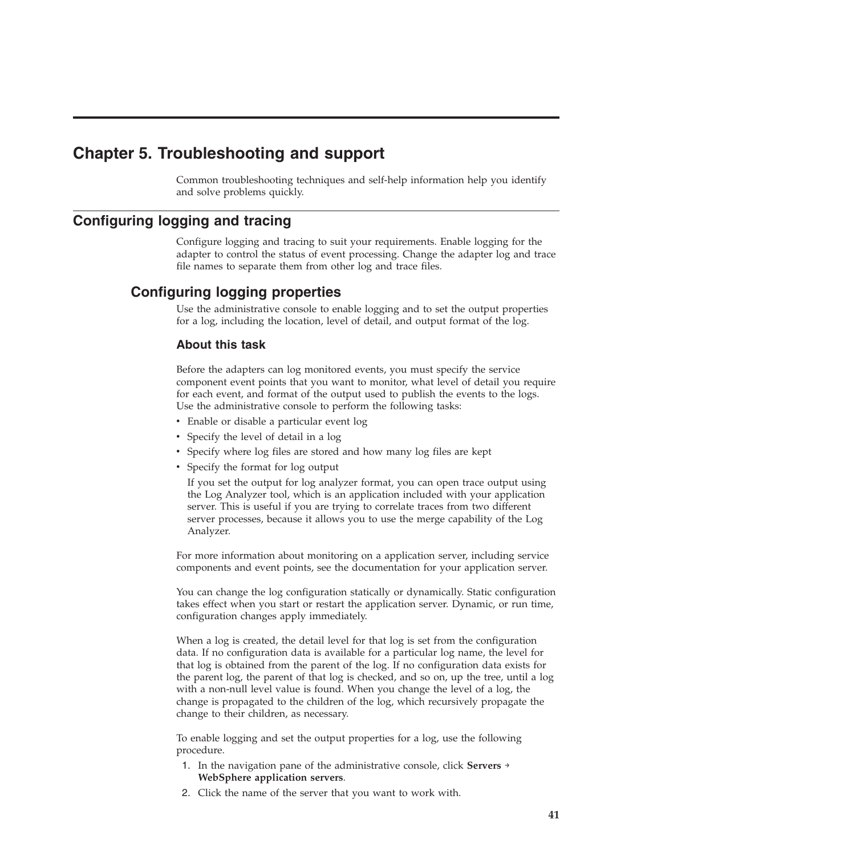# **Chapter 5. Troubleshooting and support**

Common troubleshooting techniques and self-help information help you identify and solve problems quickly.

# **Configuring logging and tracing**

Configure logging and tracing to suit your requirements. Enable logging for the adapter to control the status of event processing. Change the adapter log and trace file names to separate them from other log and trace files.

# **Configuring logging properties**

Use the administrative console to enable logging and to set the output properties for a log, including the location, level of detail, and output format of the log.

## **About this task**

Before the adapters can log monitored events, you must specify the service component event points that you want to monitor, what level of detail you require for each event, and format of the output used to publish the events to the logs. Use the administrative console to perform the following tasks:

- Enable or disable a particular event log
- Specify the level of detail in a log
- v Specify where log files are stored and how many log files are kept
- Specify the format for log output

If you set the output for log analyzer format, you can open trace output using the Log Analyzer tool, which is an application included with your application server. This is useful if you are trying to correlate traces from two different server processes, because it allows you to use the merge capability of the Log Analyzer.

For more information about monitoring on a application server, including service components and event points, see the documentation for your application server.

You can change the log configuration statically or dynamically. Static configuration takes effect when you start or restart the application server. Dynamic, or run time, configuration changes apply immediately.

When a log is created, the detail level for that log is set from the configuration data. If no configuration data is available for a particular log name, the level for that log is obtained from the parent of the log. If no configuration data exists for the parent log, the parent of that log is checked, and so on, up the tree, until a log with a non-null level value is found. When you change the level of a log, the change is propagated to the children of the log, which recursively propagate the change to their children, as necessary.

To enable logging and set the output properties for a log, use the following procedure.

- 1. In the navigation pane of the administrative console, click **Servers** → **WebSphere application servers**.
- 2. Click the name of the server that you want to work with.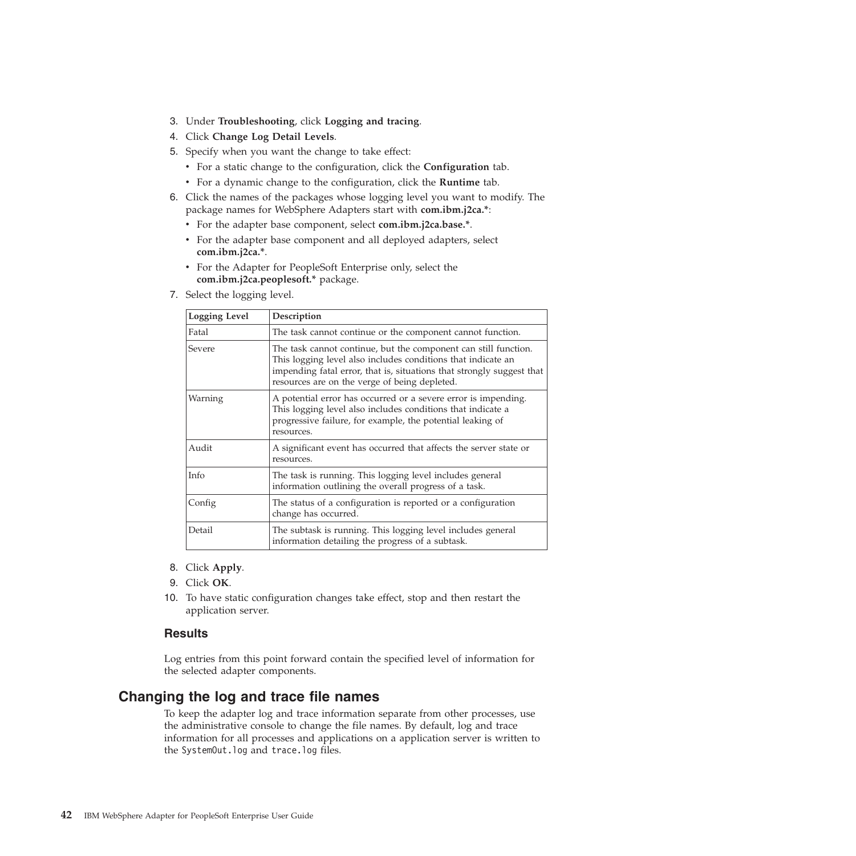- 3. Under **Troubleshooting**, click **Logging and tracing**.
- 4. Click **Change Log Detail Levels**.
- 5. Specify when you want the change to take effect:
	- v For a static change to the configuration, click the **Configuration** tab.
	- v For a dynamic change to the configuration, click the **Runtime** tab.
- 6. Click the names of the packages whose logging level you want to modify. The package names for WebSphere Adapters start with **com.ibm.j2ca.\***:
	- v For the adapter base component, select **com.ibm.j2ca.base.\***.
	- v For the adapter base component and all deployed adapters, select **com.ibm.j2ca.\***.
	- v For the Adapter for PeopleSoft Enterprise only, select the **com.ibm.j2ca.peoplesoft.\*** package.
- 7. Select the logging level.

| <b>Logging Level</b> | Description                                                                                                                                                                                                                                               |
|----------------------|-----------------------------------------------------------------------------------------------------------------------------------------------------------------------------------------------------------------------------------------------------------|
| Fatal                | The task cannot continue or the component cannot function.                                                                                                                                                                                                |
| Severe               | The task cannot continue, but the component can still function.<br>This logging level also includes conditions that indicate an<br>impending fatal error, that is, situations that strongly suggest that<br>resources are on the verge of being depleted. |
| Warning              | A potential error has occurred or a severe error is impending.<br>This logging level also includes conditions that indicate a<br>progressive failure, for example, the potential leaking of<br>resources.                                                 |
| Audit                | A significant event has occurred that affects the server state or<br>resources.                                                                                                                                                                           |
| Info                 | The task is running. This logging level includes general<br>information outlining the overall progress of a task.                                                                                                                                         |
| Config               | The status of a configuration is reported or a configuration<br>change has occurred.                                                                                                                                                                      |
| Detail               | The subtask is running. This logging level includes general<br>information detailing the progress of a subtask.                                                                                                                                           |

- 8. Click **Apply**.
- 9. Click **OK**.
- 10. To have static configuration changes take effect, stop and then restart the application server.

#### **Results**

Log entries from this point forward contain the specified level of information for the selected adapter components.

## **Changing the log and trace file names**

To keep the adapter log and trace information separate from other processes, use the administrative console to change the file names. By default, log and trace information for all processes and applications on a application server is written to the SystemOut.log and trace.log files.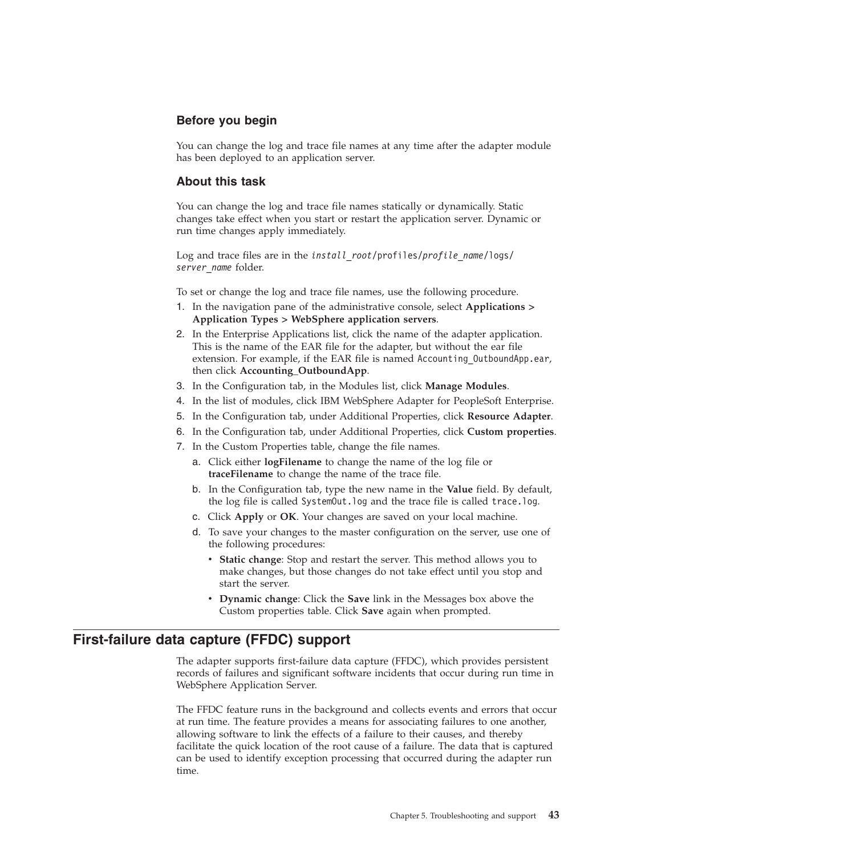## **Before you begin**

You can change the log and trace file names at any time after the adapter module has been deployed to an application server.

### **About this task**

You can change the log and trace file names statically or dynamically. Static changes take effect when you start or restart the application server. Dynamic or run time changes apply immediately.

Log and trace files are in the *install\_root*/profiles/*profile\_name*/logs/ *server\_name* folder.

To set or change the log and trace file names, use the following procedure.

- 1. In the navigation pane of the administrative console, select **Applications > Application Types > WebSphere application servers**.
- 2. In the Enterprise Applications list, click the name of the adapter application. This is the name of the EAR file for the adapter, but without the ear file extension. For example, if the EAR file is named Accounting OutboundApp.ear, then click **Accounting\_OutboundApp**.
- 3. In the Configuration tab, in the Modules list, click **Manage Modules**.
- 4. In the list of modules, click IBM WebSphere Adapter for PeopleSoft Enterprise.
- 5. In the Configuration tab, under Additional Properties, click **Resource Adapter**.
- 6. In the Configuration tab, under Additional Properties, click **Custom properties**.
- 7. In the Custom Properties table, change the file names.
	- a. Click either **logFilename** to change the name of the log file or **traceFilename** to change the name of the trace file.
	- b. In the Configuration tab, type the new name in the **Value** field. By default, the log file is called SystemOut.log and the trace file is called trace.log.
	- c. Click **Apply** or **OK**. Your changes are saved on your local machine.
	- d. To save your changes to the master configuration on the server, use one of the following procedures:
		- v **Static change**: Stop and restart the server. This method allows you to make changes, but those changes do not take effect until you stop and start the server.
		- v **Dynamic change**: Click the **Save** link in the Messages box above the Custom properties table. Click **Save** again when prompted.

## **First-failure data capture (FFDC) support**

The adapter supports first-failure data capture (FFDC), which provides persistent records of failures and significant software incidents that occur during run time in WebSphere Application Server.

The FFDC feature runs in the background and collects events and errors that occur at run time. The feature provides a means for associating failures to one another, allowing software to link the effects of a failure to their causes, and thereby facilitate the quick location of the root cause of a failure. The data that is captured can be used to identify exception processing that occurred during the adapter run time.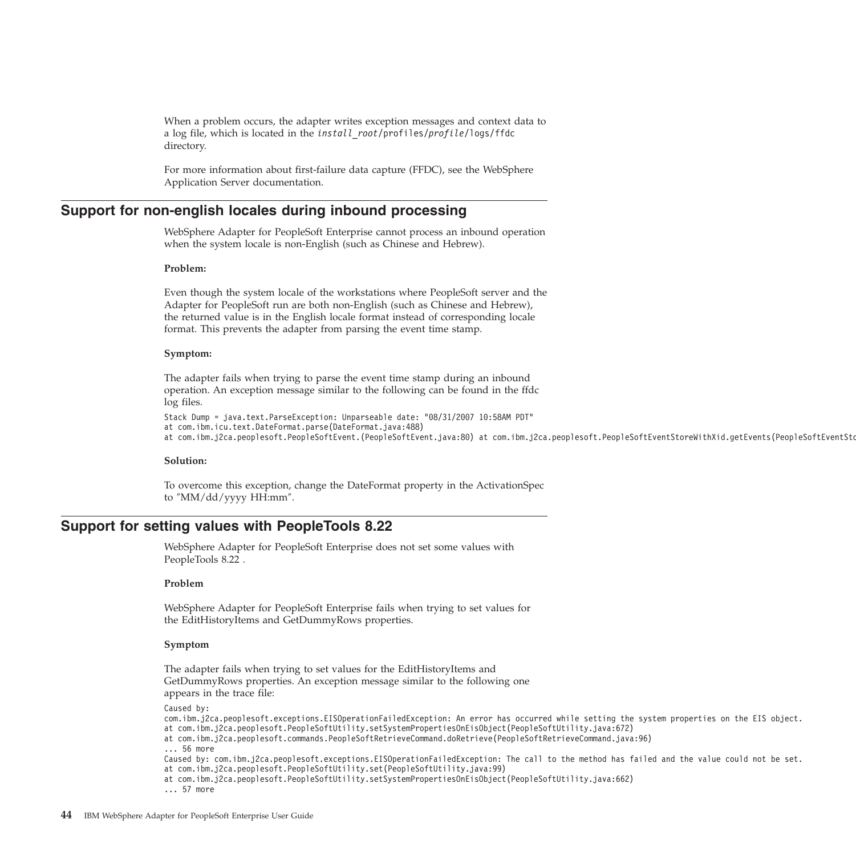When a problem occurs, the adapter writes exception messages and context data to a log file, which is located in the *install\_root*/profiles/*profile*/logs/ffdc directory.

For more information about first-failure data capture (FFDC), see the WebSphere Application Server documentation.

### **Support for non-english locales during inbound processing**

WebSphere Adapter for PeopleSoft Enterprise cannot process an inbound operation when the system locale is non-English (such as Chinese and Hebrew).

#### **Problem:**

Even though the system locale of the workstations where PeopleSoft server and the Adapter for PeopleSoft run are both non-English (such as Chinese and Hebrew), the returned value is in the English locale format instead of corresponding locale format. This prevents the adapter from parsing the event time stamp.

#### **Symptom:**

The adapter fails when trying to parse the event time stamp during an inbound operation. An exception message similar to the following can be found in the ffdc log files.

```
Stack Dump = java.text.ParseException: Unparseable date: "08/31/2007 10:58AM PDT"
at com.ibm.icu.text.DateFormat.parse(DateFormat.java:488)
at com.ibm.j2ca.peoplesoft.PeopleSoftEvent.(PeopleSoftEvent.java:80) at com.ibm.j2ca.peoplesoft.Peop
```
#### **Solution:**

To overcome this exception, change the DateFormat property in the ActivationSpec to ″MM/dd/yyyy HH:mm″.

#### **Support for setting values with PeopleTools 8.22**

WebSphere Adapter for PeopleSoft Enterprise does not set some values with PeopleTools 8.22 .

#### **Problem**

WebSphere Adapter for PeopleSoft Enterprise fails when trying to set values for the EditHistoryItems and GetDummyRows properties.

#### **Symptom**

The adapter fails when trying to set values for the EditHistoryItems and GetDummyRows properties. An exception message similar to the following one appears in the trace file:

```
Caused by:
com.ibm.j2ca.peoplesoft.exceptions.EISOperationFailedException: An error has occurred while setting
at com.ibm.j2ca.peoplesoft.PeopleSoftUtility.setSystemPropertiesOnEisObject(PeopleSoftUtility.java:672)
at com.ibm.j2ca.peoplesoft.commands.PeopleSoftRetrieveCommand.doRetrieve(PeopleSoftRetrieveCommand.j
... 56 more
Caused by: com.ibm.j2ca.peoplesoft.exceptions.EISOperationFailedException: The call to the method ha
at com.ibm.j2ca.peoplesoft.PeopleSoftUtility.set(PeopleSoftUtility.java:99)
at com.ibm.j2ca.peoplesoft.PeopleSoftUtility.setSystemPropertiesOnEisObject(PeopleSoftUtility.java:662)
... 57 more
```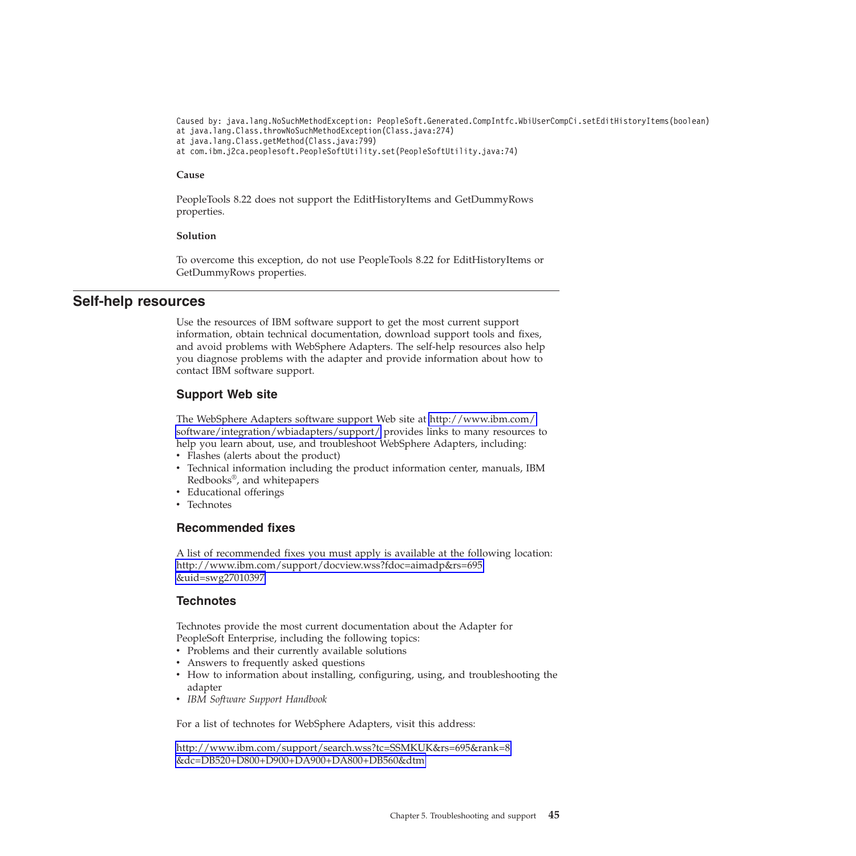Caused by: java.lang.NoSuchMethodException: PeopleSoft.Generated.CompIntfc.WbiUserCompCi.setEditHi at java.lang.Class.throwNoSuchMethodException(Class.java:274) at java.lang.Class.getMethod(Class.java:799) at com.ibm.j2ca.peoplesoft.PeopleSoftUtility.set(PeopleSoftUtility.java:74)

#### **Cause**

PeopleTools 8.22 does not support the EditHistoryItems and GetDummyRows properties.

#### **Solution**

To overcome this exception, do not use PeopleTools 8.22 for EditHistoryItems or GetDummyRows properties.

### **Self-help resources**

Use the resources of IBM software support to get the most current support information, obtain technical documentation, download support tools and fixes, and avoid problems with WebSphere Adapters. The self-help resources also help you diagnose problems with the adapter and provide information about how to contact IBM software support.

#### **Support Web site**

The WebSphere Adapters software support Web site at [http://www.ibm.com/](http://www.ibm.com/software/integration/wbiadapters/support/) [software/integration/wbiadapters/support/](http://www.ibm.com/software/integration/wbiadapters/support/) provides links to many resources to help you learn about, use, and troubleshoot WebSphere Adapters, including:

- Flashes (alerts about the product)
- Technical information including the product information center, manuals, IBM Redbooks®, and whitepapers
- Educational offerings
- Technotes

#### **Recommended fixes**

A list of recommended fixes you must apply is available at the following location: [http://www.ibm.com/support/docview.wss?fdoc=aimadp&rs=695](http://www.ibm.com/support/docview.wss?fdoc=aimadp&rs=695&uid=swg27010397) [&uid=swg27010397](http://www.ibm.com/support/docview.wss?fdoc=aimadp&rs=695&uid=swg27010397)

#### **Technotes**

Technotes provide the most current documentation about the Adapter for PeopleSoft Enterprise, including the following topics:

• Problems and their currently available solutions

- Answers to frequently asked questions
- v How to information about installing, configuring, using, and troubleshooting the adapter
- v *IBM Software Support Handbook*

For a list of technotes for WebSphere Adapters, visit this address:

[http://www.ibm.com/support/search.wss?tc=SSMKUK&rs=695&rank=8](http://www.ibm.com/support/search.wss?tc=SSMKUK&rs=695&rank=8&dc=DB520+D800+D900+DA900+DA800+DB560&dtm) [&dc=DB520+D800+D900+DA900+DA800+DB560&dtm](http://www.ibm.com/support/search.wss?tc=SSMKUK&rs=695&rank=8&dc=DB520+D800+D900+DA900+DA800+DB560&dtm)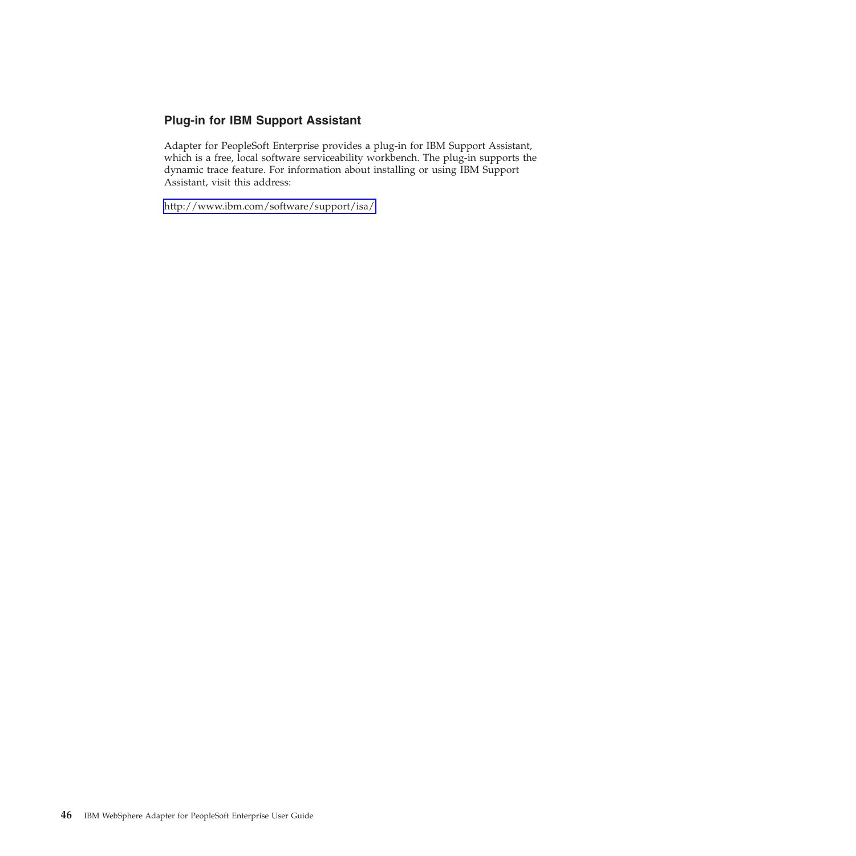## **Plug-in for IBM Support Assistant**

Adapter for PeopleSoft Enterprise provides a plug-in for IBM Support Assistant, which is a free, local software serviceability workbench. The plug-in supports the dynamic trace feature. For information about installing or using IBM Support Assistant, visit this address:

<http://www.ibm.com/software/support/isa/>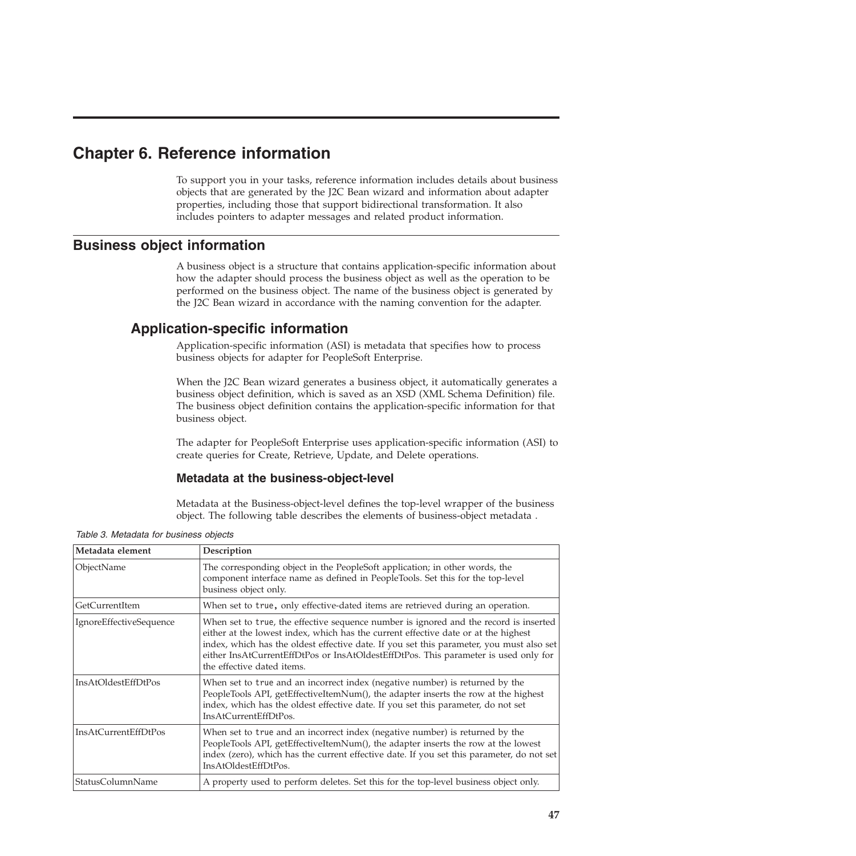# **Chapter 6. Reference information**

To support you in your tasks, reference information includes details about business objects that are generated by the J2C Bean wizard and information about adapter properties, including those that support bidirectional transformation. It also includes pointers to adapter messages and related product information.

# **Business object information**

A business object is a structure that contains application-specific information about how the adapter should process the business object as well as the operation to be performed on the business object. The name of the business object is generated by the J2C Bean wizard in accordance with the naming convention for the adapter.

# **Application-specific information**

Application-specific information (ASI) is metadata that specifies how to process business objects for adapter for PeopleSoft Enterprise.

When the J2C Bean wizard generates a business object, it automatically generates a business object definition, which is saved as an XSD (XML Schema Definition) file. The business object definition contains the application-specific information for that business object.

The adapter for PeopleSoft Enterprise uses application-specific information (ASI) to create queries for Create, Retrieve, Update, and Delete operations.

## **Metadata at the business-object-level**

Metadata at the Business-object-level defines the top-level wrapper of the business object. The following table describes the elements of business-object metadata .

| Metadata element            | Description                                                                                                                                                                                                                                                                                                                                                                                  |
|-----------------------------|----------------------------------------------------------------------------------------------------------------------------------------------------------------------------------------------------------------------------------------------------------------------------------------------------------------------------------------------------------------------------------------------|
| ObjectName                  | The corresponding object in the PeopleSoft application; in other words, the<br>component interface name as defined in PeopleTools. Set this for the top-level<br>business object only.                                                                                                                                                                                                       |
| GetCurrentItem              | When set to true, only effective-dated items are retrieved during an operation.                                                                                                                                                                                                                                                                                                              |
| IgnoreEffectiveSequence     | When set to true, the effective sequence number is ignored and the record is inserted<br>either at the lowest index, which has the current effective date or at the highest<br>index, which has the oldest effective date. If you set this parameter, you must also set<br>either InsAtCurrentEffDtPos or InsAtOldestEffDtPos. This parameter is used only for<br>the effective dated items. |
| <b>InsAtOldestEffDtPos</b>  | When set to true and an incorrect index (negative number) is returned by the<br>PeopleTools API, getEffectiveItemNum(), the adapter inserts the row at the highest<br>index, which has the oldest effective date. If you set this parameter, do not set<br>InsAtCurrentEffDtPos.                                                                                                             |
| <b>InsAtCurrentEffDtPos</b> | When set to true and an incorrect index (negative number) is returned by the<br>PeopleTools API, getEffectiveItemNum(), the adapter inserts the row at the lowest<br>index (zero), which has the current effective date. If you set this parameter, do not set<br>InsAtOldestEffDtPos.                                                                                                       |
| StatusColumnName            | A property used to perform deletes. Set this for the top-level business object only.                                                                                                                                                                                                                                                                                                         |

*Table 3. Metadata for business objects*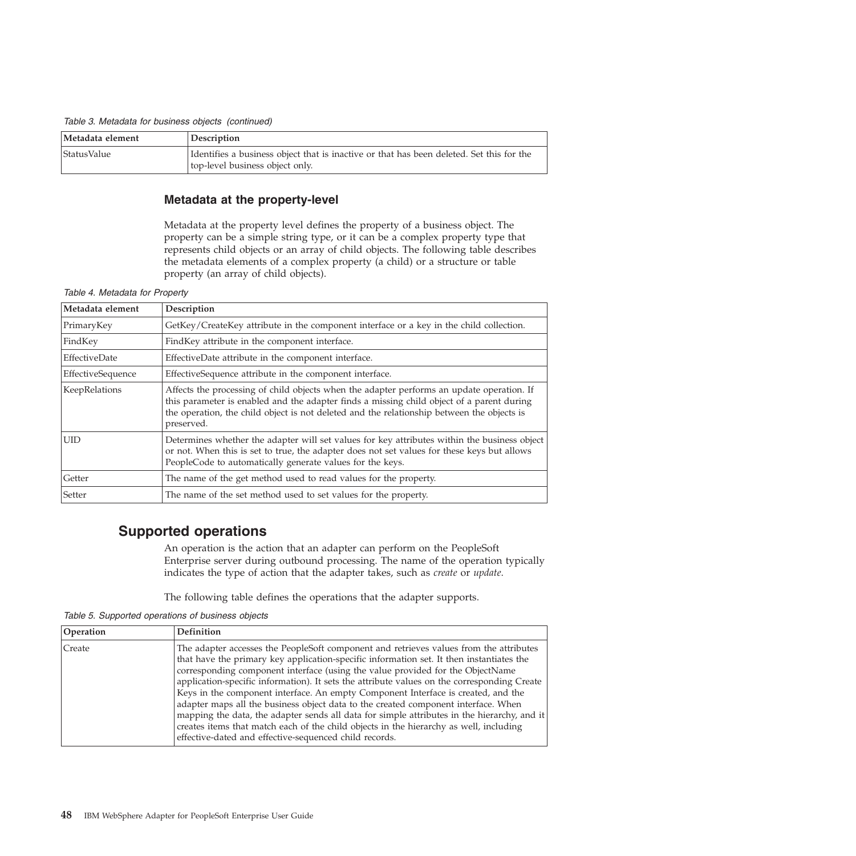*Table 3. Metadata for business objects (continued)*

| Metadata element   | Description                                                                                                                 |
|--------------------|-----------------------------------------------------------------------------------------------------------------------------|
| <i>StatusValue</i> | Identifies a business object that is inactive or that has been deleted. Set this for the<br>top-level business object only. |

### **Metadata at the property-level**

Metadata at the property level defines the property of a business object. The property can be a simple string type, or it can be a complex property type that represents child objects or an array of child objects. The following table describes the metadata elements of a complex property (a child) or a structure or table property (an array of child objects).

| Metadata element  | Description                                                                                                                                                                                                                                                                                        |
|-------------------|----------------------------------------------------------------------------------------------------------------------------------------------------------------------------------------------------------------------------------------------------------------------------------------------------|
| PrimaryKey        | GetKey/CreateKey attribute in the component interface or a key in the child collection.                                                                                                                                                                                                            |
| FindKey           | FindKey attribute in the component interface.                                                                                                                                                                                                                                                      |
| EffectiveDate     | EffectiveDate attribute in the component interface.                                                                                                                                                                                                                                                |
| EffectiveSequence | EffectiveSequence attribute in the component interface.                                                                                                                                                                                                                                            |
| KeepRelations     | Affects the processing of child objects when the adapter performs an update operation. If<br>this parameter is enabled and the adapter finds a missing child object of a parent during<br>the operation, the child object is not deleted and the relationship between the objects is<br>preserved. |
| <b>UID</b>        | Determines whether the adapter will set values for key attributes within the business object<br>or not. When this is set to true, the adapter does not set values for these keys but allows<br>PeopleCode to automatically generate values for the keys.                                           |
| Getter            | The name of the get method used to read values for the property.                                                                                                                                                                                                                                   |
| Setter            | The name of the set method used to set values for the property.                                                                                                                                                                                                                                    |

*Table 4. Metadata for Property*

# **Supported operations**

An operation is the action that an adapter can perform on the PeopleSoft Enterprise server during outbound processing. The name of the operation typically indicates the type of action that the adapter takes, such as *create* or *update*.

The following table defines the operations that the adapter supports.

*Table 5. Supported operations of business objects*

| <b>Operation</b> | <b>Definition</b>                                                                                                                                                                                                                                                                                                                                                                                                                                                                                                                                                                                                                                                                                                                                                                                 |
|------------------|---------------------------------------------------------------------------------------------------------------------------------------------------------------------------------------------------------------------------------------------------------------------------------------------------------------------------------------------------------------------------------------------------------------------------------------------------------------------------------------------------------------------------------------------------------------------------------------------------------------------------------------------------------------------------------------------------------------------------------------------------------------------------------------------------|
| Create           | The adapter accesses the PeopleSoft component and retrieves values from the attributes<br>that have the primary key application-specific information set. It then instantiates the<br>corresponding component interface (using the value provided for the ObjectName<br>application-specific information). It sets the attribute values on the corresponding Create<br>Keys in the component interface. An empty Component Interface is created, and the<br>adapter maps all the business object data to the created component interface. When<br>mapping the data, the adapter sends all data for simple attributes in the hierarchy, and it<br>creates items that match each of the child objects in the hierarchy as well, including<br>effective-dated and effective-sequenced child records. |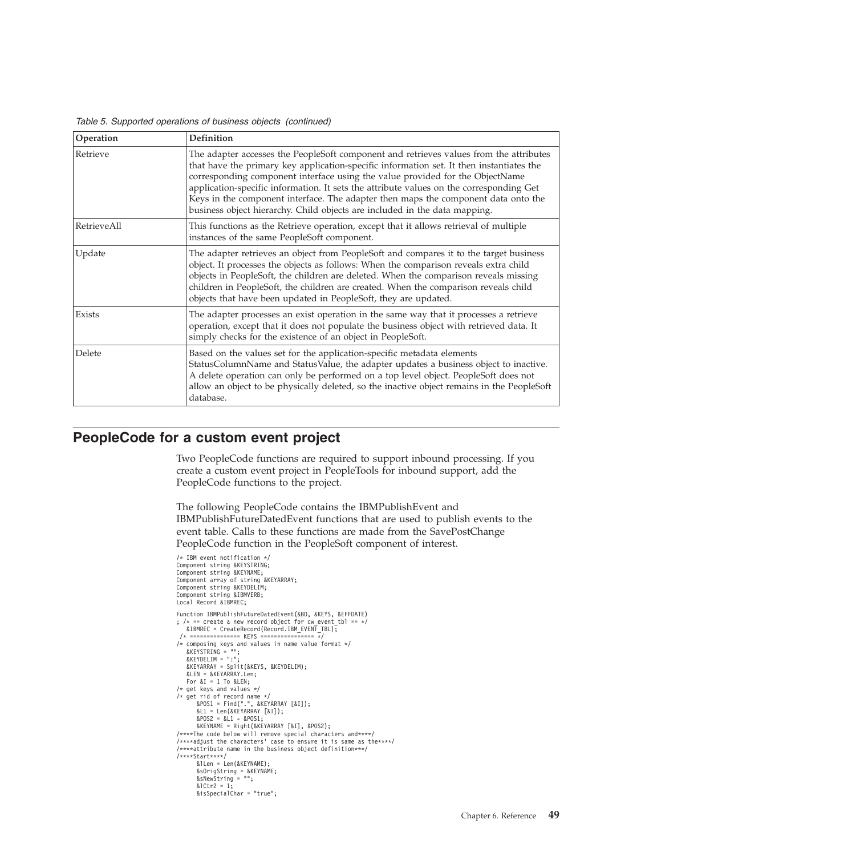*Table 5. Supported operations of business objects (continued)*

| Operation   | <b>Definition</b>                                                                                                                                                                                                                                                                                                                                                                                                                                                                                                                  |
|-------------|------------------------------------------------------------------------------------------------------------------------------------------------------------------------------------------------------------------------------------------------------------------------------------------------------------------------------------------------------------------------------------------------------------------------------------------------------------------------------------------------------------------------------------|
| Retrieve    | The adapter accesses the PeopleSoft component and retrieves values from the attributes<br>that have the primary key application-specific information set. It then instantiates the<br>corresponding component interface using the value provided for the ObjectName<br>application-specific information. It sets the attribute values on the corresponding Get<br>Keys in the component interface. The adapter then maps the component data onto the<br>business object hierarchy. Child objects are included in the data mapping. |
| RetrieveAll | This functions as the Retrieve operation, except that it allows retrieval of multiple<br>instances of the same PeopleSoft component.                                                                                                                                                                                                                                                                                                                                                                                               |
| Update      | The adapter retrieves an object from PeopleSoft and compares it to the target business<br>object. It processes the objects as follows: When the comparison reveals extra child<br>objects in PeopleSoft, the children are deleted. When the comparison reveals missing<br>children in PeopleSoft, the children are created. When the comparison reveals child<br>objects that have been updated in PeopleSoft, they are updated.                                                                                                   |
| Exists      | The adapter processes an exist operation in the same way that it processes a retrieve<br>operation, except that it does not populate the business object with retrieved data. It<br>simply checks for the existence of an object in PeopleSoft.                                                                                                                                                                                                                                                                                    |
| Delete      | Based on the values set for the application-specific metadata elements<br>StatusColumnName and StatusValue, the adapter updates a business object to inactive.<br>A delete operation can only be performed on a top level object. PeopleSoft does not<br>allow an object to be physically deleted, so the inactive object remains in the PeopleSoft<br>database.                                                                                                                                                                   |

## **PeopleCode for a custom event project**

Two PeopleCode functions are required to support inbound processing. If you create a custom event project in PeopleTools for inbound support, add the PeopleCode functions to the project.

The following PeopleCode contains the IBMPublishEvent and IBMPublishFutureDatedEvent functions that are used to publish events to the event table. Calls to these functions are made from the SavePostChange PeopleCode function in the PeopleSoft component of interest.

```
/* IBM event notification */
Component string &KEYSTRING;
Component string &KEYNAME;
Component array of string &KEYARRAY;
Component string &KEYDELIM;
Component string &IBMVERB;
Local Record &IBMREC;
Function IBMPublishFutureDatedEvent(&BO, &KEYS, &EFFDATE)
; /* == create a new record object for cw_events_tbl == */&IBMREC = CreateRecord(Record.IBM_EVENT_TBL);
/* =============== KEYS ================ */
/* composing keys and values in name value format */
    &KEYSTRING = "";
&KEYDELIM = ":";
   &KEYARRAY = Split(&KEYS, &KEYDELIM);
   &LEN = &KEYARRAY.Len;
   For \&I = 1 To &I \&I \&I/* get keys and values */
/* get rid of record name */
&POS1 = Find(".", &KEYARRAY [&I]);
&L1 = Len(&KEYARRAY [&I]);
       &POS2 = &L1 - &POS1;&KEYNAME = Right(&KEYARRAY [&I], &POS2);
/****The code below will remove special characters and****/
/****adjust the characters' case to ensure it is same as the****/
/****attribute name in the business object definition***/
/****Start****/
&lLen = Len(&KEYNAME);
        &sOrigString = &KEYNAME;
&sNewString = "";
&lCtr2 = 1;
       &isSpecialChar = "true";
```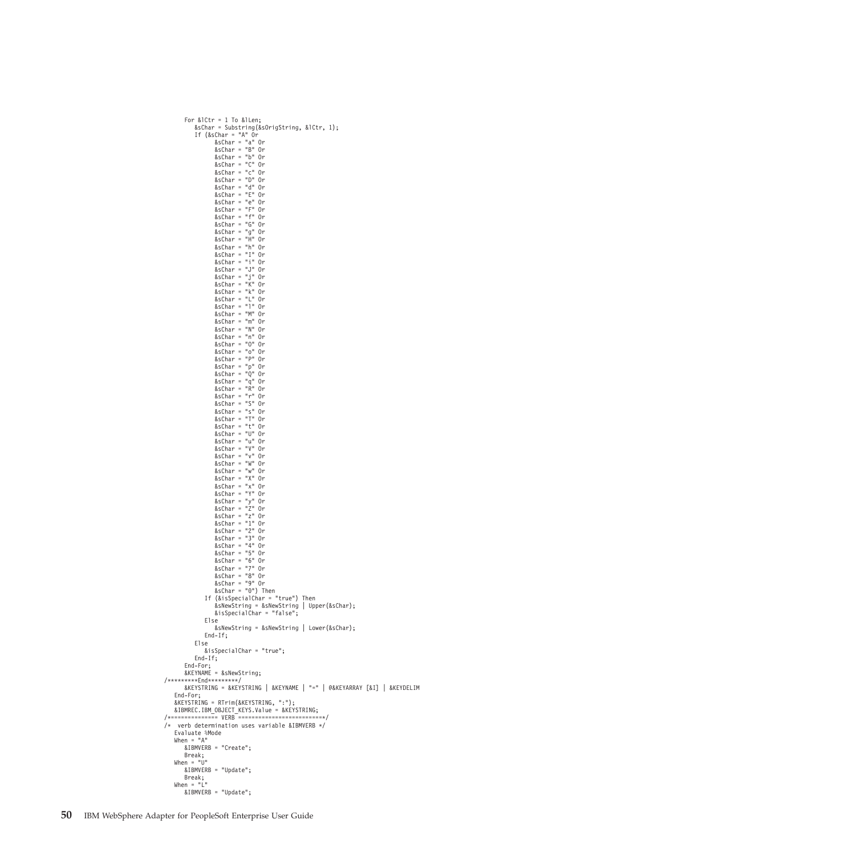```
For &lCtr = 1 To &lLen;
              &sChar = Substring(&sOrigString, &lCtr, 1);
If (&sChar = "A" Or
&sChar = "a" Or
&sChar = "B" Or
                       &sChar = "b" Or
&sChar = "C" Or
&sChar = "c" Or
                       &sChar = "D" Or
&sChar = "d" Or
&sChar = "E" Or
                       &sChar = "e" Or
&sChar = "F" Or
                       &schar = "f" Or
                      &sChar = "G" Or
                       &sChar = "g" Or
&sChar = "H" Or
&sChar = "h" Or
                       &sChar = "I" Or
&sChar = "i" Or
                      &sChar = "J" Or
                       &sChar = "j" Or
&sChar = "K" Or
                       &sChar = "k" Or
&sChar = "L" Or
                      &schar = "l" Or
                       &sChar = "M" Or
&sChar = "m" Or
                      &sChar = "N" Or
                      \text{dsChar} = \text{m} \cdot \text{Or}&schar = "0" Or
                       &sChar = "o" Or
&sChar = "P" Or
                       &sChar = "p" Or
&sChar = "Q" Or
                      &schar = "q" Or
                       &sChar = "R" Or
&sChar = "r" Or
                      &sChar = "S" Or
                       &sChar = "s" Or
&sChar = "T" Or
                       &sChar = "t" Or
&sChar = "U" Or
                      &sChar = "u" Or
                       &schar = "V" Or
                       &sChar = "v" Or
                       &sChar = "W" Or
&sChar = "w" Or
                      \text{dschar} = \text{"X"} Or
                       &sChar = "x" Or
&sChar = "Y" Or
                       &sChar = "y" Or
&sChar = "Z" Or
                      &schar = "z" Or
                       &sChar = "1" Or
&sChar = "2" Or
                       &sChar = "3" Or
&sChar = "4" Or
                       &sChar = "5" Or
                       &sChar = "6" Or
&sChar = "7" Or
                       &sChar = "8" Or
&sChar = "9" Or
&sChar = "0") Then
                  If (&isSpecialChar = "true") Then
                       &sNewString = &sNewString | Upper(&sChar);
                      &isSpecialChar = "false";
                  Else
                      &sNewString = &sNewString | Lower(&sChar);
                  End-If;
             Else
                 &isSpecialChar = "true";
             End-If;
         End-For;
        &KEYNAME = &sNewString;
/*********End*********/
        &KEYSTRING = &KEYSTRING | &KEYNAME | "=" | @&KEYARRAY [&I] | &KEYDELIM
    End-For;
    &KEYSTRING = RTrim(&KEYSTRING, ":");
&IBMREC.IBM_OBJECT_KEYS.Value = &KEYSTRING;
/*============== VERB =========================*/
/* verb determination uses variable &IBMVERB */
    Evaluate %Mode
    When = "A"&IBMVERB = "Create";
     Break;
When = "U"
        &IBMVERB = "Update";
     Break;
When = "L"
        &IBMVERB = "Update";
```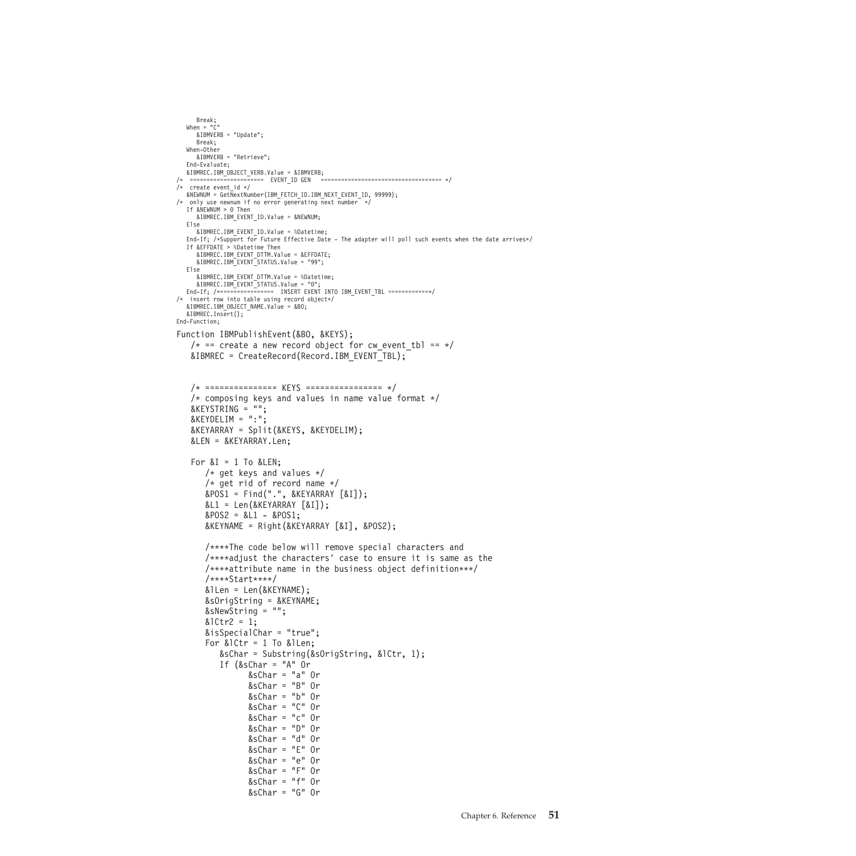```
Break;
  When = "C"
&IBMVERB = "Update";
    Break;
  When-Other
    &IBMVERB = "Retrieve";
  End-Evaluate;
&IBMREC.IBM_OBJECT_VERB.Value = &IBMVERB;
                   /* ====================== EVENT_ID GEN ==================================== */
/* create event id */&NEWNUM = GetNextNumber(IBM_FETCH_ID.IBM_NEXT_EVENT_ID, 99999);
/* only use newnum if no error generating next number */
If &NEWNUM > 0 Then
    &IBMREC.IBM_EVENT_ID.Value = &NEWNUM;
  Else
    &IBMREC.IBM_EVENT_ID.Value = %Datetime;
  End-If; /*Support for Future Effective Date - The adapter will poll such events when the date arrives*/
If &EFFDATE > %Datetime Then
    &IBMREC.IBM_EVENT_DTTM.Value = &EFFDATE;
    &IBMREC.IBM_EVENT_STATUS.Value = "99";
  Else
     &IBMREC.IBM_EVENT_DTTM.Value = %Datetime;
&IBMREC.IBM_EVENT_STATUS.Value = "0";
  End-If; /*================ INSERT EVENT INTO IBM_EVENT_TBL ============*/
/* insert row into table using record object*/
 &IBMREC.IBM_OBJECT_NAME.Value = &BO;
  &IBMREC.Insert();
End-Function;
Function IBMPublishEvent(&BO, &KEYS);
   /* == create a new record object for cw event tbl == */
   &IBMREC = CreateRecord(Record.IBM_EVENT_TBL);
   /* =============== KEYS ================ */
   /* composing keys and values in name value format */
   &KEYSTRING = "";
   & KEYDELIM = ":";
   &KEYARRAY = Split(&KEYS, &KEYDELIM);
   &LEN = &KEYARRAY.Len;
   For &I = 1 To &I \in N;
       /* get keys and values */
       /* get rid of record name */
       &POS1 = Find(".", &KEYARRAY [&I]);
       &L1 = Len(&KEYARRAY [&I]);
       &POS2 = &L1 - &POS1;&KEYNAME = Right(&KEYARRAY [&I], &POS2);
       /****The code below will remove special characters and
       /****adjust the characters' case to ensure it is same as the
       /****attribute name in the business object definition***/
       /****Start****/
       &lLen = Len(&KEYNAME);
       &sOrigString = &KEYNAME;
       &sNewString = "";
       &1Ctr2 = 1;
       &isSpecialChar = "true";
       For &lCtr = 1 To &lLen;
           &sChar = Substring(&sOrigString, &lCtr, 1);
           If (&sChar = "A" Or
                  &sChar = "a" Or
                  &sChar = "B" Or
                  &sChar = "b" Or
                  &sChar = "C" Or
                  &sChar = "c" Or
                  &sChar = "D" Or
                  &sChar = "d" Or
                  &sChar = "E" Or
                  &sChar = "e" Or
                  &sChar = "F" Or
                  &sChar = "f" Or
                  &sChar = "G" Or
```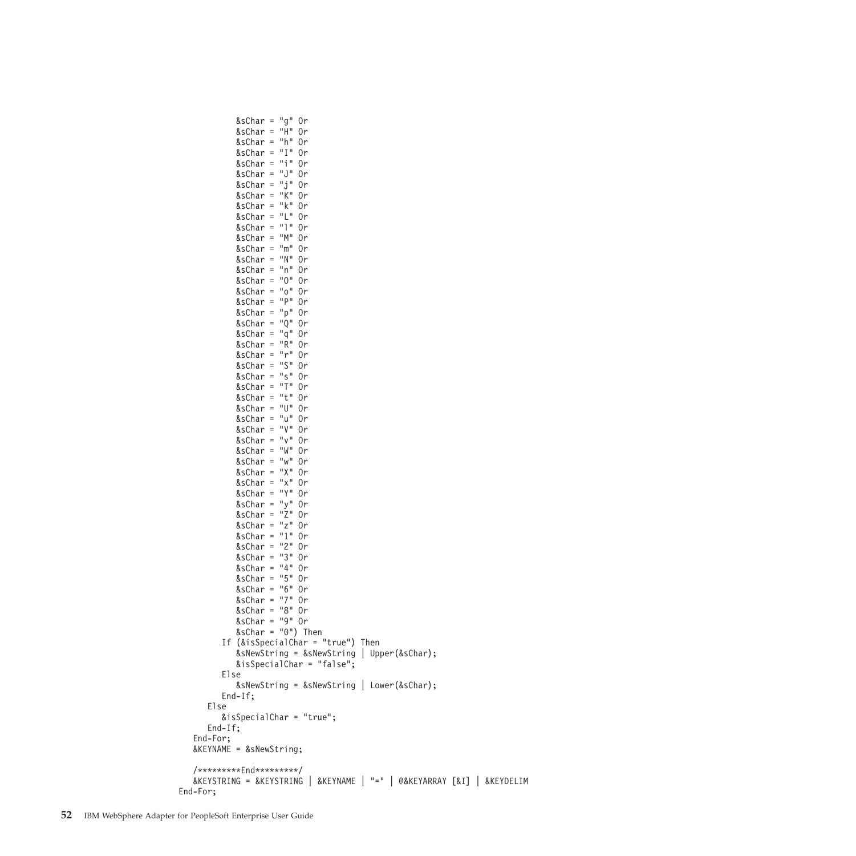&sChar = "g" Or &sChar = "H" Or &sChar = "h" Or &sChar = "I" Or &sChar = "i" Or &sChar = "J" Or &sChar = "j" Or &sChar = "K" Or &sChar = "k" Or &sChar = "L" Or &sChar = "l" Or &sChar = "M" Or &sChar = "m" Or &sChar = "N" Or &sChar = "n" Or &sChar = "O" Or &sChar = "o" Or &sChar = "P" Or &sChar = "p" Or &sChar = "Q" Or &sChar = "q" Or &sChar = "R" Or &sChar = "r" Or &sChar = "S" Or &sChar = "s" Or &sChar = "T" Or &sChar = "t" Or &sChar = "U" Or &sChar = "u" Or &sChar = "V" Or &sChar = "v" Or &sChar = "W" Or &sChar = "w" Or &sChar = "X" Or &sChar = "x" Or &sChar = "Y" Or &sChar = "y" Or &sChar = "Z" Or &sChar = "z" Or &sChar = "1" Or &sChar = "2" Or &sChar = "3" Or &sChar = "4" Or &sChar = "5" Or &sChar = "6" Or &sChar = "7" Or &sChar = "8" Or &sChar = "9" Or &sChar = "0") Then If (&isSpecialChar = "true") Then &sNewString = &sNewString | Upper(&sChar); &isSpecialChar = "false"; Else &sNewString = &sNewString | Lower(&sChar); End-If; Else &isSpecialChar = "true"; End-If; End-For; &KEYNAME = &sNewString; /\*\*\*\*\*\*\*\*\*End\*\*\*\*\*\*\*\*\*/ &KEYSTRING = &KEYSTRING | &KEYNAME | "=" | @&KEYARRAY [&I] | &KEYDELIM End-For;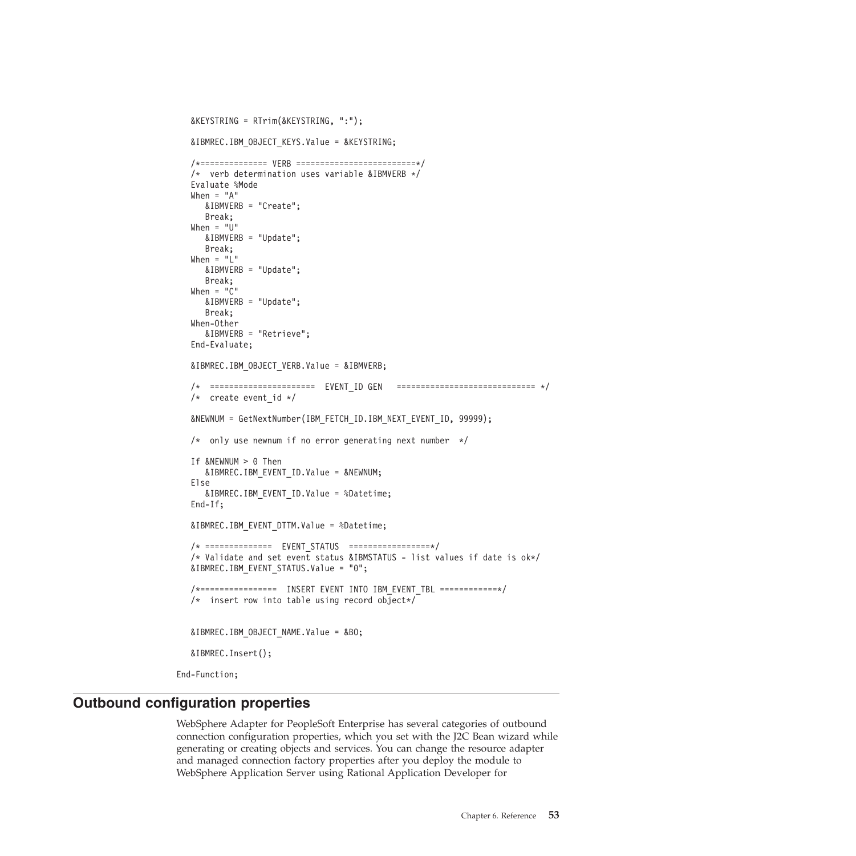```
&KEYSTRING = RTrim(&KEYSTRING, ":");
   &IBMREC.IBM_OBJECT_KEYS.Value = &KEYSTRING;
   /*============== VERB =========================*/
   /* verb determination uses variable &IBMVERB */Evaluate %Mode
  When = "A"&IBMVERB = "Create";
     Break;
  When = "U"
     &IBMVERB = "Update";
     Break;
   When = "L"&IBMVERB = "Update";
     Break;
  When = "C"
     &IBMVERB = "Update";
     Break;
  When-Other
     &IBMVERB = "Retrieve";
   End-Evaluate;
   &IBMREC.IBM_OBJECT_VERB.Value = &IBMVERB;
   /* ====================== EVENT_ID GEN ============================= */
   /* create event id */&NEWNUM = GetNextNumber(IBM_FETCH_ID.IBM_NEXT_EVENT_ID, 99999);
   /* only use newnum if no error generating next number */If &NEWNUM > 0 Then
     &IBMREC.IBM_EVENT_ID.Value = &NEWNUM;
   Else
     &IBMREC.IBM_EVENT_ID.Value = %Datetime;
   End-If;
   &IBMREC.IBM_EVENT_DTTM.Value = %Datetime;
   /* ============== EVENT_STATUS =================*/
   /* Validate and set event status &IBMSTATUS - list values if date is ok*/
   &IBMREC.IBM_EVENT_STATUS.Value = "0";
   /*================ INSERT EVENT INTO IBM_EVENT_TBL ============*/
   /* insert row into table using record object*/
  &IBMREC.IBM_OBJECT_NAME.Value = &BO;
   &IBMREC.Insert();
End-Function;
```
# **Outbound configuration properties**

WebSphere Adapter for PeopleSoft Enterprise has several categories of outbound connection configuration properties, which you set with the J2C Bean wizard while generating or creating objects and services. You can change the resource adapter and managed connection factory properties after you deploy the module to WebSphere Application Server using Rational Application Developer for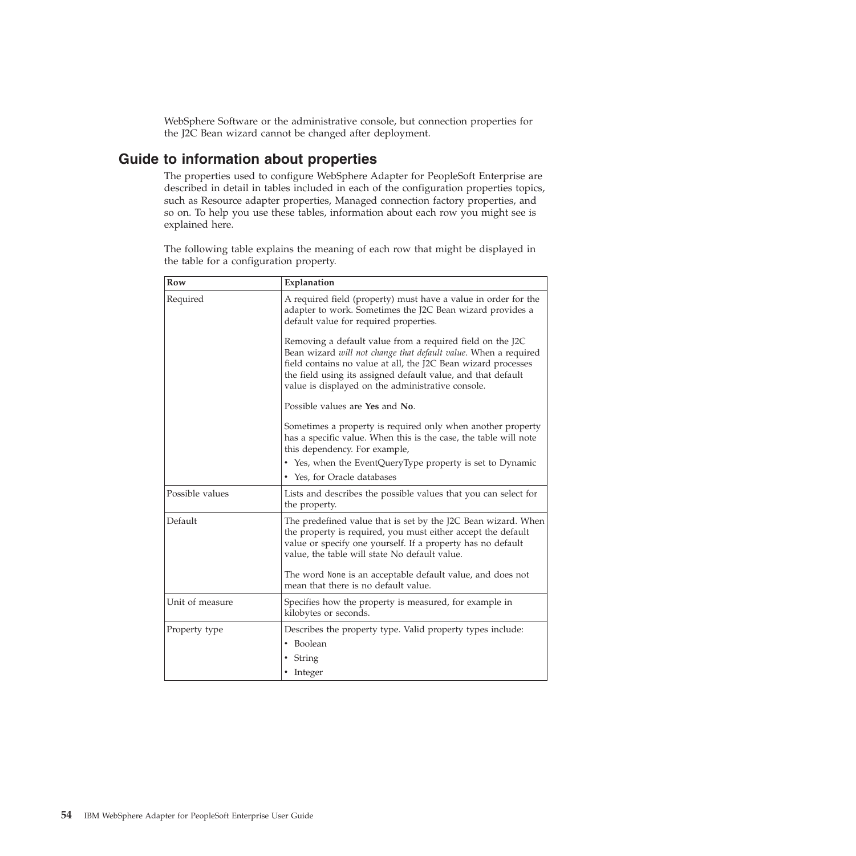WebSphere Software or the administrative console, but connection properties for the J2C Bean wizard cannot be changed after deployment.

# <span id="page-57-0"></span>**Guide to information about properties**

The properties used to configure WebSphere Adapter for PeopleSoft Enterprise are described in detail in tables included in each of the configuration properties topics, such as Resource adapter properties, Managed connection factory properties, and so on. To help you use these tables, information about each row you might see is explained here.

The following table explains the meaning of each row that might be displayed in the table for a configuration property.

| Row             | Explanation                                                                                                                                                                                                                                                                                                        |
|-----------------|--------------------------------------------------------------------------------------------------------------------------------------------------------------------------------------------------------------------------------------------------------------------------------------------------------------------|
| Required        | A required field (property) must have a value in order for the<br>adapter to work. Sometimes the J2C Bean wizard provides a<br>default value for required properties.                                                                                                                                              |
|                 | Removing a default value from a required field on the J2C<br>Bean wizard will not change that default value. When a required<br>field contains no value at all, the J2C Bean wizard processes<br>the field using its assigned default value, and that default<br>value is displayed on the administrative console. |
|                 | Possible values are Yes and No.                                                                                                                                                                                                                                                                                    |
|                 | Sometimes a property is required only when another property<br>has a specific value. When this is the case, the table will note<br>this dependency. For example,                                                                                                                                                   |
|                 | • Yes, when the EventQueryType property is set to Dynamic                                                                                                                                                                                                                                                          |
|                 | • Yes, for Oracle databases                                                                                                                                                                                                                                                                                        |
| Possible values | Lists and describes the possible values that you can select for<br>the property.                                                                                                                                                                                                                                   |
| Default         | The predefined value that is set by the J2C Bean wizard. When<br>the property is required, you must either accept the default<br>value or specify one yourself. If a property has no default<br>value, the table will state No default value.                                                                      |
|                 | The word None is an acceptable default value, and does not<br>mean that there is no default value.                                                                                                                                                                                                                 |
| Unit of measure | Specifies how the property is measured, for example in<br>kilobytes or seconds.                                                                                                                                                                                                                                    |
| Property type   | Describes the property type. Valid property types include:                                                                                                                                                                                                                                                         |
|                 | • Boolean                                                                                                                                                                                                                                                                                                          |
|                 | • String                                                                                                                                                                                                                                                                                                           |
|                 | • Integer                                                                                                                                                                                                                                                                                                          |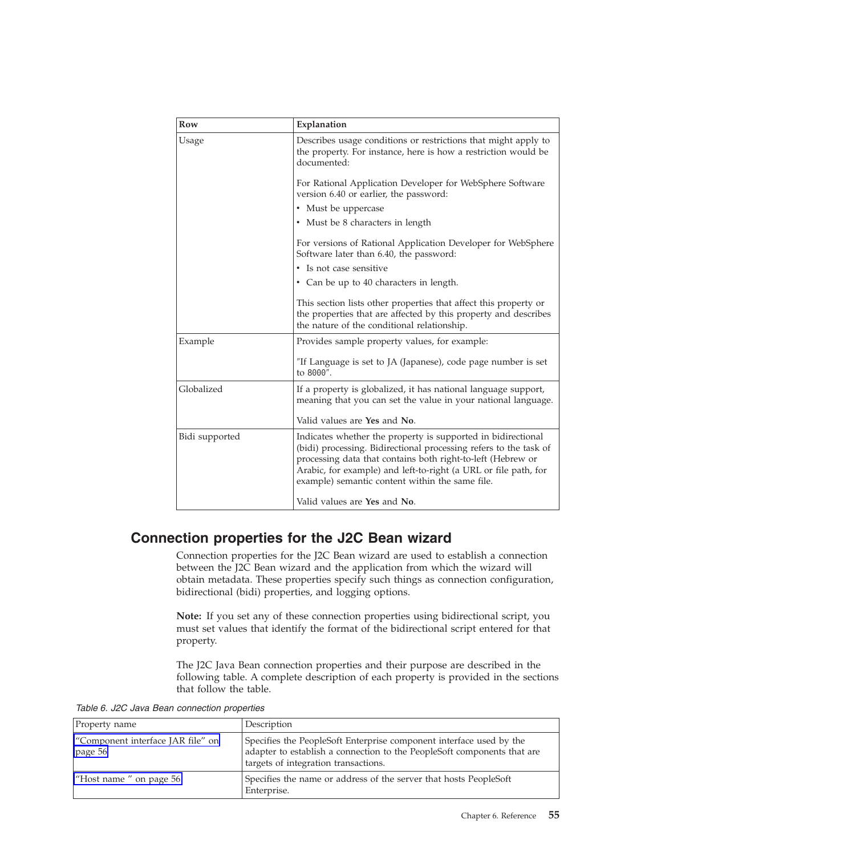| Row            | Explanation                                                                                                                                                                                                                                                                                                            |
|----------------|------------------------------------------------------------------------------------------------------------------------------------------------------------------------------------------------------------------------------------------------------------------------------------------------------------------------|
| Usage          | Describes usage conditions or restrictions that might apply to<br>the property. For instance, here is how a restriction would be<br>documented:                                                                                                                                                                        |
|                | For Rational Application Developer for WebSphere Software<br>version 6.40 or earlier, the password:                                                                                                                                                                                                                    |
|                | • Must be uppercase                                                                                                                                                                                                                                                                                                    |
|                | • Must be 8 characters in length                                                                                                                                                                                                                                                                                       |
|                | For versions of Rational Application Developer for WebSphere<br>Software later than 6.40, the password:                                                                                                                                                                                                                |
|                | • Is not case sensitive                                                                                                                                                                                                                                                                                                |
|                | • Can be up to 40 characters in length.                                                                                                                                                                                                                                                                                |
|                | This section lists other properties that affect this property or<br>the properties that are affected by this property and describes<br>the nature of the conditional relationship.                                                                                                                                     |
| Example        | Provides sample property values, for example:                                                                                                                                                                                                                                                                          |
|                | "If Language is set to JA (Japanese), code page number is set<br>to 8000".                                                                                                                                                                                                                                             |
| Globalized     | If a property is globalized, it has national language support,<br>meaning that you can set the value in your national language.                                                                                                                                                                                        |
|                | Valid values are Yes and No.                                                                                                                                                                                                                                                                                           |
| Bidi supported | Indicates whether the property is supported in bidirectional<br>(bidi) processing. Bidirectional processing refers to the task of<br>processing data that contains both right-to-left (Hebrew or<br>Arabic, for example) and left-to-right (a URL or file path, for<br>example) semantic content within the same file. |
|                | Valid values are Yes and No.                                                                                                                                                                                                                                                                                           |

# **Connection properties for the J2C Bean wizard**

Connection properties for the J2C Bean wizard are used to establish a connection between the J2C Bean wizard and the application from which the wizard will obtain metadata. These properties specify such things as connection configuration, bidirectional (bidi) properties, and logging options.

**Note:** If you set any of these connection properties using bidirectional script, you must set values that identify the format of the bidirectional script entered for that property.

The J2C Java Bean connection properties and their purpose are described in the following table. A complete description of each property is provided in the sections that follow the table.

*Table 6. J2C Java Bean connection properties*

| Property name                                        | Description                                                                                                                                                                            |
|------------------------------------------------------|----------------------------------------------------------------------------------------------------------------------------------------------------------------------------------------|
| "Component interface JAR file" on<br>$\vert$ page 56 | Specifies the PeopleSoft Enterprise component interface used by the<br>adapter to establish a connection to the PeopleSoft components that are<br>targets of integration transactions. |
| "Host name" on page $56$                             | Specifies the name or address of the server that hosts PeopleSoft<br>Enterprise.                                                                                                       |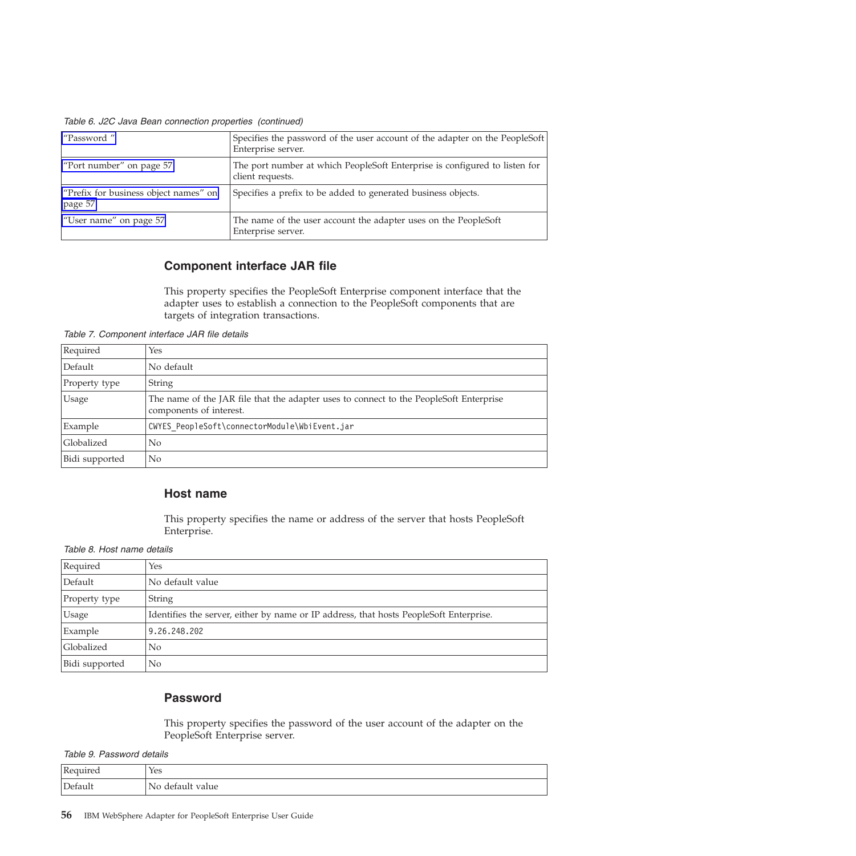<span id="page-59-0"></span>*Table 6. J2C Java Bean connection properties (continued)*

| "Password"                                         | Specifies the password of the user account of the adapter on the PeopleSoft<br>Enterprise server. |
|----------------------------------------------------|---------------------------------------------------------------------------------------------------|
| "Port number" on page 57                           | The port number at which PeopleSoft Enterprise is configured to listen for<br>client requests.    |
| "Prefix for business object names" on<br>page $57$ | Specifies a prefix to be added to generated business objects.                                     |
| "User name" on page 57                             | The name of the user account the adapter uses on the PeopleSoft<br>Enterprise server.             |

## **Component interface JAR file**

This property specifies the PeopleSoft Enterprise component interface that the adapter uses to establish a connection to the PeopleSoft components that are targets of integration transactions.

*Table 7. Component interface JAR file details*

| Required       | Yes                                                                                                               |
|----------------|-------------------------------------------------------------------------------------------------------------------|
| Default        | No default                                                                                                        |
| Property type  | <b>String</b>                                                                                                     |
| Usage          | The name of the JAR file that the adapter uses to connect to the PeopleSoft Enterprise<br>components of interest. |
| Example        | CWYES PeopleSoft\connectorModule\WbiEvent.jar                                                                     |
| Globalized     | N <sub>0</sub>                                                                                                    |
| Bidi supported | N <sub>0</sub>                                                                                                    |

### **Host name**

This property specifies the name or address of the server that hosts PeopleSoft Enterprise.

*Table 8. Host name details*

| Required       | Yes                                                                                    |
|----------------|----------------------------------------------------------------------------------------|
| Default        | No default value                                                                       |
| Property type  | String                                                                                 |
| <b>Usage</b>   | Identifies the server, either by name or IP address, that hosts PeopleSoft Enterprise. |
| Example        | 9.26.248.202                                                                           |
| Globalized     | No                                                                                     |
| Bidi supported | No                                                                                     |

### **Password**

This property specifies the password of the user account of the adapter on the PeopleSoft Enterprise server.

*Table 9. Password details*

| Required | Yes                  |
|----------|----------------------|
| Default  | default value<br>No. |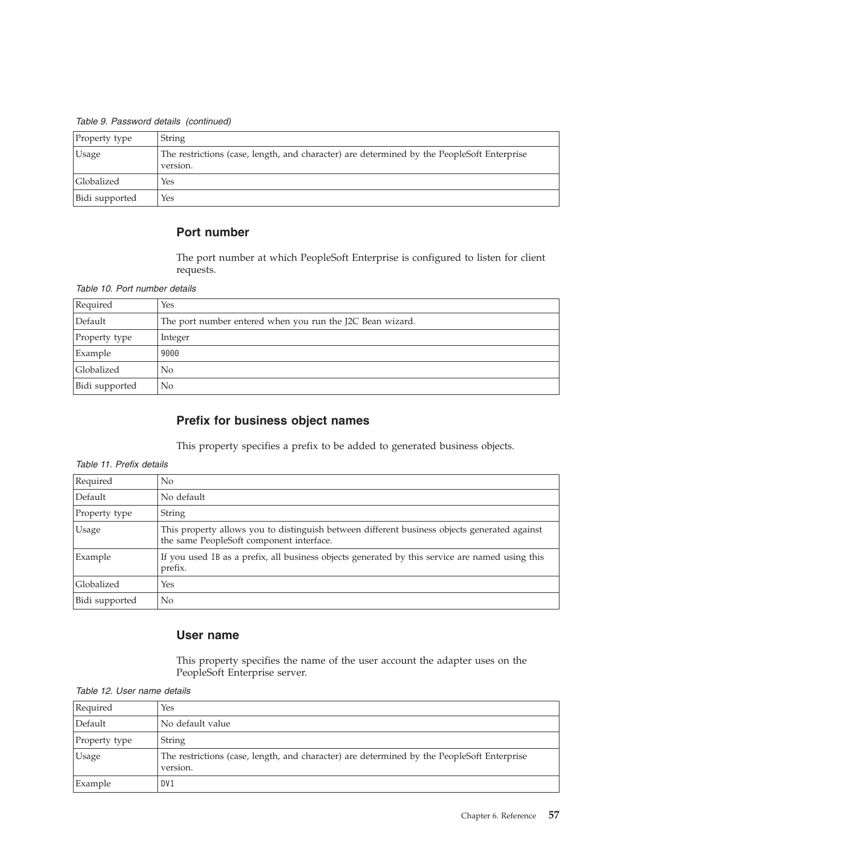<span id="page-60-0"></span>*Table 9. Password details (continued)*

| Property type     | String                                                                                                 |
|-------------------|--------------------------------------------------------------------------------------------------------|
| Usage             | The restrictions (case, length, and character) are determined by the PeopleSoft Enterprise<br>version. |
| <b>Globalized</b> | Yes                                                                                                    |
| Bidi supported    | Yes                                                                                                    |

### **Port number**

The port number at which PeopleSoft Enterprise is configured to listen for client requests.

#### *Table 10. Port number details*

| Required       | Yes                                                       |
|----------------|-----------------------------------------------------------|
| Default        | The port number entered when you run the J2C Bean wizard. |
| Property type  | Integer                                                   |
| Example        | 9000                                                      |
| Globalized     | No                                                        |
| Bidi supported | No                                                        |

## **Prefix for business object names**

This property specifies a prefix to be added to generated business objects.

#### *Table 11. Prefix details*

| Required       | N <sub>0</sub>                                                                                                                           |
|----------------|------------------------------------------------------------------------------------------------------------------------------------------|
| Default        | No default                                                                                                                               |
| Property type  | String                                                                                                                                   |
| Usage          | This property allows you to distinguish between different business objects generated against<br>the same PeopleSoft component interface. |
| Example        | If you used IB as a prefix, all business objects generated by this service are named using this<br>prefix.                               |
| Globalized     | Yes                                                                                                                                      |
| Bidi supported | No                                                                                                                                       |

## **User name**

This property specifies the name of the user account the adapter uses on the PeopleSoft Enterprise server.

| Required      | Yes                                                                                                    |
|---------------|--------------------------------------------------------------------------------------------------------|
| Default       | No default value                                                                                       |
| Property type | String                                                                                                 |
| <b>Usage</b>  | The restrictions (case, length, and character) are determined by the PeopleSoft Enterprise<br>version. |
| Example       | DV1                                                                                                    |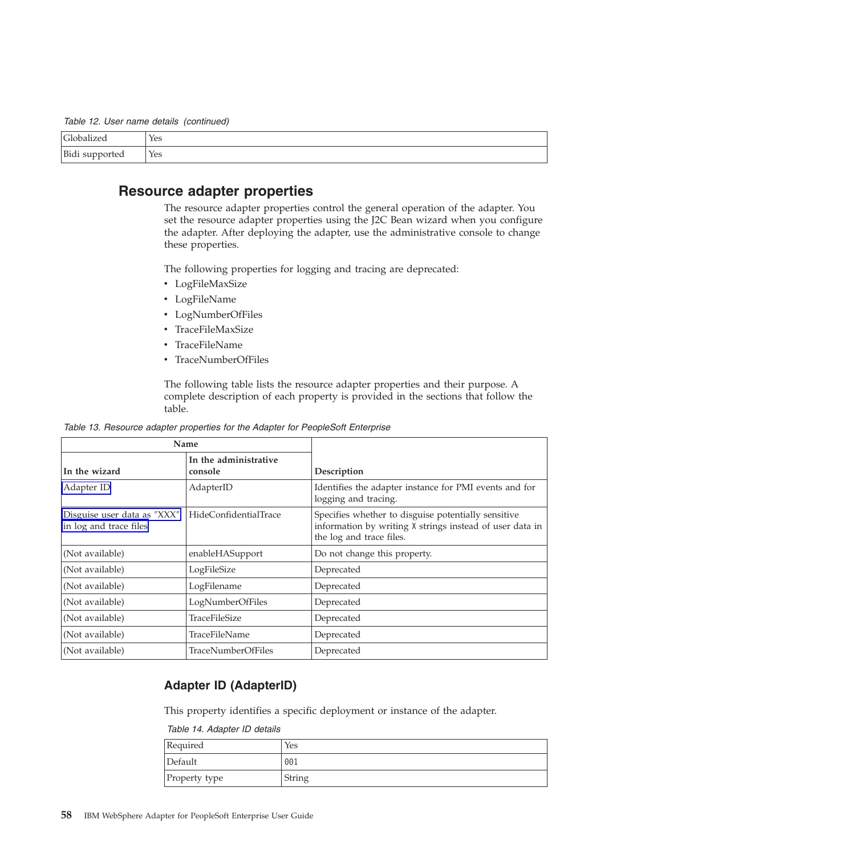<span id="page-61-0"></span>*Table 12. User name details (continued)*

| $\sqrt{2}$                     | Yes |
|--------------------------------|-----|
| $R_i$<br><b>Play Supported</b> | Yes |

## **Resource adapter properties**

The resource adapter properties control the general operation of the adapter. You set the resource adapter properties using the J2C Bean wizard when you configure the adapter. After deploying the adapter, use the administrative console to change these properties.

The following properties for logging and tracing are deprecated:

- LogFileMaxSize
- LogFileName
- LogNumberOfFiles
- TraceFileMaxSize
- TraceFileName
- TraceNumberOfFiles

The following table lists the resource adapter properties and their purpose. A complete description of each property is provided in the sections that follow the table.

*Table 13. Resource adapter properties for the Adapter for PeopleSoft Enterprise*

| Name                                                  |                                  |                                                                                                                                             |
|-------------------------------------------------------|----------------------------------|---------------------------------------------------------------------------------------------------------------------------------------------|
| In the wizard                                         | In the administrative<br>console | Description                                                                                                                                 |
| Adapter ID                                            | AdapterID                        | Identifies the adapter instance for PMI events and for<br>logging and tracing.                                                              |
| Disguise user data as "XXX"<br>in log and trace files | HideConfidentialTrace            | Specifies whether to disguise potentially sensitive<br>information by writing X strings instead of user data in<br>the log and trace files. |
| (Not available)                                       | enableHASupport                  | Do not change this property.                                                                                                                |
| (Not available)                                       | LogFileSize                      | Deprecated                                                                                                                                  |
| (Not available)                                       | LogFilename                      | Deprecated                                                                                                                                  |
| (Not available)                                       | LogNumberOfFiles                 | Deprecated                                                                                                                                  |
| (Not available)                                       | <b>TraceFileSize</b>             | Deprecated                                                                                                                                  |
| (Not available)                                       | TraceFileName                    | Deprecated                                                                                                                                  |
| (Not available)                                       | <b>TraceNumberOfFiles</b>        | Deprecated                                                                                                                                  |

### **Adapter ID (AdapterID)**

This property identifies a specific deployment or instance of the adapter.

*Table 14. Adapter ID details*

| Required      | Yes    |
|---------------|--------|
| Default       | 001    |
| Property type | String |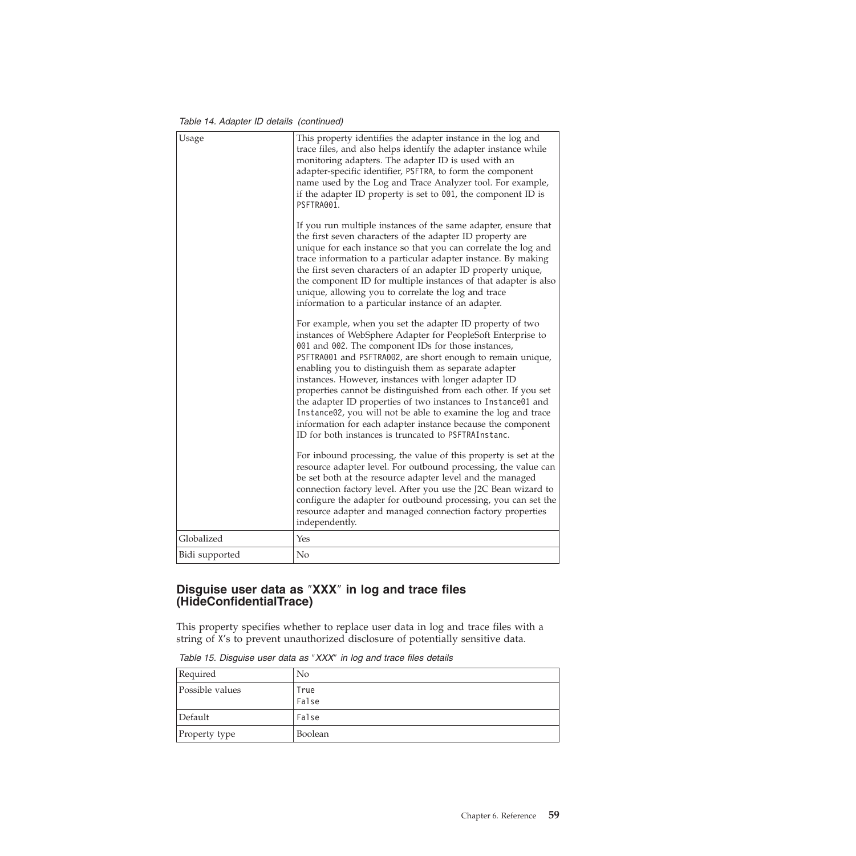*Table 14. Adapter ID details (continued)*

<span id="page-62-0"></span>

| Usage          | This property identifies the adapter instance in the log and<br>trace files, and also helps identify the adapter instance while<br>monitoring adapters. The adapter ID is used with an<br>adapter-specific identifier, PSFTRA, to form the component<br>name used by the Log and Trace Analyzer tool. For example,<br>if the adapter ID property is set to 001, the component ID is<br>PSFTRA001.                                                                                                                                                                                                                                                                                       |
|----------------|-----------------------------------------------------------------------------------------------------------------------------------------------------------------------------------------------------------------------------------------------------------------------------------------------------------------------------------------------------------------------------------------------------------------------------------------------------------------------------------------------------------------------------------------------------------------------------------------------------------------------------------------------------------------------------------------|
|                | If you run multiple instances of the same adapter, ensure that<br>the first seven characters of the adapter ID property are<br>unique for each instance so that you can correlate the log and<br>trace information to a particular adapter instance. By making<br>the first seven characters of an adapter ID property unique,<br>the component ID for multiple instances of that adapter is also<br>unique, allowing you to correlate the log and trace<br>information to a particular instance of an adapter.                                                                                                                                                                         |
|                | For example, when you set the adapter ID property of two<br>instances of WebSphere Adapter for PeopleSoft Enterprise to<br>001 and 002. The component IDs for those instances,<br>PSFTRA001 and PSFTRA002, are short enough to remain unique,<br>enabling you to distinguish them as separate adapter<br>instances. However, instances with longer adapter ID<br>properties cannot be distinguished from each other. If you set<br>the adapter ID properties of two instances to Instance01 and<br>Instance02, you will not be able to examine the log and trace<br>information for each adapter instance because the component<br>ID for both instances is truncated to PSFTRAInstanc. |
|                | For inbound processing, the value of this property is set at the<br>resource adapter level. For outbound processing, the value can<br>be set both at the resource adapter level and the managed<br>connection factory level. After you use the J2C Bean wizard to<br>configure the adapter for outbound processing, you can set the<br>resource adapter and managed connection factory properties<br>independently.                                                                                                                                                                                                                                                                     |
| Globalized     | Yes                                                                                                                                                                                                                                                                                                                                                                                                                                                                                                                                                                                                                                                                                     |
| Bidi supported | No                                                                                                                                                                                                                                                                                                                                                                                                                                                                                                                                                                                                                                                                                      |

### **Disguise user data as** ″**XXX**″ **in log and trace files (HideConfidentialTrace)**

This property specifies whether to replace user data in log and trace files with a string of X's to prevent unauthorized disclosure of potentially sensitive data.

| Required        | N <sub>0</sub> |
|-----------------|----------------|
| Possible values | True<br>False  |
| Default         | False          |
| Property type   | Boolean        |

*Table 15. Disguise user data as* ″*XXX*″ *in log and trace files details*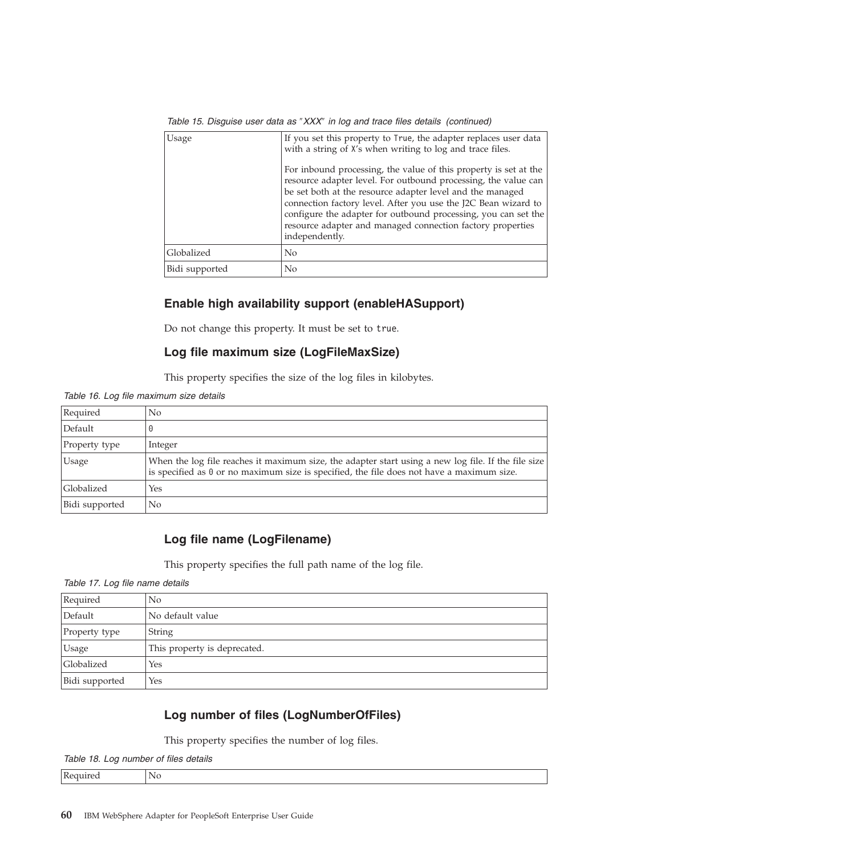| Usage          | If you set this property to True, the adapter replaces user data<br>with a string of X's when writing to log and trace files.                                                                                                                                                                                                                                                                                       |
|----------------|---------------------------------------------------------------------------------------------------------------------------------------------------------------------------------------------------------------------------------------------------------------------------------------------------------------------------------------------------------------------------------------------------------------------|
|                | For inbound processing, the value of this property is set at the<br>resource adapter level. For outbound processing, the value can<br>be set both at the resource adapter level and the managed<br>connection factory level. After you use the J2C Bean wizard to<br>configure the adapter for outbound processing, you can set the<br>resource adapter and managed connection factory properties<br>independently. |
| Globalized     | No                                                                                                                                                                                                                                                                                                                                                                                                                  |
| Bidi supported | N <sub>o</sub>                                                                                                                                                                                                                                                                                                                                                                                                      |

*Table 15. Disguise user data as* ″*XXX*″ *in log and trace files details (continued)*

### **Enable high availability support (enableHASupport)**

Do not change this property. It must be set to true.

### **Log file maximum size (LogFileMaxSize)**

This property specifies the size of the log files in kilobytes.

*Table 16. Log file maximum size details*

| Required       | No                                                                                                                                                                                                      |
|----------------|---------------------------------------------------------------------------------------------------------------------------------------------------------------------------------------------------------|
| Default        |                                                                                                                                                                                                         |
| Property type  | Integer                                                                                                                                                                                                 |
| <b>Usage</b>   | When the log file reaches it maximum size, the adapter start using a new log file. If the file size<br>is specified as $\theta$ or no maximum size is specified, the file does not have a maximum size. |
| Globalized     | Yes                                                                                                                                                                                                     |
| Bidi supported | No                                                                                                                                                                                                      |

## **Log file name (LogFilename)**

This property specifies the full path name of the log file.

*Table 17. Log file name details*

| Required       | N <sub>0</sub>               |
|----------------|------------------------------|
| Default        | No default value             |
| Property type  | <b>String</b>                |
| <b>Usage</b>   | This property is deprecated. |
| Globalized     | Yes                          |
| Bidi supported | Yes                          |

## **Log number of files (LogNumberOfFiles)**

This property specifies the number of log files.

*Table 18. Log number of files details*

| ם ו | 'Nu |
|-----|-----|
|     |     |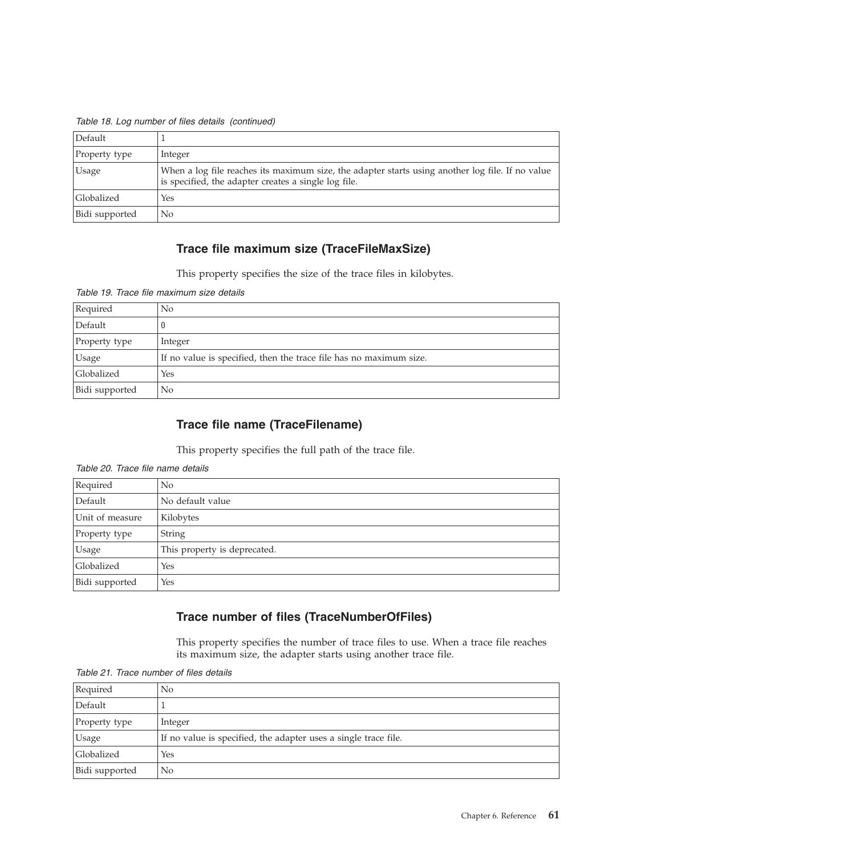| Default        |                                                                                                                                                          |
|----------------|----------------------------------------------------------------------------------------------------------------------------------------------------------|
| Property type  | Integer                                                                                                                                                  |
| <b>Usage</b>   | When a log file reaches its maximum size, the adapter starts using another log file. If no value<br>is specified, the adapter creates a single log file. |
| Globalized     | Yes                                                                                                                                                      |
| Bidi supported | N <sub>o</sub>                                                                                                                                           |

*Table 18. Log number of files details (continued)*

## **Trace file maximum size (TraceFileMaxSize)**

This property specifies the size of the trace files in kilobytes.

|  |  | Table 19. Trace file maximum size details |  |
|--|--|-------------------------------------------|--|
|  |  |                                           |  |

| Required       | No                                                                 |
|----------------|--------------------------------------------------------------------|
| Default        |                                                                    |
| Property type  | Integer                                                            |
| <b>Usage</b>   | If no value is specified, then the trace file has no maximum size. |
| Globalized     | Yes                                                                |
| Bidi supported | No                                                                 |

## **Trace file name (TraceFilename)**

This property specifies the full path of the trace file.

| Required        | N <sub>0</sub>               |
|-----------------|------------------------------|
| Default         | No default value             |
| Unit of measure | Kilobytes                    |
| Property type   | String                       |
| Usage           | This property is deprecated. |
| Globalized      | Yes                          |
| Bidi supported  | Yes                          |

*Table 20. Trace file name details*

# **Trace number of files (TraceNumberOfFiles)**

This property specifies the number of trace files to use. When a trace file reaches its maximum size, the adapter starts using another trace file.

| Required       | $\rm No$                                                        |
|----------------|-----------------------------------------------------------------|
| Default        |                                                                 |
| Property type  | Integer                                                         |
| Usage          | If no value is specified, the adapter uses a single trace file. |
| Globalized     | Yes                                                             |
| Bidi supported | No                                                              |

*Table 21. Trace number of files details*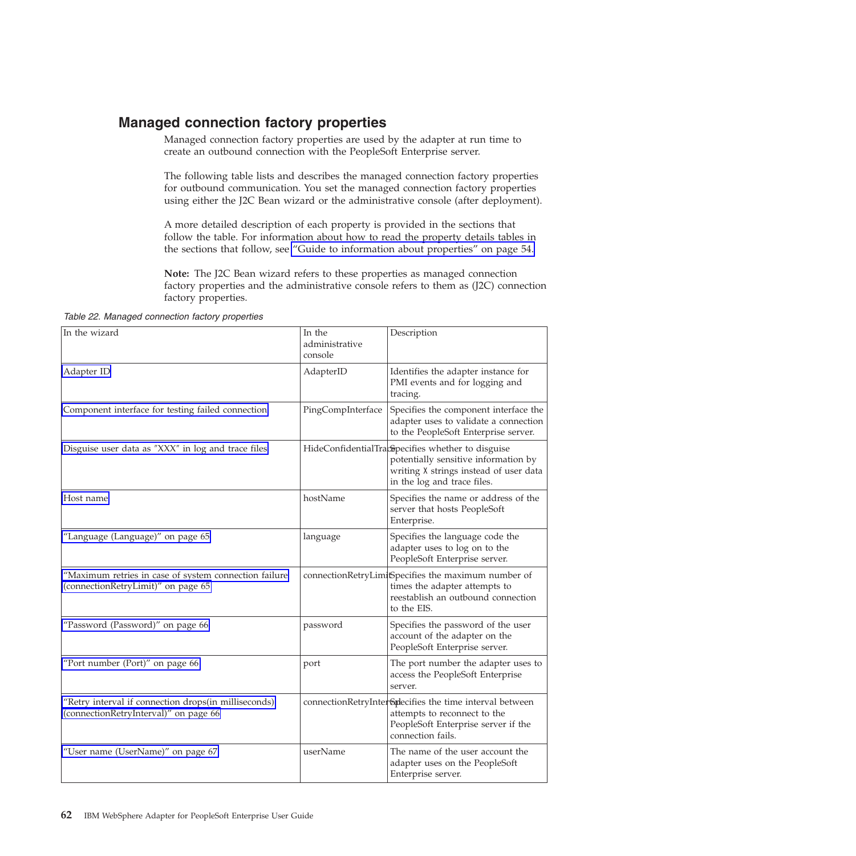# <span id="page-65-0"></span>**Managed connection factory properties**

Managed connection factory properties are used by the adapter at run time to create an outbound connection with the PeopleSoft Enterprise server.

The following table lists and describes the managed connection factory properties for outbound communication. You set the managed connection factory properties using either the J2C Bean wizard or the administrative console (after deployment).

A more detailed description of each property is provided in the sections that follow the table. For information about how to read the property details tables in the sections that follow, see ["Guide to information about properties" on page 54.](#page-57-0)

**Note:** The J2C Bean wizard refers to these properties as managed connection factory properties and the administrative console refers to them as (J2C) connection factory properties.

*Table 22. Managed connection factory properties*

| In the wizard                                                                                 | In the<br>administrative<br>console | Description                                                                                                                                                        |
|-----------------------------------------------------------------------------------------------|-------------------------------------|--------------------------------------------------------------------------------------------------------------------------------------------------------------------|
| Adapter ID                                                                                    | AdapterID                           | Identifies the adapter instance for<br>PMI events and for logging and<br>tracing.                                                                                  |
| Component interface for testing failed connection                                             | PingCompInterface                   | Specifies the component interface the<br>adapter uses to validate a connection<br>to the PeopleSoft Enterprise server.                                             |
| Disguise user data as "XXX" in log and trace files                                            |                                     | HideConfidentialTracopecifies whether to disguise<br>potentially sensitive information by<br>writing X strings instead of user data<br>in the log and trace files. |
| Host name                                                                                     | hostName                            | Specifies the name or address of the<br>server that hosts PeopleSoft<br>Enterprise.                                                                                |
| "Language (Language)" on page 65                                                              | language                            | Specifies the language code the<br>adapter uses to log on to the<br>PeopleSoft Enterprise server.                                                                  |
| "Maximum retries in case of system connection failure<br>(connectionRetryLimit)" on page 65   |                                     | connectionRetryLimi <sup>B</sup> pecifies the maximum number of<br>times the adapter attempts to<br>reestablish an outbound connection<br>to the EIS.              |
| "Password (Password)" on page 66                                                              | password                            | Specifies the password of the user<br>account of the adapter on the<br>PeopleSoft Enterprise server.                                                               |
| "Port number (Port)" on page 66                                                               | port                                | The port number the adapter uses to<br>access the PeopleSoft Enterprise<br>server.                                                                                 |
| "Retry interval if connection drops(in milliseconds)<br>(connectionRetryInterval)" on page 66 |                                     | connectionRetryInter <sup>6</sup> plecifies the time interval between<br>attempts to reconnect to the<br>PeopleSoft Enterprise server if the<br>connection fails.  |
| "User name (UserName)" on page 67                                                             | userName                            | The name of the user account the<br>adapter uses on the PeopleSoft<br>Enterprise server.                                                                           |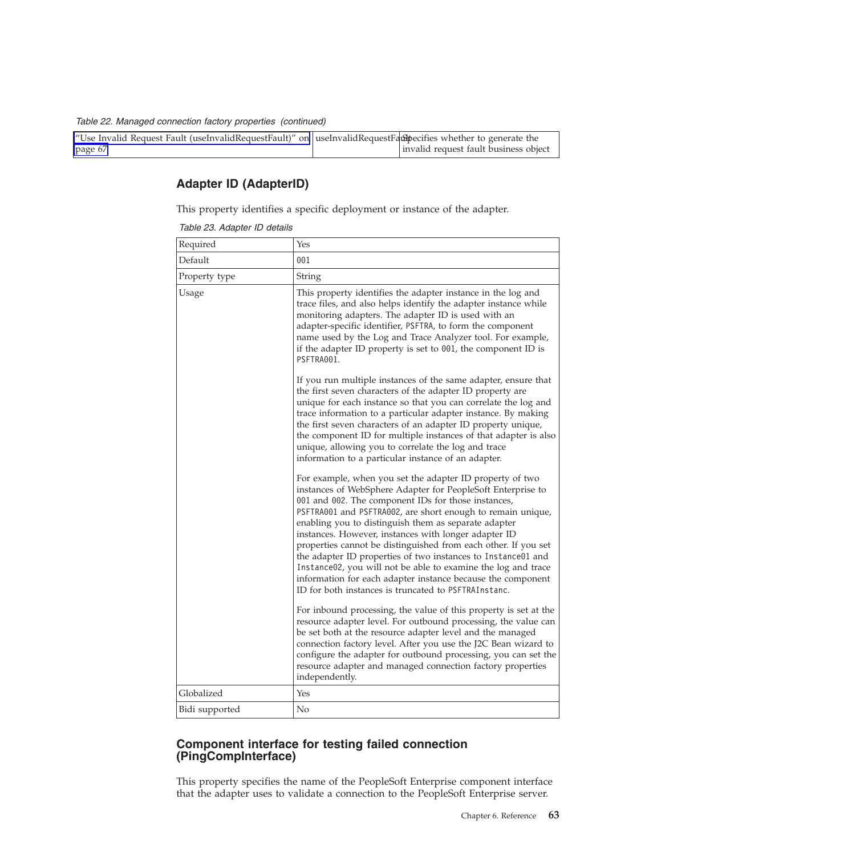<span id="page-66-0"></span>*Table 22. Managed connection factory properties (continued)*

| "Use Invalid Request Fault (useInvalidRequestFault)" on useInvalidRequestFaulthecifies whether to generate the |                                       |
|----------------------------------------------------------------------------------------------------------------|---------------------------------------|
| page 67                                                                                                        | invalid request fault business object |

## **Adapter ID (AdapterID)**

This property identifies a specific deployment or instance of the adapter.

*Table 23. Adapter ID details*

| Required       | Yes                                                                                                                                                                                                                                                                                                                                                                                                                                                                                                                                                                                                                                                                                     |
|----------------|-----------------------------------------------------------------------------------------------------------------------------------------------------------------------------------------------------------------------------------------------------------------------------------------------------------------------------------------------------------------------------------------------------------------------------------------------------------------------------------------------------------------------------------------------------------------------------------------------------------------------------------------------------------------------------------------|
| Default        | 001                                                                                                                                                                                                                                                                                                                                                                                                                                                                                                                                                                                                                                                                                     |
| Property type  | String                                                                                                                                                                                                                                                                                                                                                                                                                                                                                                                                                                                                                                                                                  |
| Usage          | This property identifies the adapter instance in the log and<br>trace files, and also helps identify the adapter instance while<br>monitoring adapters. The adapter ID is used with an<br>adapter-specific identifier, PSFTRA, to form the component<br>name used by the Log and Trace Analyzer tool. For example,<br>if the adapter ID property is set to 001, the component ID is<br>PSFTRA001.                                                                                                                                                                                                                                                                                       |
|                | If you run multiple instances of the same adapter, ensure that<br>the first seven characters of the adapter ID property are<br>unique for each instance so that you can correlate the log and<br>trace information to a particular adapter instance. By making<br>the first seven characters of an adapter ID property unique,<br>the component ID for multiple instances of that adapter is also<br>unique, allowing you to correlate the log and trace<br>information to a particular instance of an adapter.                                                                                                                                                                         |
|                | For example, when you set the adapter ID property of two<br>instances of WebSphere Adapter for PeopleSoft Enterprise to<br>001 and 002. The component IDs for those instances,<br>PSFTRA001 and PSFTRA002, are short enough to remain unique,<br>enabling you to distinguish them as separate adapter<br>instances. However, instances with longer adapter ID<br>properties cannot be distinguished from each other. If you set<br>the adapter ID properties of two instances to Instance01 and<br>Instance02, you will not be able to examine the log and trace<br>information for each adapter instance because the component<br>ID for both instances is truncated to PSFTRAInstanc. |
|                | For inbound processing, the value of this property is set at the<br>resource adapter level. For outbound processing, the value can<br>be set both at the resource adapter level and the managed<br>connection factory level. After you use the J2C Bean wizard to<br>configure the adapter for outbound processing, you can set the<br>resource adapter and managed connection factory properties<br>independently.                                                                                                                                                                                                                                                                     |
| Globalized     | Yes                                                                                                                                                                                                                                                                                                                                                                                                                                                                                                                                                                                                                                                                                     |
| Bidi supported | No                                                                                                                                                                                                                                                                                                                                                                                                                                                                                                                                                                                                                                                                                      |

#### **Component interface for testing failed connection (PingCompInterface)**

This property specifies the name of the PeopleSoft Enterprise component interface that the adapter uses to validate a connection to the PeopleSoft Enterprise server.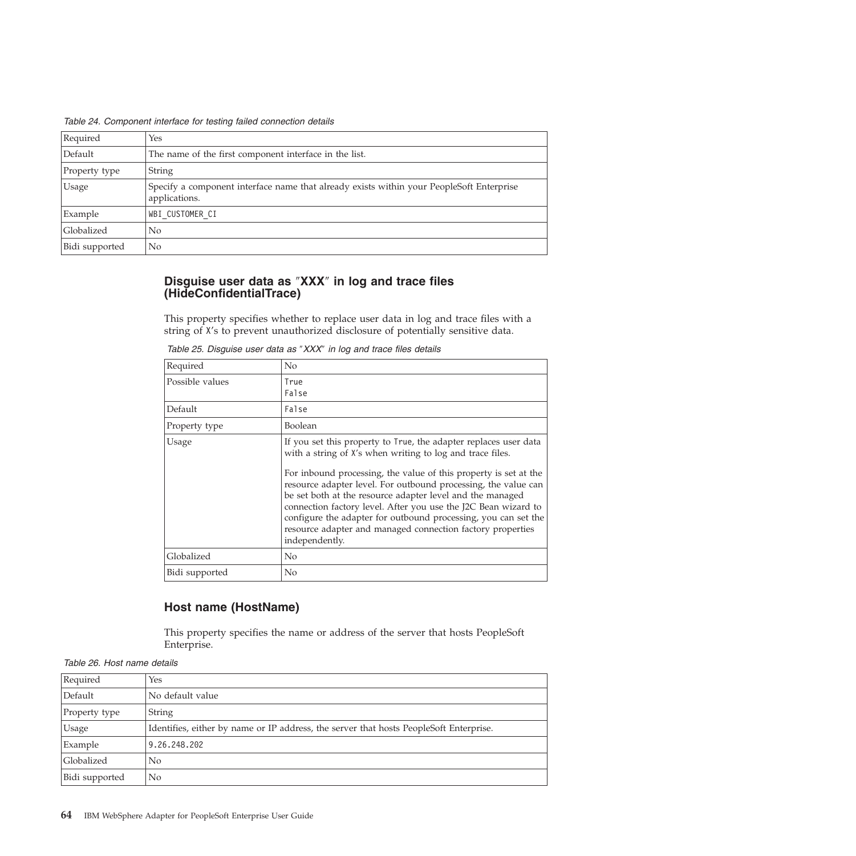<span id="page-67-0"></span>

| Table 24. Component interface for testing failed connection details |  |  |  |
|---------------------------------------------------------------------|--|--|--|
|                                                                     |  |  |  |

| Required       | Yes                                                                                                       |  |
|----------------|-----------------------------------------------------------------------------------------------------------|--|
| Default        | The name of the first component interface in the list.                                                    |  |
| Property type  | <b>String</b>                                                                                             |  |
| Usage          | Specify a component interface name that already exists within your PeopleSoft Enterprise<br>applications. |  |
| Example        | WBI CUSTOMER CI                                                                                           |  |
| Globalized     | $\rm No$                                                                                                  |  |
| Bidi supported | N <sub>0</sub>                                                                                            |  |

### **Disguise user data as** ″**XXX**″ **in log and trace files (HideConfidentialTrace)**

This property specifies whether to replace user data in log and trace files with a string of X's to prevent unauthorized disclosure of potentially sensitive data.

| Required        | No                                                                                                                                                                                                                                                                                                                                                                                                                                                                                                                                                   |
|-----------------|------------------------------------------------------------------------------------------------------------------------------------------------------------------------------------------------------------------------------------------------------------------------------------------------------------------------------------------------------------------------------------------------------------------------------------------------------------------------------------------------------------------------------------------------------|
| Possible values | True<br>False                                                                                                                                                                                                                                                                                                                                                                                                                                                                                                                                        |
| Default         | False                                                                                                                                                                                                                                                                                                                                                                                                                                                                                                                                                |
| Property type   | Boolean                                                                                                                                                                                                                                                                                                                                                                                                                                                                                                                                              |
| Usage           | If you set this property to True, the adapter replaces user data<br>with a string of X's when writing to log and trace files.<br>For inbound processing, the value of this property is set at the<br>resource adapter level. For outbound processing, the value can<br>be set both at the resource adapter level and the managed<br>connection factory level. After you use the J2C Bean wizard to<br>configure the adapter for outbound processing, you can set the<br>resource adapter and managed connection factory properties<br>independently. |
| Globalized      | No                                                                                                                                                                                                                                                                                                                                                                                                                                                                                                                                                   |
| Bidi supported  | No                                                                                                                                                                                                                                                                                                                                                                                                                                                                                                                                                   |

*Table 25. Disguise user data as* ″*XXX*″ *in log and trace files details*

### **Host name (HostName)**

This property specifies the name or address of the server that hosts PeopleSoft Enterprise.

*Table 26. Host name details*

| Required       | Yes                                                                                    |  |
|----------------|----------------------------------------------------------------------------------------|--|
| Default        | No default value                                                                       |  |
| Property type  | String                                                                                 |  |
| <b>Usage</b>   | Identifies, either by name or IP address, the server that hosts PeopleSoft Enterprise. |  |
| Example        | 9.26.248.202                                                                           |  |
| Globalized     | N <sub>0</sub>                                                                         |  |
| Bidi supported | No                                                                                     |  |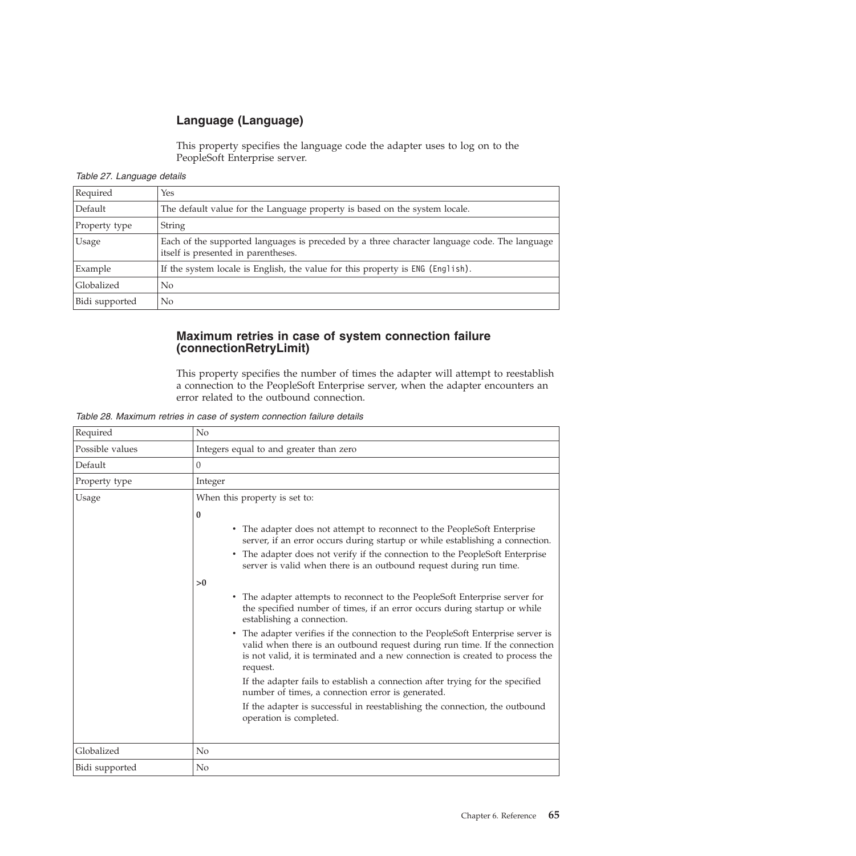# **Language (Language)**

This property specifies the language code the adapter uses to log on to the PeopleSoft Enterprise server.

<span id="page-68-0"></span>*Table 27. Language details*

| Required       | Yes                                                                                                                                 |  |
|----------------|-------------------------------------------------------------------------------------------------------------------------------------|--|
| Default        | The default value for the Language property is based on the system locale.                                                          |  |
| Property type  | String                                                                                                                              |  |
| Usage          | Each of the supported languages is preceded by a three character language code. The language<br>itself is presented in parentheses. |  |
| Example        | If the system locale is English, the value for this property is ENG (English).                                                      |  |
| Globalized     | No                                                                                                                                  |  |
| Bidi supported | No                                                                                                                                  |  |

### **Maximum retries in case of system connection failure (connectionRetryLimit)**

This property specifies the number of times the adapter will attempt to reestablish a connection to the PeopleSoft Enterprise server, when the adapter encounters an error related to the outbound connection.

| Required        | N <sub>o</sub>                                                                                                                                                                                                                                                                                                                         |  |  |
|-----------------|----------------------------------------------------------------------------------------------------------------------------------------------------------------------------------------------------------------------------------------------------------------------------------------------------------------------------------------|--|--|
| Possible values | Integers equal to and greater than zero                                                                                                                                                                                                                                                                                                |  |  |
| Default         | $\theta$                                                                                                                                                                                                                                                                                                                               |  |  |
| Property type   | Integer                                                                                                                                                                                                                                                                                                                                |  |  |
| Usage           | When this property is set to:                                                                                                                                                                                                                                                                                                          |  |  |
|                 | $\bf{0}$<br>The adapter does not attempt to reconnect to the PeopleSoft Enterprise<br>$\bullet$<br>server, if an error occurs during startup or while establishing a connection.<br>• The adapter does not verify if the connection to the PeopleSoft Enterprise<br>server is valid when there is an outbound request during run time. |  |  |
|                 | >0<br>• The adapter attempts to reconnect to the PeopleSoft Enterprise server for<br>the specified number of times, if an error occurs during startup or while<br>establishing a connection.                                                                                                                                           |  |  |
|                 | The adapter verifies if the connection to the PeopleSoft Enterprise server is<br>$\bullet$<br>valid when there is an outbound request during run time. If the connection<br>is not valid, it is terminated and a new connection is created to process the<br>request.                                                                  |  |  |
|                 | If the adapter fails to establish a connection after trying for the specified<br>number of times, a connection error is generated.                                                                                                                                                                                                     |  |  |
|                 | If the adapter is successful in reestablishing the connection, the outbound<br>operation is completed.                                                                                                                                                                                                                                 |  |  |
| Globalized      | N <sub>0</sub>                                                                                                                                                                                                                                                                                                                         |  |  |
| Bidi supported  | No                                                                                                                                                                                                                                                                                                                                     |  |  |

*Table 28. Maximum retries in case of system connection failure details*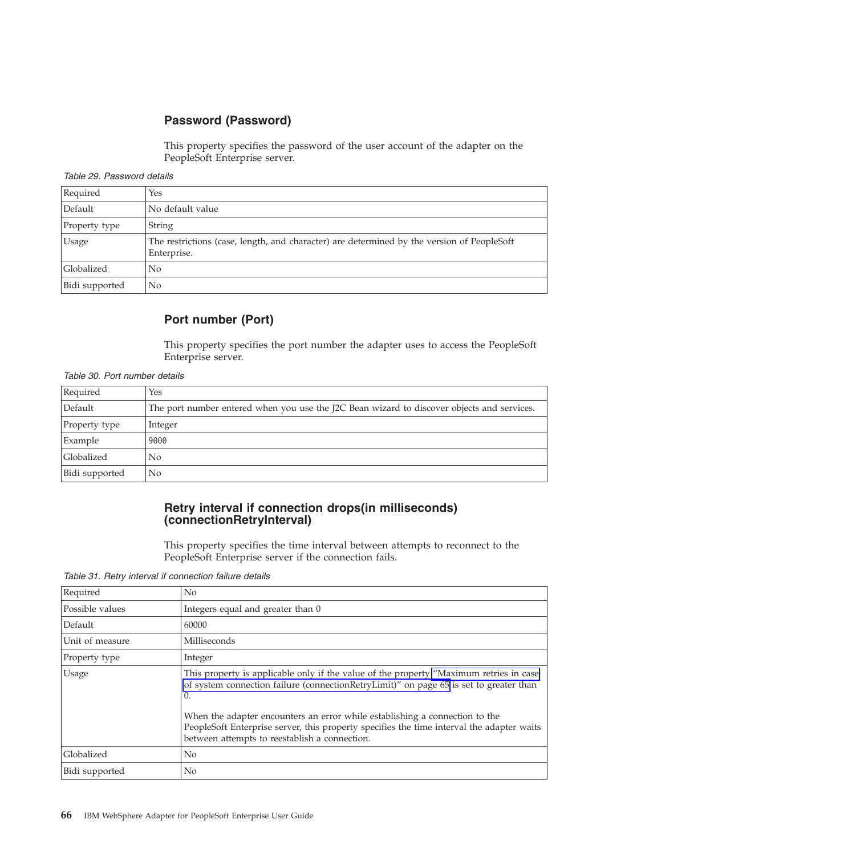## **Password (Password)**

This property specifies the password of the user account of the adapter on the PeopleSoft Enterprise server.

<span id="page-69-0"></span>

| Required       | Yes                                                                                                       |  |
|----------------|-----------------------------------------------------------------------------------------------------------|--|
| Default        | No default value                                                                                          |  |
| Property type  | String                                                                                                    |  |
| <b>Usage</b>   | The restrictions (case, length, and character) are determined by the version of PeopleSoft<br>Enterprise. |  |
| Globalized     | No                                                                                                        |  |
| Bidi supported | No                                                                                                        |  |

### **Port number (Port)**

This property specifies the port number the adapter uses to access the PeopleSoft Enterprise server.

*Table 30. Port number details*

| Required       | Yes                                                                                        |  |
|----------------|--------------------------------------------------------------------------------------------|--|
| Default        | The port number entered when you use the J2C Bean wizard to discover objects and services. |  |
| Property type  | Integer                                                                                    |  |
| Example        | 9000                                                                                       |  |
| Globalized     | No                                                                                         |  |
| Bidi supported | No                                                                                         |  |

#### **Retry interval if connection drops(in milliseconds) (connectionRetryInterval)**

This property specifies the time interval between attempts to reconnect to the PeopleSoft Enterprise server if the connection fails.

*Table 31. Retry interval if connection failure details*

| Required        | No                                                                                                                                                                                                                        |  |
|-----------------|---------------------------------------------------------------------------------------------------------------------------------------------------------------------------------------------------------------------------|--|
| Possible values | Integers equal and greater than 0                                                                                                                                                                                         |  |
| Default         | 60000                                                                                                                                                                                                                     |  |
| Unit of measure | Milliseconds                                                                                                                                                                                                              |  |
| Property type   | Integer                                                                                                                                                                                                                   |  |
| Usage           | This property is applicable only if the value of the property "Maximum retries in case<br>of system connection failure (connectionRetryLimit)" on page 65 is set to greater than<br>0.                                    |  |
|                 | When the adapter encounters an error while establishing a connection to the<br>PeopleSoft Enterprise server, this property specifies the time interval the adapter waits<br>between attempts to reestablish a connection. |  |
| Globalized      | No.                                                                                                                                                                                                                       |  |
| Bidi supported  | N <sub>0</sub>                                                                                                                                                                                                            |  |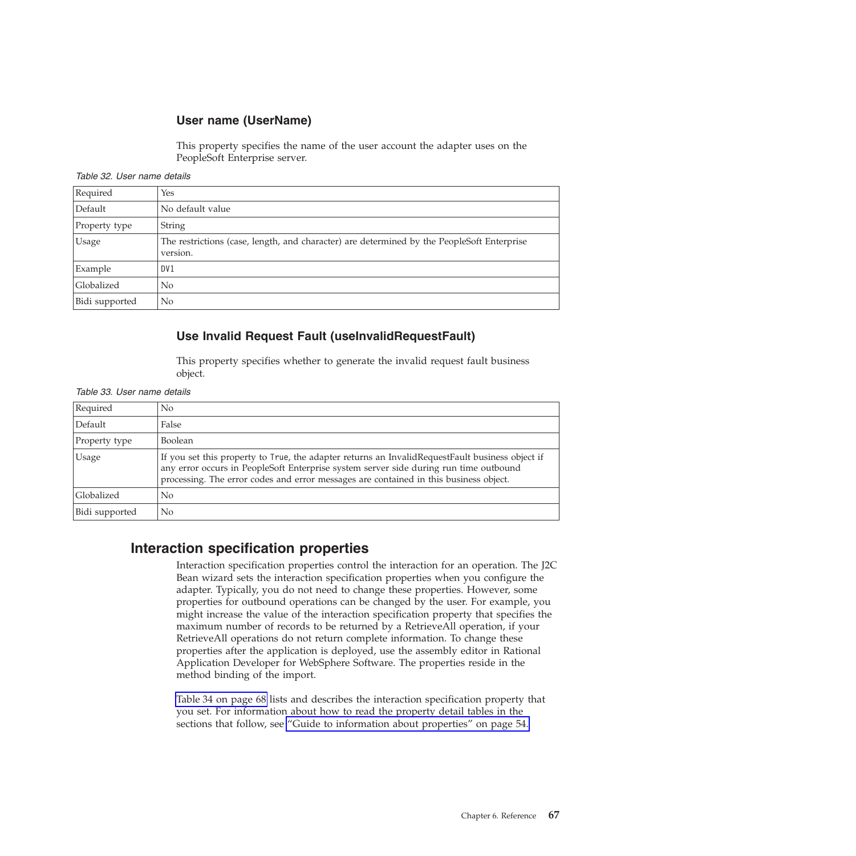### **User name (UserName)**

This property specifies the name of the user account the adapter uses on the PeopleSoft Enterprise server.

<span id="page-70-0"></span>

| Required       | Yes                                                                                                    |
|----------------|--------------------------------------------------------------------------------------------------------|
| Default        | No default value                                                                                       |
| Property type  | String                                                                                                 |
| <b>Usage</b>   | The restrictions (case, length, and character) are determined by the PeopleSoft Enterprise<br>version. |
| Example        | DV <sub>1</sub>                                                                                        |
| Globalized     | No                                                                                                     |
| Bidi supported | No                                                                                                     |

### **Use Invalid Request Fault (useInvalidRequestFault)**

This property specifies whether to generate the invalid request fault business object.

| Table 33. User name details |  |  |
|-----------------------------|--|--|
|-----------------------------|--|--|

| Required       | No                                                                                                                                                                                                                                                                                  |
|----------------|-------------------------------------------------------------------------------------------------------------------------------------------------------------------------------------------------------------------------------------------------------------------------------------|
| Default        | False                                                                                                                                                                                                                                                                               |
| Property type  | <b>Boolean</b>                                                                                                                                                                                                                                                                      |
| <b>Usage</b>   | If you set this property to True, the adapter returns an Invalid Request Fault business object if<br>any error occurs in PeopleSoft Enterprise system server side during run time outbound<br>processing. The error codes and error messages are contained in this business object. |
| Globalized     | N <sub>0</sub>                                                                                                                                                                                                                                                                      |
| Bidi supported | No                                                                                                                                                                                                                                                                                  |

## **Interaction specification properties**

Interaction specification properties control the interaction for an operation. The J2C Bean wizard sets the interaction specification properties when you configure the adapter. Typically, you do not need to change these properties. However, some properties for outbound operations can be changed by the user. For example, you might increase the value of the interaction specification property that specifies the maximum number of records to be returned by a RetrieveAll operation, if your RetrieveAll operations do not return complete information. To change these properties after the application is deployed, use the assembly editor in Rational Application Developer for WebSphere Software. The properties reside in the method binding of the import.

[Table 34 on page 68](#page-71-0) lists and describes the interaction specification property that you set. For information about how to read the property detail tables in the sections that follow, see ["Guide to information about properties" on page 54.](#page-57-0)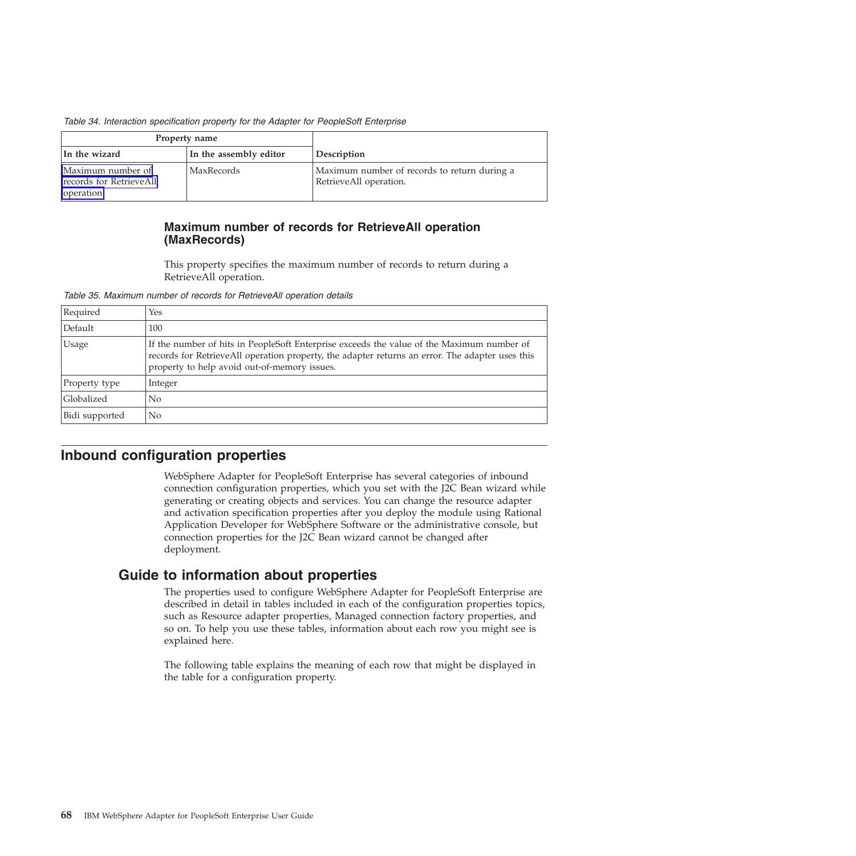<span id="page-71-0"></span>

| Table 34. Interaction specification property for the Adapter for PeopleSoft Enterprise |  |  |  |  |  |
|----------------------------------------------------------------------------------------|--|--|--|--|--|
|----------------------------------------------------------------------------------------|--|--|--|--|--|

|                                                           | Property name          |                                                                        |
|-----------------------------------------------------------|------------------------|------------------------------------------------------------------------|
| In the wizard                                             | In the assembly editor | Description                                                            |
| Maximum number of<br>records for RetrieveAll<br>operation | MaxRecords             | Maximum number of records to return during a<br>RetrieveAll operation. |

### **Maximum number of records for RetrieveAll operation (MaxRecords)**

This property specifies the maximum number of records to return during a RetrieveAll operation.

*Table 35. Maximum number of records for RetrieveAll operation details*

| Required       | Yes                                                                                                                                                                                                                                          |
|----------------|----------------------------------------------------------------------------------------------------------------------------------------------------------------------------------------------------------------------------------------------|
| Default        | 100                                                                                                                                                                                                                                          |
| Usage          | If the number of hits in PeopleSoft Enterprise exceeds the value of the Maximum number of<br>records for RetrieveAll operation property, the adapter returns an error. The adapter uses this<br>property to help avoid out-of-memory issues. |
| Property type  | Integer                                                                                                                                                                                                                                      |
| Globalized     | N <sub>0</sub>                                                                                                                                                                                                                               |
| Bidi supported | N <sub>0</sub>                                                                                                                                                                                                                               |

# **Inbound configuration properties**

WebSphere Adapter for PeopleSoft Enterprise has several categories of inbound connection configuration properties, which you set with the J2C Bean wizard while generating or creating objects and services. You can change the resource adapter and activation specification properties after you deploy the module using Rational Application Developer for WebSphere Software or the administrative console, but connection properties for the J2C Bean wizard cannot be changed after deployment.

# **Guide to information about properties**

The properties used to configure WebSphere Adapter for PeopleSoft Enterprise are described in detail in tables included in each of the configuration properties topics, such as Resource adapter properties, Managed connection factory properties, and so on. To help you use these tables, information about each row you might see is explained here.

The following table explains the meaning of each row that might be displayed in the table for a configuration property.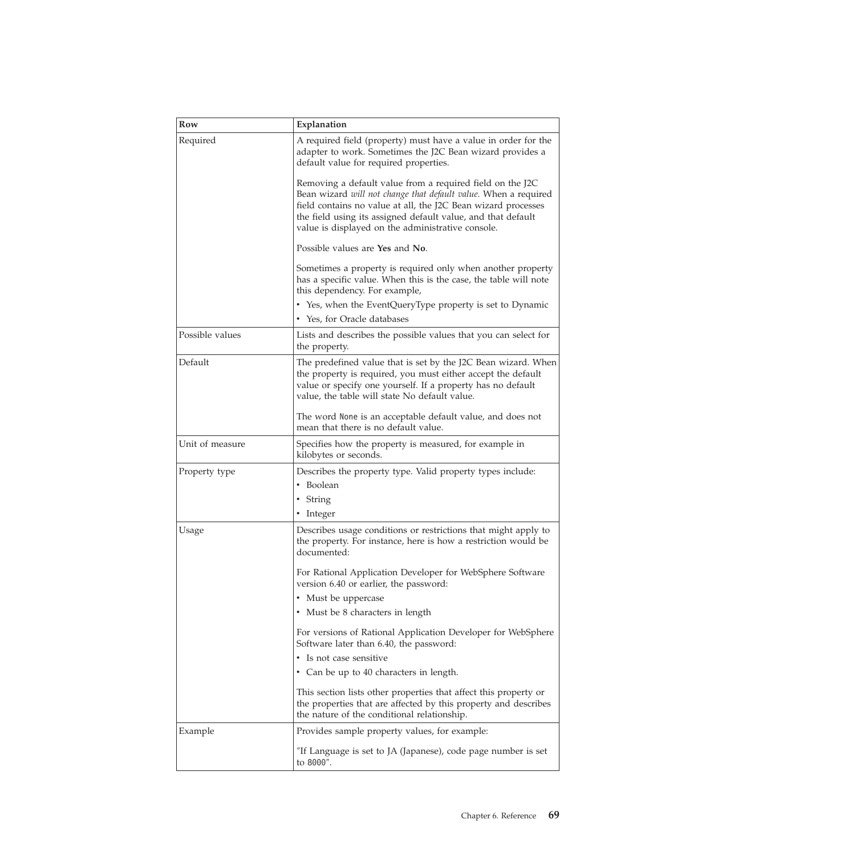| Row             | Explanation                                                                                                                                                                                                                                                                                                        |  |
|-----------------|--------------------------------------------------------------------------------------------------------------------------------------------------------------------------------------------------------------------------------------------------------------------------------------------------------------------|--|
| Required        | A required field (property) must have a value in order for the<br>adapter to work. Sometimes the J2C Bean wizard provides a<br>default value for required properties.                                                                                                                                              |  |
|                 | Removing a default value from a required field on the J2C<br>Bean wizard will not change that default value. When a required<br>field contains no value at all, the J2C Bean wizard processes<br>the field using its assigned default value, and that default<br>value is displayed on the administrative console. |  |
|                 | Possible values are Yes and No.                                                                                                                                                                                                                                                                                    |  |
|                 | Sometimes a property is required only when another property<br>has a specific value. When this is the case, the table will note<br>this dependency. For example,                                                                                                                                                   |  |
|                 | • Yes, when the EventQueryType property is set to Dynamic                                                                                                                                                                                                                                                          |  |
|                 | • Yes, for Oracle databases                                                                                                                                                                                                                                                                                        |  |
| Possible values | Lists and describes the possible values that you can select for<br>the property.                                                                                                                                                                                                                                   |  |
| Default         | The predefined value that is set by the J2C Bean wizard. When<br>the property is required, you must either accept the default<br>value or specify one yourself. If a property has no default<br>value, the table will state No default value.                                                                      |  |
|                 | The word None is an acceptable default value, and does not<br>mean that there is no default value.                                                                                                                                                                                                                 |  |
| Unit of measure | Specifies how the property is measured, for example in<br>kilobytes or seconds.                                                                                                                                                                                                                                    |  |
| Property type   | Describes the property type. Valid property types include:                                                                                                                                                                                                                                                         |  |
|                 | • Boolean                                                                                                                                                                                                                                                                                                          |  |
|                 | • String                                                                                                                                                                                                                                                                                                           |  |
|                 | • Integer                                                                                                                                                                                                                                                                                                          |  |
| Usage           | Describes usage conditions or restrictions that might apply to<br>the property. For instance, here is how a restriction would be<br>documented:                                                                                                                                                                    |  |
|                 | For Rational Application Developer for WebSphere Software<br>version 6.40 or earlier, the password:                                                                                                                                                                                                                |  |
|                 | • Must be uppercase                                                                                                                                                                                                                                                                                                |  |
|                 | • Must be 8 characters in length                                                                                                                                                                                                                                                                                   |  |
|                 | For versions of Rational Application Developer for WebSphere<br>Software later than 6.40, the password:                                                                                                                                                                                                            |  |
|                 | • Is not case sensitive                                                                                                                                                                                                                                                                                            |  |
|                 | • Can be up to 40 characters in length.                                                                                                                                                                                                                                                                            |  |
|                 | This section lists other properties that affect this property or<br>the properties that are affected by this property and describes<br>the nature of the conditional relationship.                                                                                                                                 |  |
| Example         | Provides sample property values, for example:                                                                                                                                                                                                                                                                      |  |
|                 | "If Language is set to JA (Japanese), code page number is set<br>to 8000".                                                                                                                                                                                                                                         |  |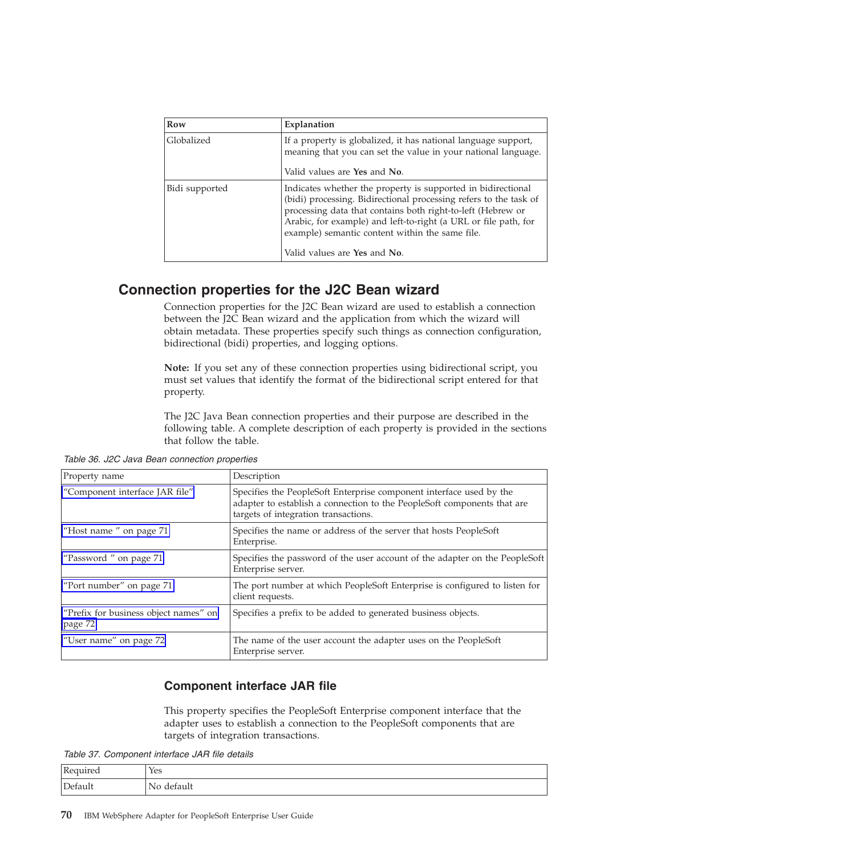<span id="page-73-0"></span>

| Row            | Explanation                                                                                                                                                                                                                                                                                                                                            |  |
|----------------|--------------------------------------------------------------------------------------------------------------------------------------------------------------------------------------------------------------------------------------------------------------------------------------------------------------------------------------------------------|--|
| Globalized     | If a property is globalized, it has national language support,<br>meaning that you can set the value in your national language.<br>Valid values are Yes and No.                                                                                                                                                                                        |  |
| Bidi supported | Indicates whether the property is supported in bidirectional<br>(bidi) processing. Bidirectional processing refers to the task of<br>processing data that contains both right-to-left (Hebrew or<br>Arabic, for example) and left-to-right (a URL or file path, for<br>example) semantic content within the same file.<br>Valid values are Yes and No. |  |

### **Connection properties for the J2C Bean wizard**

Connection properties for the J2C Bean wizard are used to establish a connection between the J2C Bean wizard and the application from which the wizard will obtain metadata. These properties specify such things as connection configuration, bidirectional (bidi) properties, and logging options.

**Note:** If you set any of these connection properties using bidirectional script, you must set values that identify the format of the bidirectional script entered for that property.

The J2C Java Bean connection properties and their purpose are described in the following table. A complete description of each property is provided in the sections that follow the table.

*Table 36. J2C Java Bean connection properties*

| Property name                                    | Description                                                                                                                                                                            |
|--------------------------------------------------|----------------------------------------------------------------------------------------------------------------------------------------------------------------------------------------|
| "Component interface JAR file"                   | Specifies the PeopleSoft Enterprise component interface used by the<br>adapter to establish a connection to the PeopleSoft components that are<br>targets of integration transactions. |
| "Host name" on page 71                           | Specifies the name or address of the server that hosts PeopleSoft<br>Enterprise.                                                                                                       |
| "Password" on page 71                            | Specifies the password of the user account of the adapter on the PeopleSoft<br>Enterprise server.                                                                                      |
| "Port number" on page 71                         | The port number at which PeopleSoft Enterprise is configured to listen for<br>client requests.                                                                                         |
| "Prefix for business object names" on<br>page 72 | Specifies a prefix to be added to generated business objects.                                                                                                                          |
| "User name" on page 72                           | The name of the user account the adapter uses on the PeopleSoft<br>Enterprise server.                                                                                                  |

#### **Component interface JAR file**

This property specifies the PeopleSoft Enterprise component interface that the adapter uses to establish a connection to the PeopleSoft components that are targets of integration transactions.

*Table 37. Component interface JAR file details*

| $\mathbf{r}$<br>T. | Yes |
|--------------------|-----|
| $\sqrt{ }$         | 'Nu |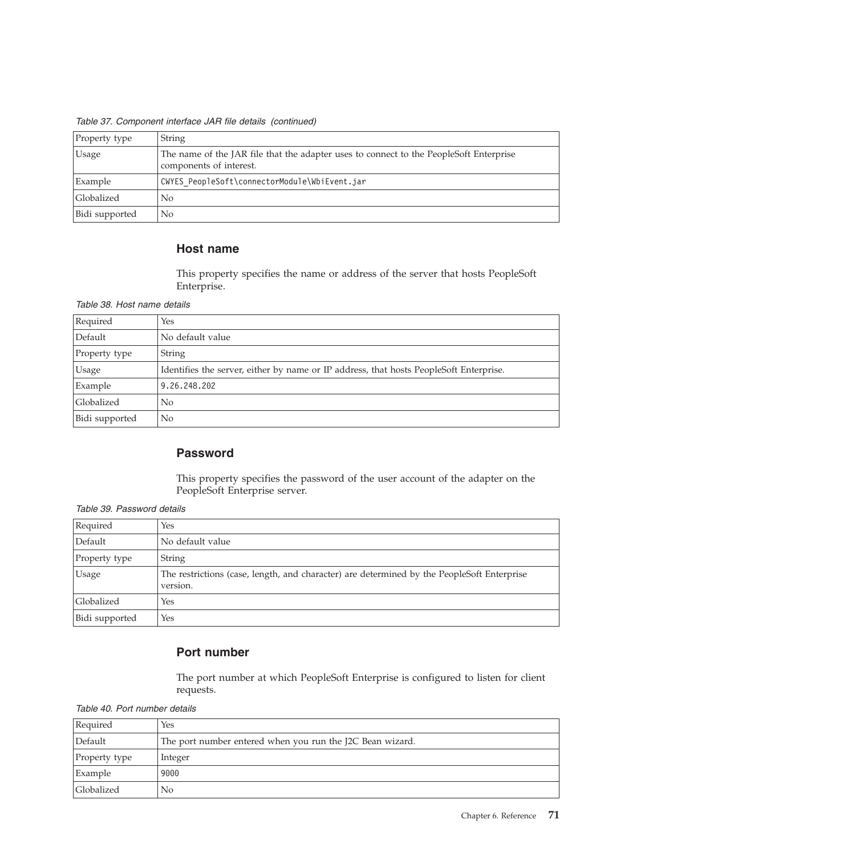<span id="page-74-0"></span>*Table 37. Component interface JAR file details (continued)*

| Property type  | String                                                                                                            |  |
|----------------|-------------------------------------------------------------------------------------------------------------------|--|
| Usage          | The name of the JAR file that the adapter uses to connect to the PeopleSoft Enterprise<br>components of interest. |  |
| Example        | CWYES PeopleSoft\connectorModule\WbiEvent.jar                                                                     |  |
| Globalized     | N <sub>0</sub>                                                                                                    |  |
| Bidi supported | N <sub>0</sub>                                                                                                    |  |

#### **Host name**

This property specifies the name or address of the server that hosts PeopleSoft Enterprise.

#### *Table 38. Host name details*

| Required       | Yes                                                                                    |
|----------------|----------------------------------------------------------------------------------------|
| Default        | No default value                                                                       |
| Property type  | <b>String</b>                                                                          |
| <b>Usage</b>   | Identifies the server, either by name or IP address, that hosts PeopleSoft Enterprise. |
| Example        | 9.26.248.202                                                                           |
| Globalized     | N <sub>0</sub>                                                                         |
| Bidi supported | N <sub>0</sub>                                                                         |

#### **Password**

This property specifies the password of the user account of the adapter on the PeopleSoft Enterprise server.

*Table 39. Password details*

| Required       | Yes                                                                                                    |
|----------------|--------------------------------------------------------------------------------------------------------|
| Default        | No default value                                                                                       |
| Property type  | String                                                                                                 |
| <b>Usage</b>   | The restrictions (case, length, and character) are determined by the PeopleSoft Enterprise<br>version. |
| Globalized     | Yes                                                                                                    |
| Bidi supported | Yes                                                                                                    |

#### **Port number**

The port number at which PeopleSoft Enterprise is configured to listen for client requests.

*Table 40. Port number details*

| Required      | Yes                                                       |
|---------------|-----------------------------------------------------------|
| Default       | The port number entered when you run the J2C Bean wizard. |
| Property type | Integer                                                   |
| Example       | 9000                                                      |
| Globalized    | No                                                        |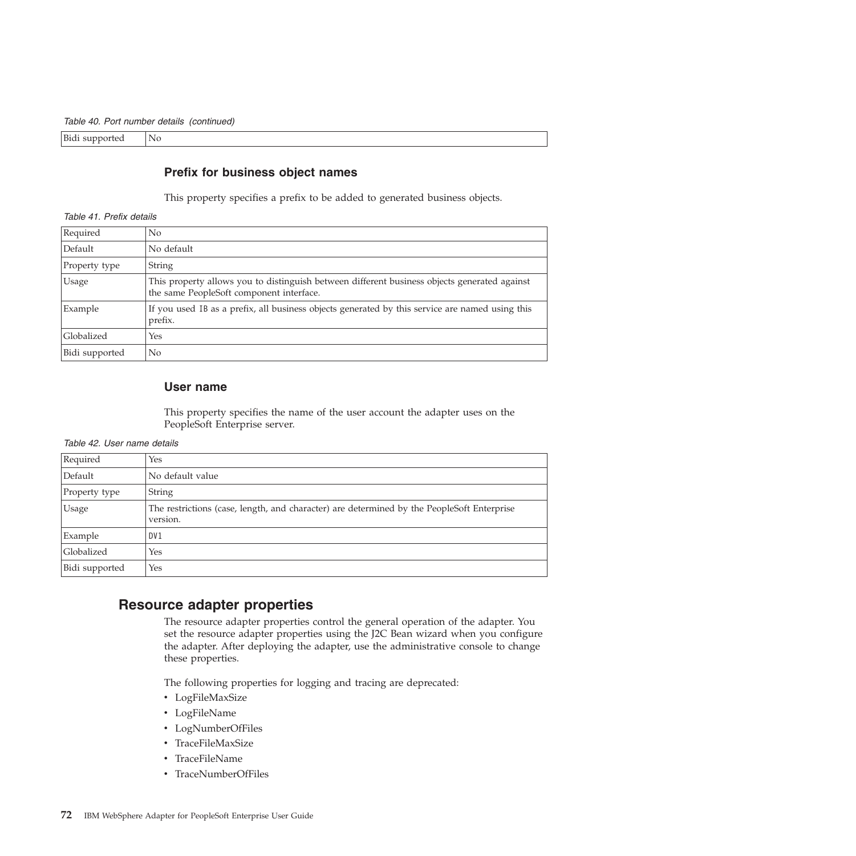<span id="page-75-0"></span>Bidi supported | No

#### **Prefix for business object names**

This property specifies a prefix to be added to generated business objects.

*Table 41. Prefix details*

| Required          | No.                                                                                                                                      |
|-------------------|------------------------------------------------------------------------------------------------------------------------------------------|
| Default           | No default                                                                                                                               |
| Property type     | String                                                                                                                                   |
| <b>Usage</b>      | This property allows you to distinguish between different business objects generated against<br>the same PeopleSoft component interface. |
| Example           | If you used IB as a prefix, all business objects generated by this service are named using this<br>prefix.                               |
| <b>Globalized</b> | Yes                                                                                                                                      |
| Bidi supported    | No                                                                                                                                       |

#### **User name**

This property specifies the name of the user account the adapter uses on the PeopleSoft Enterprise server.

|  |  | Table 42. User name details |  |
|--|--|-----------------------------|--|
|--|--|-----------------------------|--|

| Required       | <b>Yes</b>                                                                                             |
|----------------|--------------------------------------------------------------------------------------------------------|
| Default        | No default value                                                                                       |
| Property type  | <b>String</b>                                                                                          |
| Usage          | The restrictions (case, length, and character) are determined by the PeopleSoft Enterprise<br>version. |
| Example        | DV <sub>1</sub>                                                                                        |
| Globalized     | <b>Yes</b>                                                                                             |
| Bidi supported | Yes                                                                                                    |

### **Resource adapter properties**

The resource adapter properties control the general operation of the adapter. You set the resource adapter properties using the J2C Bean wizard when you configure the adapter. After deploying the adapter, use the administrative console to change these properties.

The following properties for logging and tracing are deprecated:

- LogFileMaxSize
- LogFileName
- LogNumberOfFiles
- TraceFileMaxSize
- TraceFileName
- TraceNumberOfFiles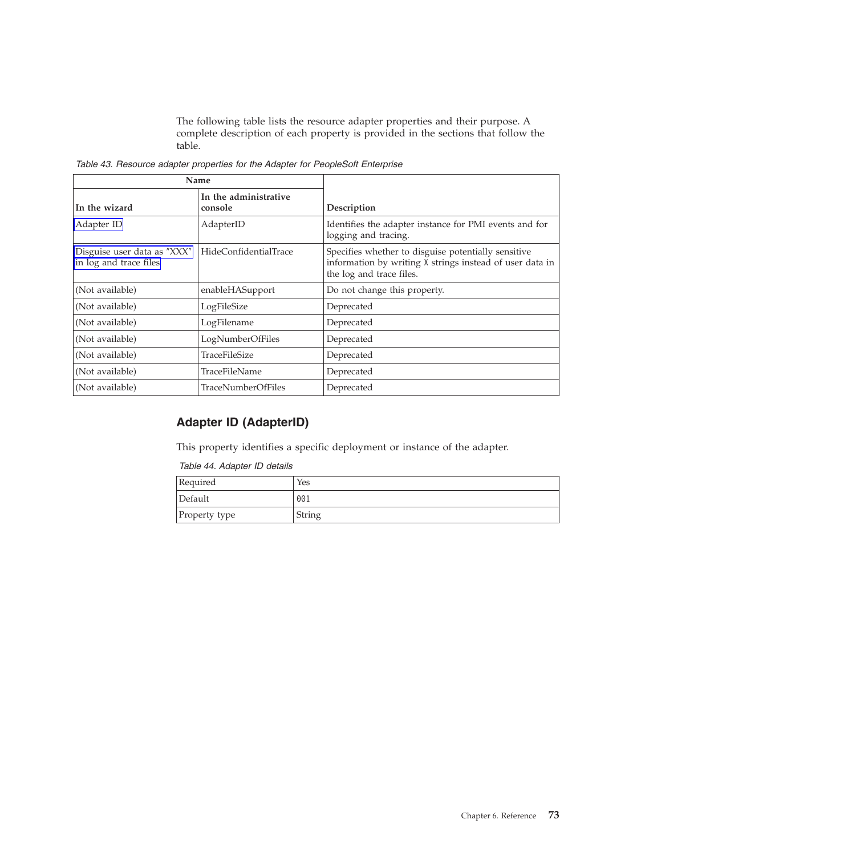The following table lists the resource adapter properties and their purpose. A complete description of each property is provided in the sections that follow the table.

| Name                                                  |                                  |                                                                                                                                             |
|-------------------------------------------------------|----------------------------------|---------------------------------------------------------------------------------------------------------------------------------------------|
| In the wizard                                         | In the administrative<br>console | Description                                                                                                                                 |
| Adapter ID                                            | AdapterID                        | Identifies the adapter instance for PMI events and for<br>logging and tracing.                                                              |
| Disguise user data as "XXX"<br>in log and trace files | HideConfidentialTrace            | Specifies whether to disguise potentially sensitive<br>information by writing X strings instead of user data in<br>the log and trace files. |
| (Not available)                                       | enableHASupport                  | Do not change this property.                                                                                                                |
| (Not available)                                       | LogFileSize                      | Deprecated                                                                                                                                  |
| (Not available)                                       | LogFilename                      | Deprecated                                                                                                                                  |
| (Not available)                                       | LogNumberOfFiles                 | Deprecated                                                                                                                                  |
| (Not available)                                       | TraceFileSize                    | Deprecated                                                                                                                                  |
| (Not available)                                       | TraceFileName                    | Deprecated                                                                                                                                  |
| (Not available)                                       | <b>TraceNumberOfFiles</b>        | Deprecated                                                                                                                                  |

<span id="page-76-0"></span>*Table 43. Resource adapter properties for the Adapter for PeopleSoft Enterprise*

### **Adapter ID (AdapterID)**

This property identifies a specific deployment or instance of the adapter.

*Table 44. Adapter ID details*

| Required      | Yes    |
|---------------|--------|
| Default       | 001    |
| Property type | String |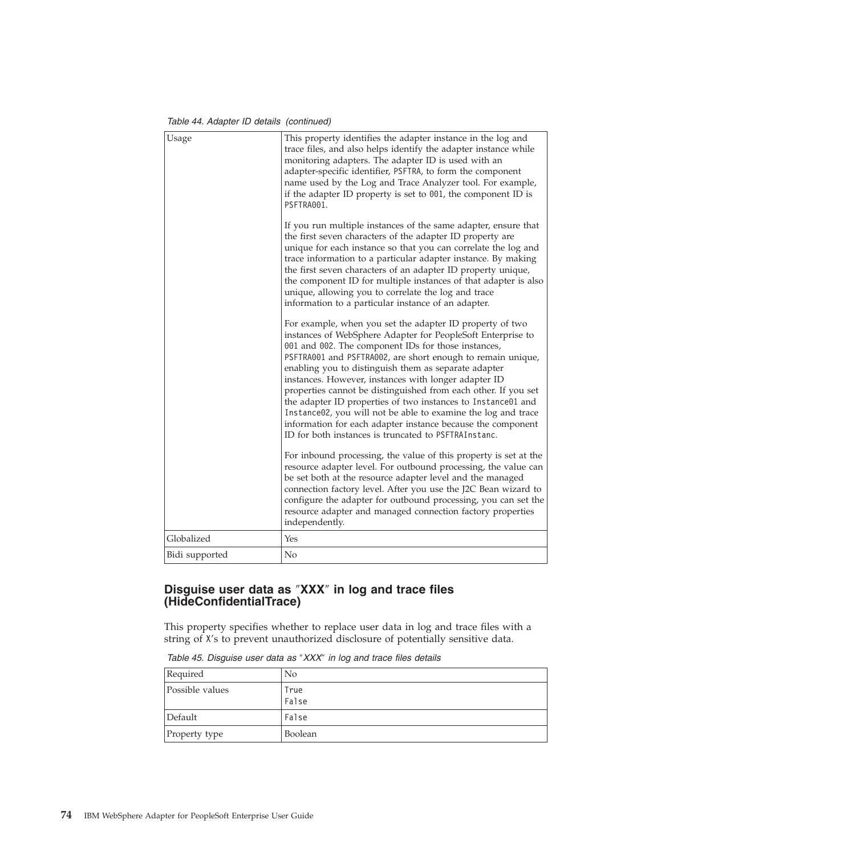*Table 44. Adapter ID details (continued)*

<span id="page-77-0"></span>

| Usage          | This property identifies the adapter instance in the log and<br>trace files, and also helps identify the adapter instance while<br>monitoring adapters. The adapter ID is used with an<br>adapter-specific identifier, PSFTRA, to form the component<br>name used by the Log and Trace Analyzer tool. For example,<br>if the adapter ID property is set to 001, the component ID is<br>PSFTRA001.                                                                                                                                                                                                                                                                                       |
|----------------|-----------------------------------------------------------------------------------------------------------------------------------------------------------------------------------------------------------------------------------------------------------------------------------------------------------------------------------------------------------------------------------------------------------------------------------------------------------------------------------------------------------------------------------------------------------------------------------------------------------------------------------------------------------------------------------------|
|                | If you run multiple instances of the same adapter, ensure that<br>the first seven characters of the adapter ID property are<br>unique for each instance so that you can correlate the log and<br>trace information to a particular adapter instance. By making<br>the first seven characters of an adapter ID property unique,<br>the component ID for multiple instances of that adapter is also<br>unique, allowing you to correlate the log and trace<br>information to a particular instance of an adapter.                                                                                                                                                                         |
|                | For example, when you set the adapter ID property of two<br>instances of WebSphere Adapter for PeopleSoft Enterprise to<br>001 and 002. The component IDs for those instances,<br>PSFTRA001 and PSFTRA002, are short enough to remain unique,<br>enabling you to distinguish them as separate adapter<br>instances. However, instances with longer adapter ID<br>properties cannot be distinguished from each other. If you set<br>the adapter ID properties of two instances to Instance01 and<br>Instance02, you will not be able to examine the log and trace<br>information for each adapter instance because the component<br>ID for both instances is truncated to PSFTRAInstanc. |
|                | For inbound processing, the value of this property is set at the<br>resource adapter level. For outbound processing, the value can<br>be set both at the resource adapter level and the managed<br>connection factory level. After you use the J2C Bean wizard to<br>configure the adapter for outbound processing, you can set the<br>resource adapter and managed connection factory properties<br>independently.                                                                                                                                                                                                                                                                     |
| Globalized     | Yes                                                                                                                                                                                                                                                                                                                                                                                                                                                                                                                                                                                                                                                                                     |
| Bidi supported | No                                                                                                                                                                                                                                                                                                                                                                                                                                                                                                                                                                                                                                                                                      |

#### **Disguise user data as** ″**XXX**″ **in log and trace files (HideConfidentialTrace)**

This property specifies whether to replace user data in log and trace files with a string of X's to prevent unauthorized disclosure of potentially sensitive data.

| Required        | N <sub>0</sub> |
|-----------------|----------------|
| Possible values | True<br>False  |
| Default         | False          |
| Property type   | Boolean        |

*Table 45. Disguise user data as* ″*XXX*″ *in log and trace files details*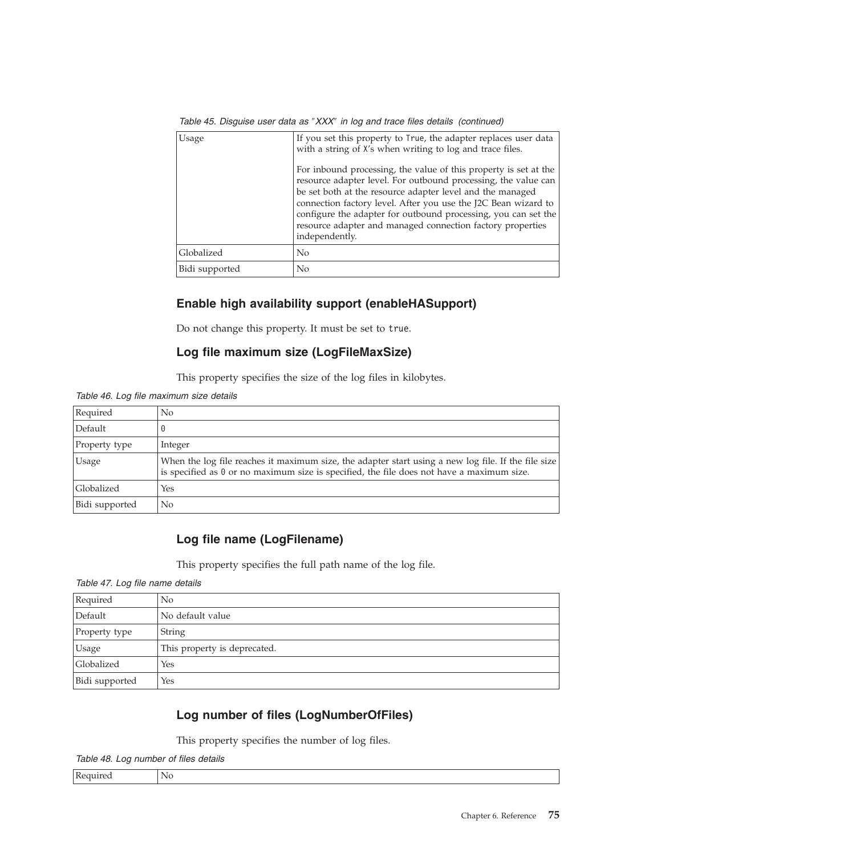| Usage          | If you set this property to True, the adapter replaces user data<br>with a string of X's when writing to log and trace files.                                                                                                                                                                                                                                                                                       |
|----------------|---------------------------------------------------------------------------------------------------------------------------------------------------------------------------------------------------------------------------------------------------------------------------------------------------------------------------------------------------------------------------------------------------------------------|
|                | For inbound processing, the value of this property is set at the<br>resource adapter level. For outbound processing, the value can<br>be set both at the resource adapter level and the managed<br>connection factory level. After you use the J2C Bean wizard to<br>configure the adapter for outbound processing, you can set the<br>resource adapter and managed connection factory properties<br>independently. |
| Globalized     | No                                                                                                                                                                                                                                                                                                                                                                                                                  |
| Bidi supported | No                                                                                                                                                                                                                                                                                                                                                                                                                  |

*Table 45. Disguise user data as* ″*XXX*″ *in log and trace files details (continued)*

### **Enable high availability support (enableHASupport)**

Do not change this property. It must be set to true.

#### **Log file maximum size (LogFileMaxSize)**

This property specifies the size of the log files in kilobytes.

*Table 46. Log file maximum size details*

| Required       | No                                                                                                                                                                                                      |
|----------------|---------------------------------------------------------------------------------------------------------------------------------------------------------------------------------------------------------|
| Default        |                                                                                                                                                                                                         |
| Property type  | Integer                                                                                                                                                                                                 |
| <b>Usage</b>   | When the log file reaches it maximum size, the adapter start using a new log file. If the file size<br>is specified as $\theta$ or no maximum size is specified, the file does not have a maximum size. |
| Globalized     | Yes                                                                                                                                                                                                     |
| Bidi supported | No                                                                                                                                                                                                      |

### **Log file name (LogFilename)**

This property specifies the full path name of the log file.

*Table 47. Log file name details*

| Required       | No                           |
|----------------|------------------------------|
| Default        | No default value             |
| Property type  | String                       |
| <b>Usage</b>   | This property is deprecated. |
| Globalized     | Yes                          |
| Bidi supported | Yes                          |

### **Log number of files (LogNumberOfFiles)**

This property specifies the number of log files.

*Table 48. Log number of files details*

| $\mathbf{r}$<br>ĸ<br>$\cdots$<br>. re | N<br>ॱ |
|---------------------------------------|--------|
|---------------------------------------|--------|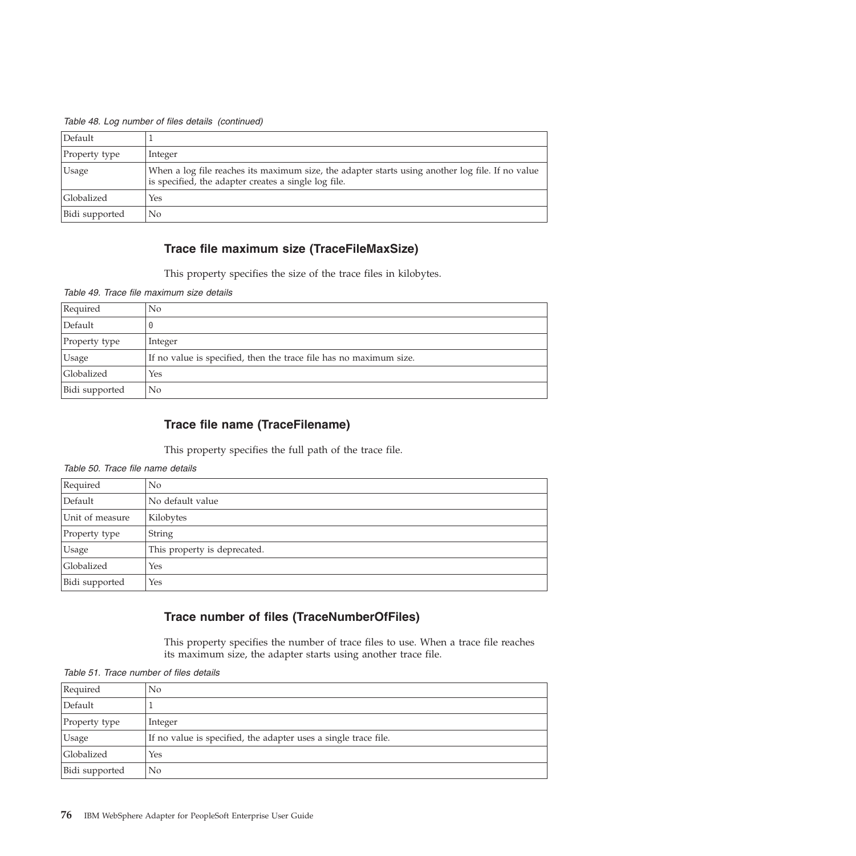| Default        |                                                                                                                                                          |
|----------------|----------------------------------------------------------------------------------------------------------------------------------------------------------|
| Property type  | Integer                                                                                                                                                  |
| <b>Usage</b>   | When a log file reaches its maximum size, the adapter starts using another log file. If no value<br>is specified, the adapter creates a single log file. |
| Globalized     | Yes                                                                                                                                                      |
| Bidi supported | No                                                                                                                                                       |

*Table 48. Log number of files details (continued)*

### **Trace file maximum size (TraceFileMaxSize)**

This property specifies the size of the trace files in kilobytes.

*Table 49. Trace file maximum size details*

| Required       | No                                                                 |
|----------------|--------------------------------------------------------------------|
| Default        | $\Theta$                                                           |
| Property type  | Integer                                                            |
| Usage          | If no value is specified, then the trace file has no maximum size. |
| Globalized     | Yes                                                                |
| Bidi supported | No                                                                 |

#### **Trace file name (TraceFilename)**

This property specifies the full path of the trace file.

| Required        | No.                          |  |
|-----------------|------------------------------|--|
| Default         | No default value             |  |
| Unit of measure | Kilobytes                    |  |
| Property type   | <b>String</b>                |  |
| <b>Usage</b>    | This property is deprecated. |  |
| Globalized      | Yes                          |  |
| Bidi supported  | Yes                          |  |

*Table 50. Trace file name details*

### **Trace number of files (TraceNumberOfFiles)**

This property specifies the number of trace files to use. When a trace file reaches its maximum size, the adapter starts using another trace file.

| Required       | No.                                                             |
|----------------|-----------------------------------------------------------------|
| Default        |                                                                 |
| Property type  | Integer                                                         |
| Usage          | If no value is specified, the adapter uses a single trace file. |
| Globalized     | Yes                                                             |
| Bidi supported | No.                                                             |

*Table 51. Trace number of files details*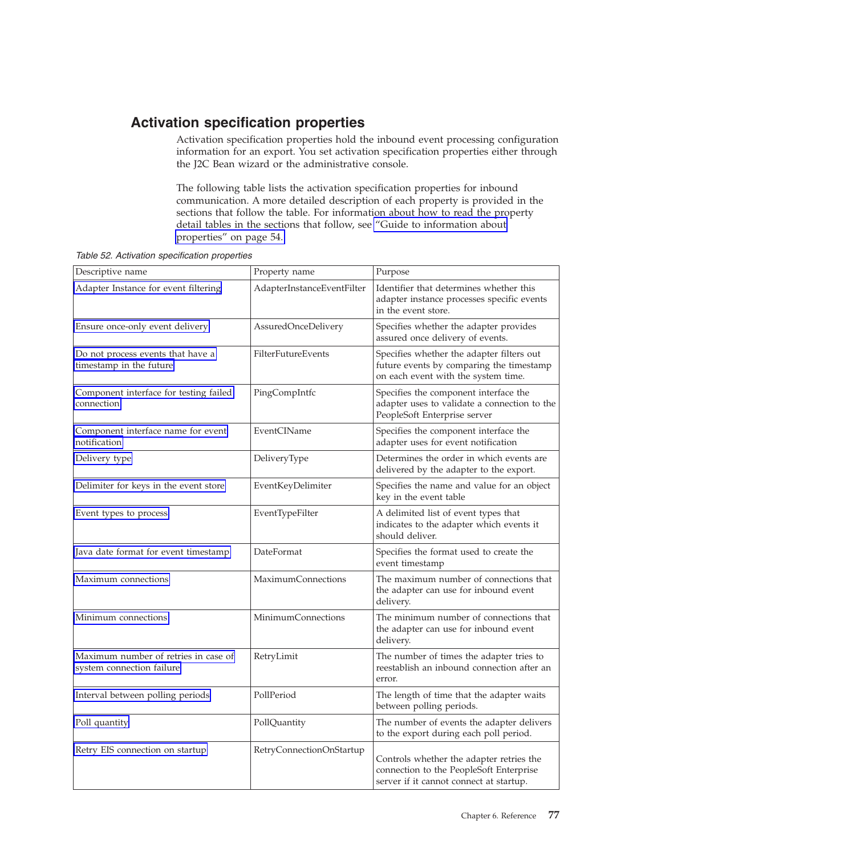## <span id="page-80-0"></span>**Activation specification properties**

Activation specification properties hold the inbound event processing configuration information for an export. You set activation specification properties either through the J2C Bean wizard or the administrative console.

The following table lists the activation specification properties for inbound communication. A more detailed description of each property is provided in the sections that follow the table. For information about how to read the property detail tables in the sections that follow, see ["Guide to information about](#page-57-0) [properties" on page 54.](#page-57-0)

| Descriptive name                                                  | Property name              | Purpose                                                                                                                        |
|-------------------------------------------------------------------|----------------------------|--------------------------------------------------------------------------------------------------------------------------------|
| Adapter Instance for event filtering                              | AdapterInstanceEventFilter | Identifier that determines whether this<br>adapter instance processes specific events<br>in the event store.                   |
| Ensure once-only event delivery                                   | AssuredOnceDelivery        | Specifies whether the adapter provides<br>assured once delivery of events.                                                     |
| Do not process events that have a<br>timestamp in the future      | FilterFutureEvents         | Specifies whether the adapter filters out<br>future events by comparing the timestamp<br>on each event with the system time.   |
| Component interface for testing failed<br>connection              | PingCompIntfc              | Specifies the component interface the<br>adapter uses to validate a connection to the<br>PeopleSoft Enterprise server          |
| Component interface name for event<br>notification                | EventCIName                | Specifies the component interface the<br>adapter uses for event notification                                                   |
| Delivery type                                                     | DeliveryType               | Determines the order in which events are<br>delivered by the adapter to the export.                                            |
| Delimiter for keys in the event store                             | EventKeyDelimiter          | Specifies the name and value for an object<br>key in the event table                                                           |
| Event types to process                                            | EventTypeFilter            | A delimited list of event types that<br>indicates to the adapter which events it<br>should deliver.                            |
| Java date format for event timestamp                              | DateFormat                 | Specifies the format used to create the<br>event timestamp                                                                     |
| Maximum connections                                               | <b>MaximumConnections</b>  | The maximum number of connections that<br>the adapter can use for inbound event<br>delivery.                                   |
| Minimum connections                                               | <b>MinimumConnections</b>  | The minimum number of connections that<br>the adapter can use for inbound event<br>delivery.                                   |
| Maximum number of retries in case of<br>system connection failure | RetryLimit                 | The number of times the adapter tries to<br>reestablish an inbound connection after an<br>error.                               |
| Interval between polling periods                                  | PollPeriod                 | The length of time that the adapter waits<br>between polling periods.                                                          |
| Poll quantity                                                     | PollQuantity               | The number of events the adapter delivers<br>to the export during each poll period.                                            |
| Retry EIS connection on startup                                   | RetryConnectionOnStartup   | Controls whether the adapter retries the<br>connection to the PeopleSoft Enterprise<br>server if it cannot connect at startup. |

*Table 52. Activation specification properties*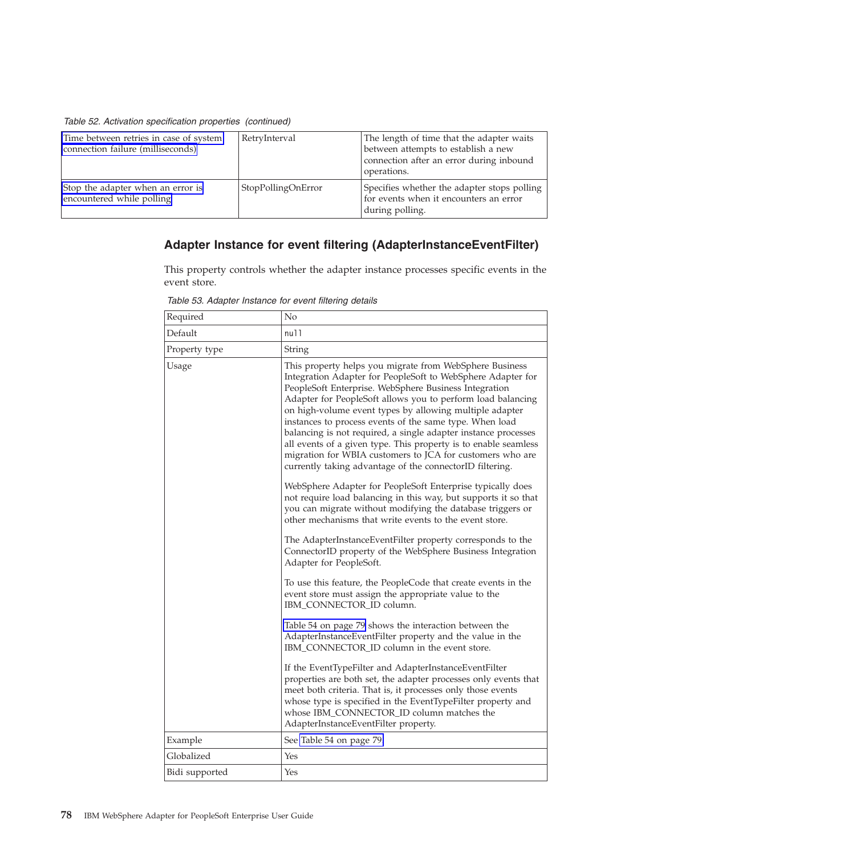<span id="page-81-0"></span>*Table 52. Activation specification properties (continued)*

| Time between retries in case of system<br>connection failure (milliseconds) | RetryInterval      | The length of time that the adapter waits<br>between attempts to establish a new<br>connection after an error during inbound<br>operations. |
|-----------------------------------------------------------------------------|--------------------|---------------------------------------------------------------------------------------------------------------------------------------------|
| Stop the adapter when an error is<br>encountered while polling              | StopPollingOnError | Specifies whether the adapter stops polling<br>for events when it encounters an error<br>during polling.                                    |

### **Adapter Instance for event filtering (AdapterInstanceEventFilter)**

This property controls whether the adapter instance processes specific events in the event store.

| Required       | No                                                                                                                                                                                                                                                                                                                                                                                                                                                                                                                                                                                                                                                                                                                                                                                                                                                                                                                                                                                                                                                 |
|----------------|----------------------------------------------------------------------------------------------------------------------------------------------------------------------------------------------------------------------------------------------------------------------------------------------------------------------------------------------------------------------------------------------------------------------------------------------------------------------------------------------------------------------------------------------------------------------------------------------------------------------------------------------------------------------------------------------------------------------------------------------------------------------------------------------------------------------------------------------------------------------------------------------------------------------------------------------------------------------------------------------------------------------------------------------------|
| Default        | null                                                                                                                                                                                                                                                                                                                                                                                                                                                                                                                                                                                                                                                                                                                                                                                                                                                                                                                                                                                                                                               |
| Property type  | String                                                                                                                                                                                                                                                                                                                                                                                                                                                                                                                                                                                                                                                                                                                                                                                                                                                                                                                                                                                                                                             |
| Usage          | This property helps you migrate from WebSphere Business<br>Integration Adapter for PeopleSoft to WebSphere Adapter for<br>PeopleSoft Enterprise. WebSphere Business Integration<br>Adapter for PeopleSoft allows you to perform load balancing<br>on high-volume event types by allowing multiple adapter<br>instances to process events of the same type. When load<br>balancing is not required, a single adapter instance processes<br>all events of a given type. This property is to enable seamless<br>migration for WBIA customers to JCA for customers who are<br>currently taking advantage of the connectorID filtering.<br>WebSphere Adapter for PeopleSoft Enterprise typically does<br>not require load balancing in this way, but supports it so that<br>you can migrate without modifying the database triggers or<br>other mechanisms that write events to the event store.<br>The AdapterInstanceEventFilter property corresponds to the<br>ConnectorID property of the WebSphere Business Integration<br>Adapter for PeopleSoft. |
|                | To use this feature, the PeopleCode that create events in the<br>event store must assign the appropriate value to the<br>IBM_CONNECTOR_ID column.                                                                                                                                                                                                                                                                                                                                                                                                                                                                                                                                                                                                                                                                                                                                                                                                                                                                                                  |
|                | Table 54 on page 79 shows the interaction between the<br>AdapterInstanceEventFilter property and the value in the<br>IBM_CONNECTOR_ID column in the event store.                                                                                                                                                                                                                                                                                                                                                                                                                                                                                                                                                                                                                                                                                                                                                                                                                                                                                   |
|                | If the EventTypeFilter and AdapterInstanceEventFilter<br>properties are both set, the adapter processes only events that<br>meet both criteria. That is, it processes only those events<br>whose type is specified in the EventTypeFilter property and<br>whose IBM_CONNECTOR_ID column matches the<br>AdapterInstanceEventFilter property.                                                                                                                                                                                                                                                                                                                                                                                                                                                                                                                                                                                                                                                                                                        |
| Example        | See Table 54 on page 79.                                                                                                                                                                                                                                                                                                                                                                                                                                                                                                                                                                                                                                                                                                                                                                                                                                                                                                                                                                                                                           |
| Globalized     | Yes                                                                                                                                                                                                                                                                                                                                                                                                                                                                                                                                                                                                                                                                                                                                                                                                                                                                                                                                                                                                                                                |
| Bidi supported | Yes                                                                                                                                                                                                                                                                                                                                                                                                                                                                                                                                                                                                                                                                                                                                                                                                                                                                                                                                                                                                                                                |

*Table 53. Adapter Instance for event filtering details*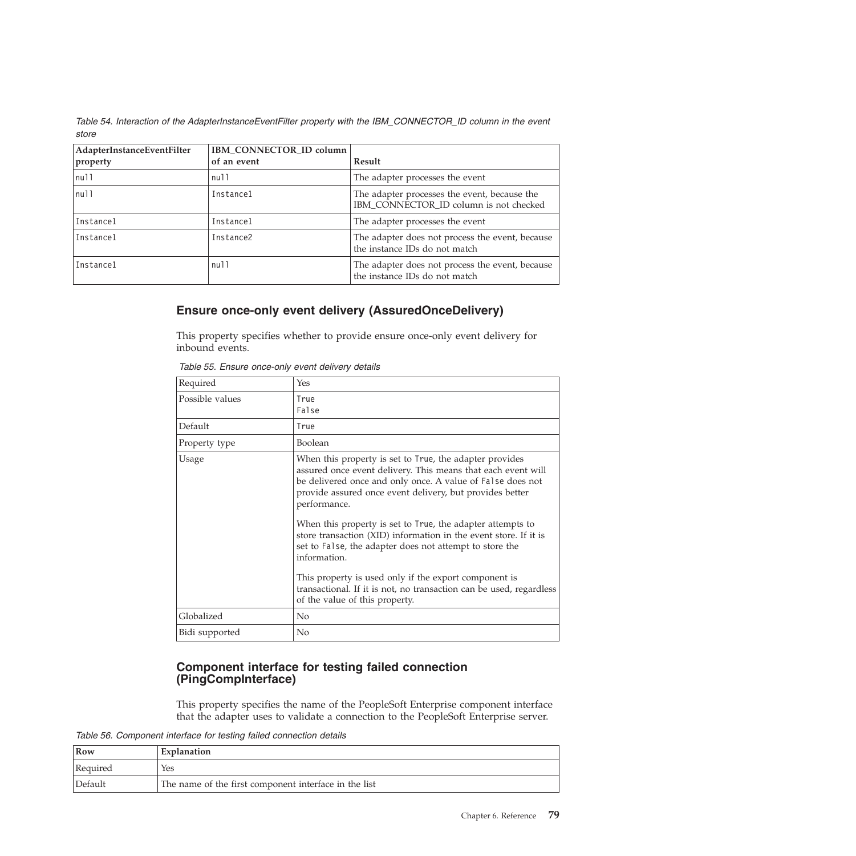<span id="page-82-0"></span>*Table 54. Interaction of the AdapterInstanceEventFilter property with the IBM\_CONNECTOR\_ID column in the event store*

| AdapterInstanceEventFilter<br>property | IBM_CONNECTOR_ID column<br>of an event | Result                                                                                 |
|----------------------------------------|----------------------------------------|----------------------------------------------------------------------------------------|
| nu11                                   | null                                   | The adapter processes the event                                                        |
| null                                   | Instance1                              | The adapter processes the event, because the<br>IBM_CONNECTOR_ID column is not checked |
| Instance1                              | Instance1                              | The adapter processes the event                                                        |
| Instance1                              | Instance2                              | The adapter does not process the event, because<br>the instance IDs do not match       |
| Instance1                              | null                                   | The adapter does not process the event, because<br>the instance IDs do not match       |

#### **Ensure once-only event delivery (AssuredOnceDelivery)**

This property specifies whether to provide ensure once-only event delivery for inbound events.

| Required        | Yes                                                                                                                                                                                                                                                                                                                                                                                                                                                                                                                                                                                                                                              |
|-----------------|--------------------------------------------------------------------------------------------------------------------------------------------------------------------------------------------------------------------------------------------------------------------------------------------------------------------------------------------------------------------------------------------------------------------------------------------------------------------------------------------------------------------------------------------------------------------------------------------------------------------------------------------------|
| Possible values | True<br>False                                                                                                                                                                                                                                                                                                                                                                                                                                                                                                                                                                                                                                    |
| Default         | True                                                                                                                                                                                                                                                                                                                                                                                                                                                                                                                                                                                                                                             |
| Property type   | Boolean                                                                                                                                                                                                                                                                                                                                                                                                                                                                                                                                                                                                                                          |
| Usage           | When this property is set to True, the adapter provides<br>assured once event delivery. This means that each event will<br>be delivered once and only once. A value of False does not<br>provide assured once event delivery, but provides better<br>performance.<br>When this property is set to True, the adapter attempts to<br>store transaction (XID) information in the event store. If it is<br>set to False, the adapter does not attempt to store the<br>information.<br>This property is used only if the export component is<br>transactional. If it is not, no transaction can be used, regardless<br>of the value of this property. |
| Globalized      | N <sub>0</sub>                                                                                                                                                                                                                                                                                                                                                                                                                                                                                                                                                                                                                                   |
| Bidi supported  | N <sub>0</sub>                                                                                                                                                                                                                                                                                                                                                                                                                                                                                                                                                                                                                                   |

*Table 55. Ensure once-only event delivery details*

#### **Component interface for testing failed connection (PingCompInterface)**

This property specifies the name of the PeopleSoft Enterprise component interface that the adapter uses to validate a connection to the PeopleSoft Enterprise server.

*Table 56. Component interface for testing failed connection details*

| Row      | Explanation                                           |
|----------|-------------------------------------------------------|
| Required | Yes                                                   |
| Default  | The name of the first component interface in the list |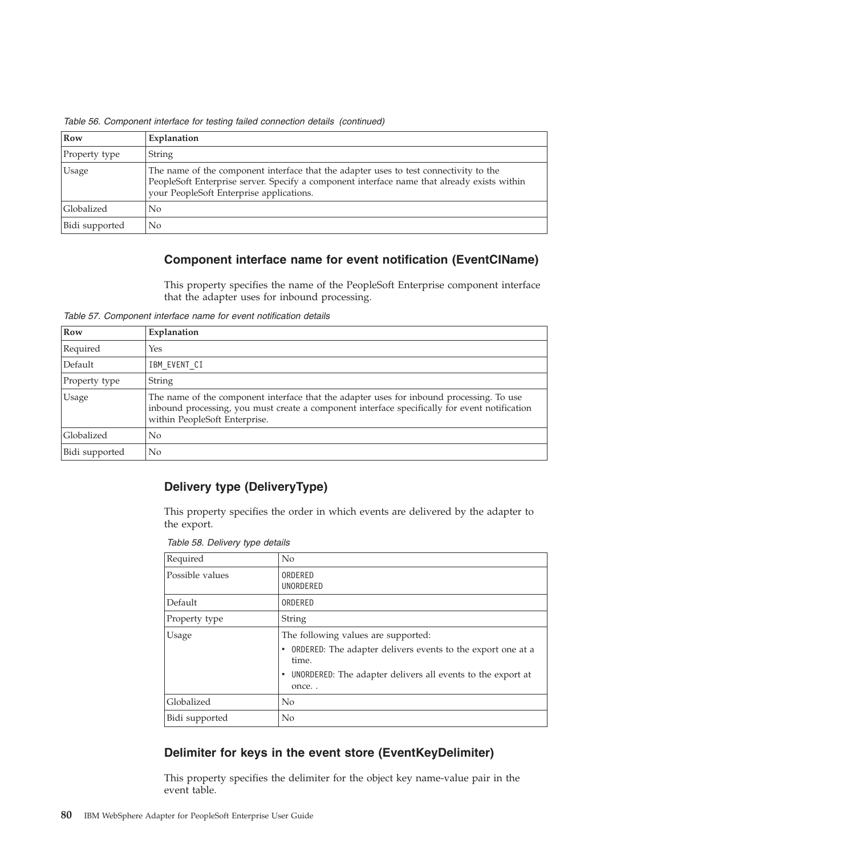| Row            | Explanation                                                                                                                                                                                                                      |
|----------------|----------------------------------------------------------------------------------------------------------------------------------------------------------------------------------------------------------------------------------|
| Property type  | <b>String</b>                                                                                                                                                                                                                    |
| Usage          | The name of the component interface that the adapter uses to test connectivity to the<br>PeopleSoft Enterprise server. Specify a component interface name that already exists within<br>your PeopleSoft Enterprise applications. |
| Globalized     | N <sub>o</sub>                                                                                                                                                                                                                   |
| Bidi supported | No.                                                                                                                                                                                                                              |

<span id="page-83-0"></span>*Table 56. Component interface for testing failed connection details (continued)*

### **Component interface name for event notification (EventCIName)**

This property specifies the name of the PeopleSoft Enterprise component interface that the adapter uses for inbound processing.

*Table 57. Component interface name for event notification details*

| Row               | Explanation                                                                                                                                                                                                                |
|-------------------|----------------------------------------------------------------------------------------------------------------------------------------------------------------------------------------------------------------------------|
| Required          | Yes                                                                                                                                                                                                                        |
| Default           | IBM EVENT CI                                                                                                                                                                                                               |
| Property type     | <b>String</b>                                                                                                                                                                                                              |
| Usage             | The name of the component interface that the adapter uses for inbound processing. To use<br>inbound processing, you must create a component interface specifically for event notification<br>within PeopleSoft Enterprise. |
| <b>Globalized</b> | No                                                                                                                                                                                                                         |
| Bidi supported    | No                                                                                                                                                                                                                         |

#### **Delivery type (DeliveryType)**

This property specifies the order in which events are delivered by the adapter to the export.

*Table 58. Delivery type details*

| Required        | No                                                                                                                                                                                        |
|-----------------|-------------------------------------------------------------------------------------------------------------------------------------------------------------------------------------------|
| Possible values | ORDERED<br>UNORDERED                                                                                                                                                                      |
| Default         | ORDERED                                                                                                                                                                                   |
| Property type   | <b>String</b>                                                                                                                                                                             |
| <b>Usage</b>    | The following values are supported:<br><b>ORDERED:</b> The adapter delivers events to the export one at a<br>time.<br>UNORDERED: The adapter delivers all events to the export at<br>once |
| Globalized      | N <sub>0</sub>                                                                                                                                                                            |
| Bidi supported  | No                                                                                                                                                                                        |

#### **Delimiter for keys in the event store (EventKeyDelimiter)**

This property specifies the delimiter for the object key name-value pair in the event table.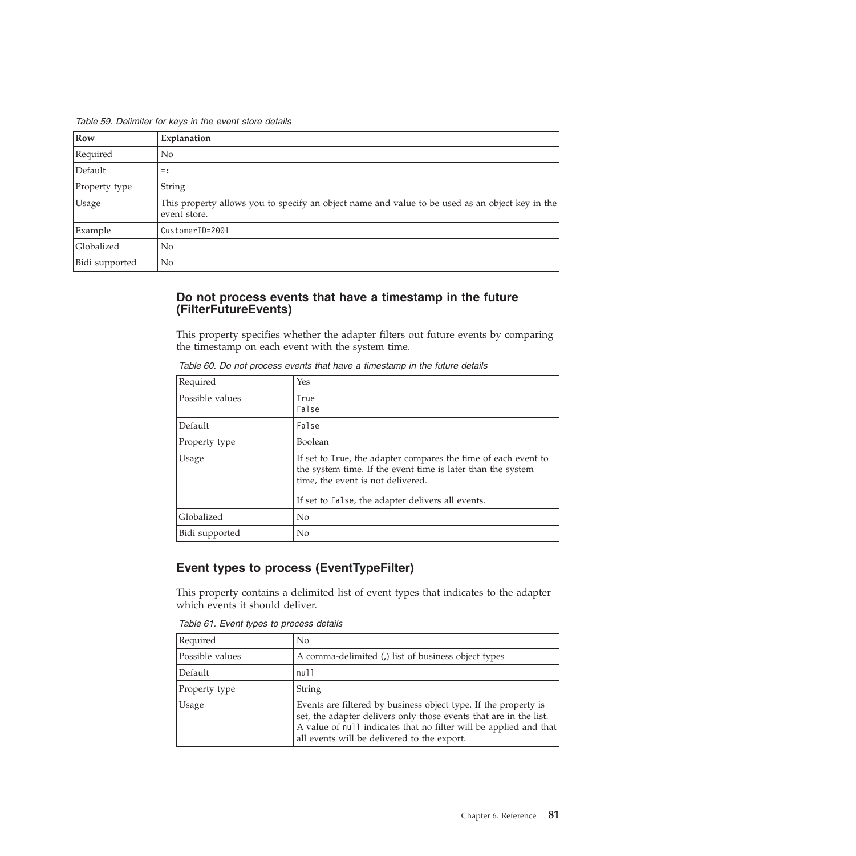<span id="page-84-0"></span>*Table 59. Delimiter for keys in the event store details*

| Row            | Explanation                                                                                                     |
|----------------|-----------------------------------------------------------------------------------------------------------------|
| Required       | No                                                                                                              |
| Default        | $=$ :                                                                                                           |
| Property type  | String                                                                                                          |
| Usage          | This property allows you to specify an object name and value to be used as an object key in the<br>event store. |
| Example        | CustomerID=2001                                                                                                 |
| Globalized     | No.                                                                                                             |
| Bidi supported | No                                                                                                              |

#### **Do not process events that have a timestamp in the future (FilterFutureEvents)**

This property specifies whether the adapter filters out future events by comparing the timestamp on each event with the system time.

| Required        | Yes                                                                                                                                                                                                                     |
|-----------------|-------------------------------------------------------------------------------------------------------------------------------------------------------------------------------------------------------------------------|
| Possible values | True<br>False                                                                                                                                                                                                           |
| Default         | False                                                                                                                                                                                                                   |
| Property type   | <b>Boolean</b>                                                                                                                                                                                                          |
| <b>Usage</b>    | If set to True, the adapter compares the time of each event to<br>the system time. If the event time is later than the system<br>time, the event is not delivered.<br>If set to False, the adapter delivers all events. |
| Globalized      | No                                                                                                                                                                                                                      |
| Bidi supported  | No                                                                                                                                                                                                                      |

*Table 60. Do not process events that have a timestamp in the future details*

### **Event types to process (EventTypeFilter)**

This property contains a delimited list of event types that indicates to the adapter which events it should deliver.

*Table 61. Event types to process details*

| Required        | No                                                                                                                                                                                                                                                       |
|-----------------|----------------------------------------------------------------------------------------------------------------------------------------------------------------------------------------------------------------------------------------------------------|
| Possible values | A comma-delimited (a) list of business object types                                                                                                                                                                                                      |
| Default         | null                                                                                                                                                                                                                                                     |
| Property type   | String                                                                                                                                                                                                                                                   |
| Usage           | Events are filtered by business object type. If the property is<br>set, the adapter delivers only those events that are in the list.<br>A value of null indicates that no filter will be applied and that<br>all events will be delivered to the export. |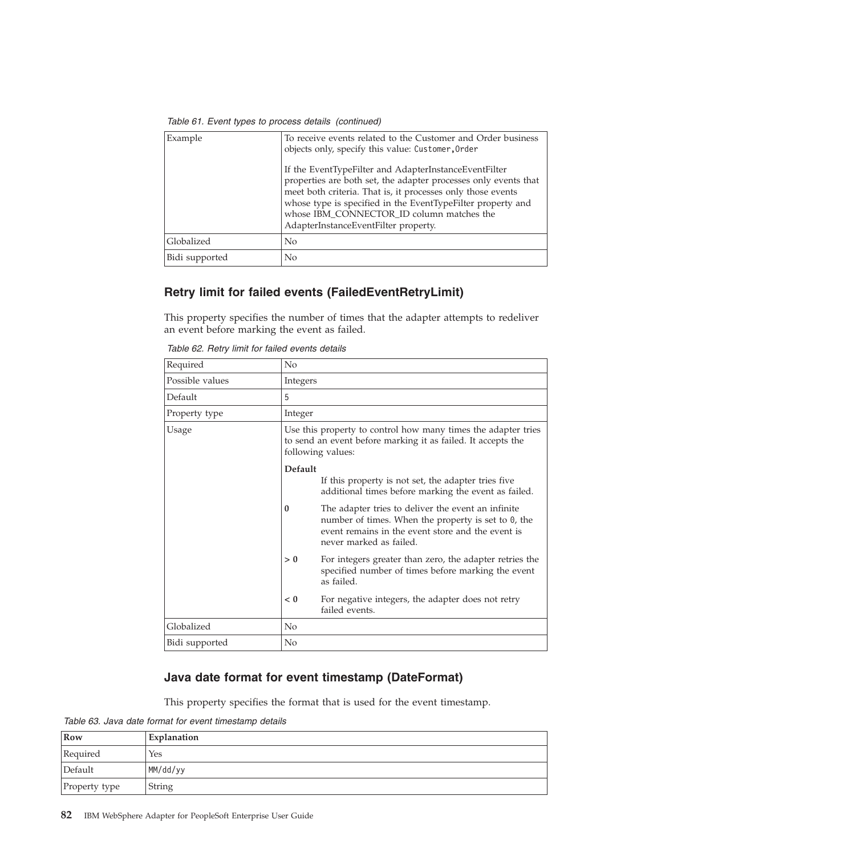<span id="page-85-0"></span>

| Example        | To receive events related to the Customer and Order business<br>objects only, specify this value: Customer, Order                                                                                                                                                                                                                           |
|----------------|---------------------------------------------------------------------------------------------------------------------------------------------------------------------------------------------------------------------------------------------------------------------------------------------------------------------------------------------|
|                | If the EventTypeFilter and AdapterInstanceEventFilter<br>properties are both set, the adapter processes only events that<br>meet both criteria. That is, it processes only those events<br>whose type is specified in the EventTypeFilter property and<br>whose IBM_CONNECTOR_ID column matches the<br>AdapterInstanceEventFilter property. |
| Globalized     | No                                                                                                                                                                                                                                                                                                                                          |
| Bidi supported | No                                                                                                                                                                                                                                                                                                                                          |

#### **Retry limit for failed events (FailedEventRetryLimit)**

This property specifies the number of times that the adapter attempts to redeliver an event before marking the event as failed.

*Table 62. Retry limit for failed events details*

| Required        | No             |                                                                                                                                                                                              |
|-----------------|----------------|----------------------------------------------------------------------------------------------------------------------------------------------------------------------------------------------|
| Possible values | Integers       |                                                                                                                                                                                              |
| Default         | 5              |                                                                                                                                                                                              |
| Property type   | Integer        |                                                                                                                                                                                              |
| Usage           |                | Use this property to control how many times the adapter tries<br>to send an event before marking it as failed. It accepts the<br>following values:                                           |
|                 | Default        | If this property is not set, the adapter tries five<br>additional times before marking the event as failed.                                                                                  |
|                 | $\mathbf{0}$   | The adapter tries to deliver the event an infinite<br>number of times. When the property is set to $0$ , the<br>event remains in the event store and the event is<br>never marked as failed. |
|                 | > 0            | For integers greater than zero, the adapter retries the<br>specified number of times before marking the event<br>as failed.                                                                  |
|                 | < 0            | For negative integers, the adapter does not retry<br>failed events.                                                                                                                          |
| Globalized      | N <sub>0</sub> |                                                                                                                                                                                              |
| Bidi supported  | No             |                                                                                                                                                                                              |

#### **Java date format for event timestamp (DateFormat)**

This property specifies the format that is used for the event timestamp.

*Table 63. Java date format for event timestamp details*

| Row           | Explanation |
|---------------|-------------|
| Required      | Yes         |
| Default       | MM/dd/yy    |
| Property type | String      |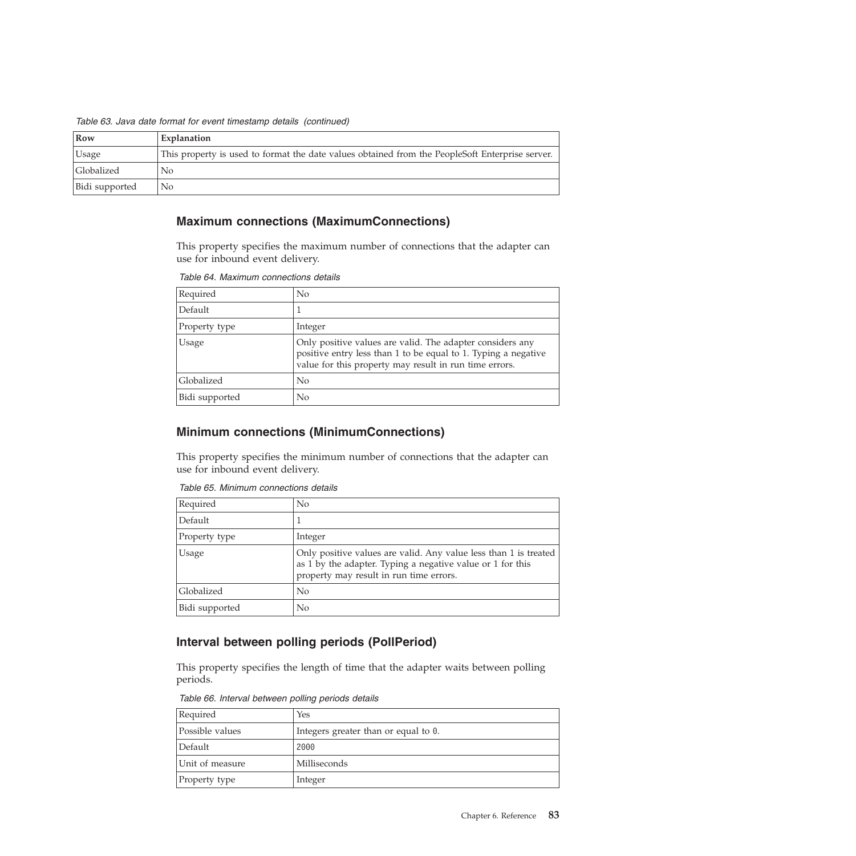<span id="page-86-0"></span>*Table 63. Java date format for event timestamp details (continued)*

| Row            | Explanation                                                                                     |
|----------------|-------------------------------------------------------------------------------------------------|
| Usage          | This property is used to format the date values obtained from the PeopleSoft Enterprise server. |
| Globalized     | No                                                                                              |
| Bidi supported | No                                                                                              |

#### **Maximum connections (MaximumConnections)**

This property specifies the maximum number of connections that the adapter can use for inbound event delivery.

*Table 64. Maximum connections details*

| Required       | No                                                                                                                                                                                    |
|----------------|---------------------------------------------------------------------------------------------------------------------------------------------------------------------------------------|
| Default        |                                                                                                                                                                                       |
| Property type  | Integer                                                                                                                                                                               |
| Usage          | Only positive values are valid. The adapter considers any<br>positive entry less than 1 to be equal to 1. Typing a negative<br>value for this property may result in run time errors. |
| Globalized     | No                                                                                                                                                                                    |
| Bidi supported | No                                                                                                                                                                                    |

#### **Minimum connections (MinimumConnections)**

This property specifies the minimum number of connections that the adapter can use for inbound event delivery.

*Table 65. Minimum connections details*

| Required       | N <sub>o</sub>                                                                                                                                                            |
|----------------|---------------------------------------------------------------------------------------------------------------------------------------------------------------------------|
| Default        |                                                                                                                                                                           |
| Property type  | Integer                                                                                                                                                                   |
| Usage          | Only positive values are valid. Any value less than 1 is treated<br>as 1 by the adapter. Typing a negative value or 1 for this<br>property may result in run time errors. |
| Globalized     | N <sub>0</sub>                                                                                                                                                            |
| Bidi supported | No                                                                                                                                                                        |

#### **Interval between polling periods (PollPeriod)**

This property specifies the length of time that the adapter waits between polling periods.

*Table 66. Interval between polling periods details*

| Required        | Yes                                  |
|-----------------|--------------------------------------|
| Possible values | Integers greater than or equal to 0. |
| Default         | 2000                                 |
| Unit of measure | Milliseconds                         |
| Property type   | Integer                              |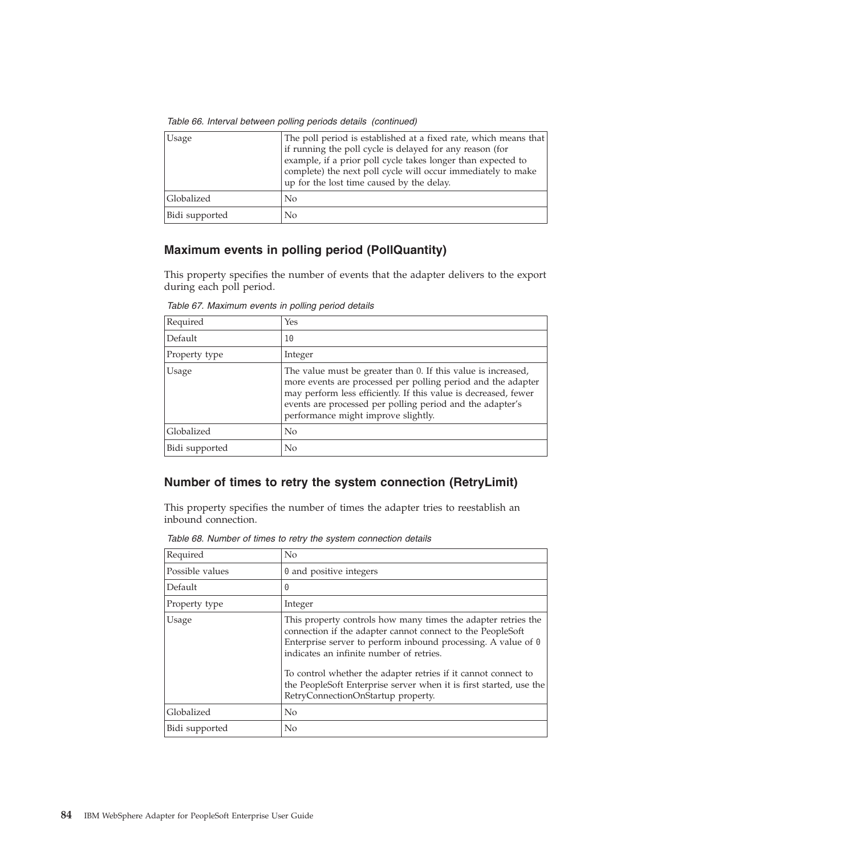<span id="page-87-0"></span>*Table 66. Interval between polling periods details (continued)*

| <b>Usage</b>   | The poll period is established at a fixed rate, which means that<br>if running the poll cycle is delayed for any reason (for<br>example, if a prior poll cycle takes longer than expected to<br>complete) the next poll cycle will occur immediately to make<br>up for the lost time caused by the delay. |
|----------------|-----------------------------------------------------------------------------------------------------------------------------------------------------------------------------------------------------------------------------------------------------------------------------------------------------------|
| Globalized     | No                                                                                                                                                                                                                                                                                                        |
| Bidi supported | No                                                                                                                                                                                                                                                                                                        |

#### **Maximum events in polling period (PollQuantity)**

This property specifies the number of events that the adapter delivers to the export during each poll period.

| Required       | Yes                                                                                                                                                                                                                                                                                                  |
|----------------|------------------------------------------------------------------------------------------------------------------------------------------------------------------------------------------------------------------------------------------------------------------------------------------------------|
| Default        | 10                                                                                                                                                                                                                                                                                                   |
| Property type  | Integer                                                                                                                                                                                                                                                                                              |
| Usage          | The value must be greater than 0. If this value is increased,<br>more events are processed per polling period and the adapter<br>may perform less efficiently. If this value is decreased, fewer<br>events are processed per polling period and the adapter's<br>performance might improve slightly. |
| Globalized     | No                                                                                                                                                                                                                                                                                                   |
| Bidi supported | No                                                                                                                                                                                                                                                                                                   |

*Table 67. Maximum events in polling period details*

### **Number of times to retry the system connection (RetryLimit)**

This property specifies the number of times the adapter tries to reestablish an inbound connection.

| Required        | No                                                                                                                                                                                                                                                                                                                                                                                                                            |
|-----------------|-------------------------------------------------------------------------------------------------------------------------------------------------------------------------------------------------------------------------------------------------------------------------------------------------------------------------------------------------------------------------------------------------------------------------------|
| Possible values | 0 and positive integers                                                                                                                                                                                                                                                                                                                                                                                                       |
| Default         | $\Theta$                                                                                                                                                                                                                                                                                                                                                                                                                      |
| Property type   | Integer                                                                                                                                                                                                                                                                                                                                                                                                                       |
| Usage           | This property controls how many times the adapter retries the<br>connection if the adapter cannot connect to the PeopleSoft<br>Enterprise server to perform inbound processing. A value of $\theta$<br>indicates an infinite number of retries.<br>To control whether the adapter retries if it cannot connect to<br>the PeopleSoft Enterprise server when it is first started, use the<br>RetryConnectionOnStartup property. |
| Globalized      | N <sub>o</sub>                                                                                                                                                                                                                                                                                                                                                                                                                |
| Bidi supported  | No                                                                                                                                                                                                                                                                                                                                                                                                                            |

*Table 68. Number of times to retry the system connection details*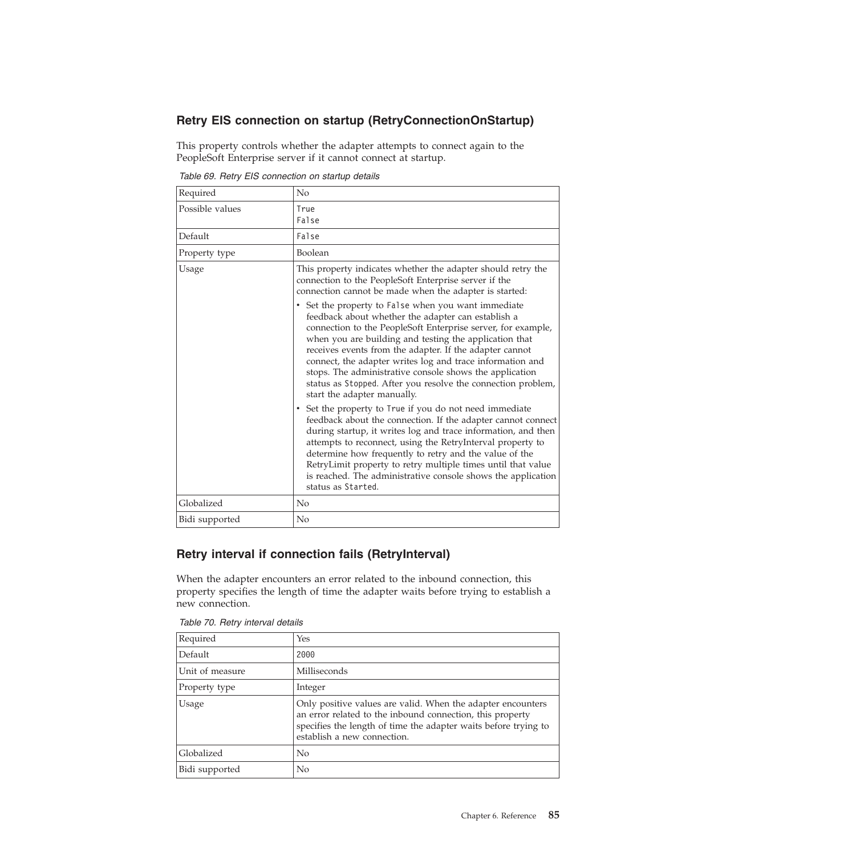### <span id="page-88-0"></span>**Retry EIS connection on startup (RetryConnectionOnStartup)**

This property controls whether the adapter attempts to connect again to the PeopleSoft Enterprise server if it cannot connect at startup.

| Required        | N <sub>o</sub>                                                                                                                                                                                                                                                                                                                                                                                                                                                                                                                                                                                                                                                                                                                                                                                                                                                                                                                                                     |
|-----------------|--------------------------------------------------------------------------------------------------------------------------------------------------------------------------------------------------------------------------------------------------------------------------------------------------------------------------------------------------------------------------------------------------------------------------------------------------------------------------------------------------------------------------------------------------------------------------------------------------------------------------------------------------------------------------------------------------------------------------------------------------------------------------------------------------------------------------------------------------------------------------------------------------------------------------------------------------------------------|
| Possible values | True<br>False                                                                                                                                                                                                                                                                                                                                                                                                                                                                                                                                                                                                                                                                                                                                                                                                                                                                                                                                                      |
| Default         | False                                                                                                                                                                                                                                                                                                                                                                                                                                                                                                                                                                                                                                                                                                                                                                                                                                                                                                                                                              |
| Property type   | Boolean                                                                                                                                                                                                                                                                                                                                                                                                                                                                                                                                                                                                                                                                                                                                                                                                                                                                                                                                                            |
| Usage           | This property indicates whether the adapter should retry the<br>connection to the PeopleSoft Enterprise server if the<br>connection cannot be made when the adapter is started:<br>• Set the property to False when you want immediate<br>feedback about whether the adapter can establish a<br>connection to the PeopleSoft Enterprise server, for example,<br>when you are building and testing the application that<br>receives events from the adapter. If the adapter cannot<br>connect, the adapter writes log and trace information and<br>stops. The administrative console shows the application<br>status as Stopped. After you resolve the connection problem,<br>start the adapter manually.<br>• Set the property to True if you do not need immediate<br>feedback about the connection. If the adapter cannot connect<br>during startup, it writes log and trace information, and then<br>attempts to reconnect, using the RetryInterval property to |
|                 | determine how frequently to retry and the value of the<br>RetryLimit property to retry multiple times until that value<br>is reached. The administrative console shows the application<br>status as Started.                                                                                                                                                                                                                                                                                                                                                                                                                                                                                                                                                                                                                                                                                                                                                       |
| Globalized      | No                                                                                                                                                                                                                                                                                                                                                                                                                                                                                                                                                                                                                                                                                                                                                                                                                                                                                                                                                                 |
| Bidi supported  | N <sub>o</sub>                                                                                                                                                                                                                                                                                                                                                                                                                                                                                                                                                                                                                                                                                                                                                                                                                                                                                                                                                     |

*Table 69. Retry EIS connection on startup details*

#### **Retry interval if connection fails (RetryInterval)**

When the adapter encounters an error related to the inbound connection, this property specifies the length of time the adapter waits before trying to establish a new connection.

| Required        | Yes                                                                                                                                                                                                                        |
|-----------------|----------------------------------------------------------------------------------------------------------------------------------------------------------------------------------------------------------------------------|
| Default         | 2000                                                                                                                                                                                                                       |
| Unit of measure | Milliseconds                                                                                                                                                                                                               |
| Property type   | Integer                                                                                                                                                                                                                    |
| Usage           | Only positive values are valid. When the adapter encounters<br>an error related to the inbound connection, this property<br>specifies the length of time the adapter waits before trying to<br>establish a new connection. |
| Globalized      | No                                                                                                                                                                                                                         |
| Bidi supported  | No                                                                                                                                                                                                                         |

*Table 70. Retry interval details*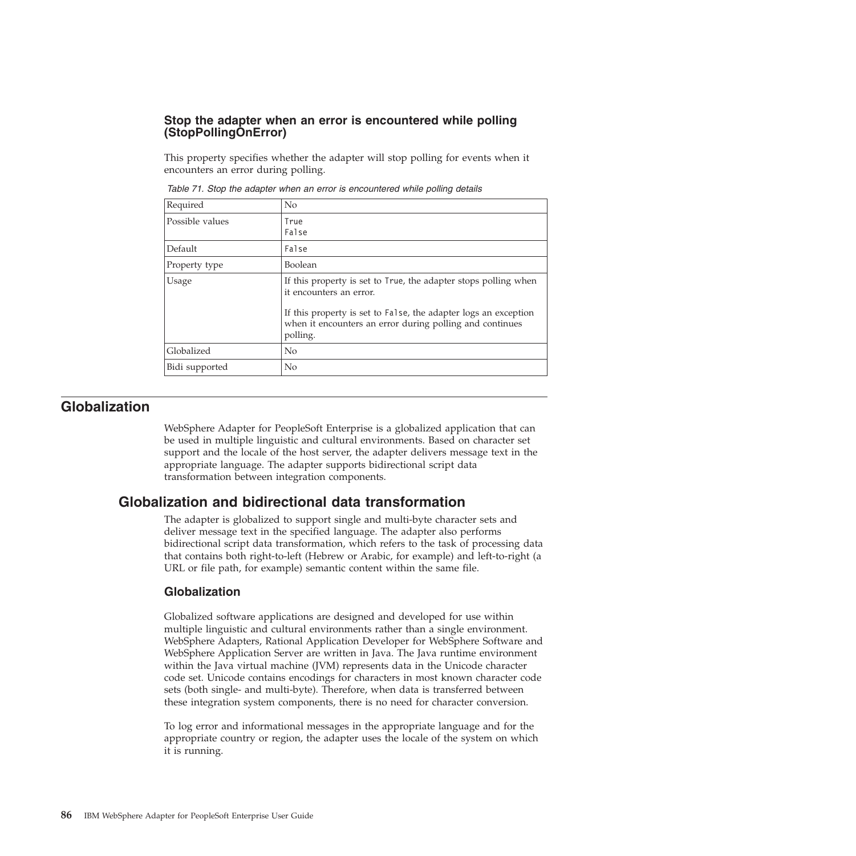#### <span id="page-89-0"></span>**Stop the adapter when an error is encountered while polling (StopPollingOnError)**

This property specifies whether the adapter will stop polling for events when it encounters an error during polling.

| Required        | No                                                                                                                                                                                                                                    |
|-----------------|---------------------------------------------------------------------------------------------------------------------------------------------------------------------------------------------------------------------------------------|
| Possible values | True<br>False                                                                                                                                                                                                                         |
| Default         | False                                                                                                                                                                                                                                 |
| Property type   | <b>Boolean</b>                                                                                                                                                                                                                        |
| Usage           | If this property is set to True, the adapter stops polling when<br>it encounters an error.<br>If this property is set to False, the adapter logs an exception<br>when it encounters an error during polling and continues<br>polling. |
| Globalized      | No                                                                                                                                                                                                                                    |
| Bidi supported  | No                                                                                                                                                                                                                                    |

*Table 71. Stop the adapter when an error is encountered while polling details*

#### **Globalization**

WebSphere Adapter for PeopleSoft Enterprise is a globalized application that can be used in multiple linguistic and cultural environments. Based on character set support and the locale of the host server, the adapter delivers message text in the appropriate language. The adapter supports bidirectional script data transformation between integration components.

### **Globalization and bidirectional data transformation**

The adapter is globalized to support single and multi-byte character sets and deliver message text in the specified language. The adapter also performs bidirectional script data transformation, which refers to the task of processing data that contains both right-to-left (Hebrew or Arabic, for example) and left-to-right (a URL or file path, for example) semantic content within the same file.

#### **Globalization**

Globalized software applications are designed and developed for use within multiple linguistic and cultural environments rather than a single environment. WebSphere Adapters, Rational Application Developer for WebSphere Software and WebSphere Application Server are written in Java. The Java runtime environment within the Java virtual machine (JVM) represents data in the Unicode character code set. Unicode contains encodings for characters in most known character code sets (both single- and multi-byte). Therefore, when data is transferred between these integration system components, there is no need for character conversion.

To log error and informational messages in the appropriate language and for the appropriate country or region, the adapter uses the locale of the system on which it is running.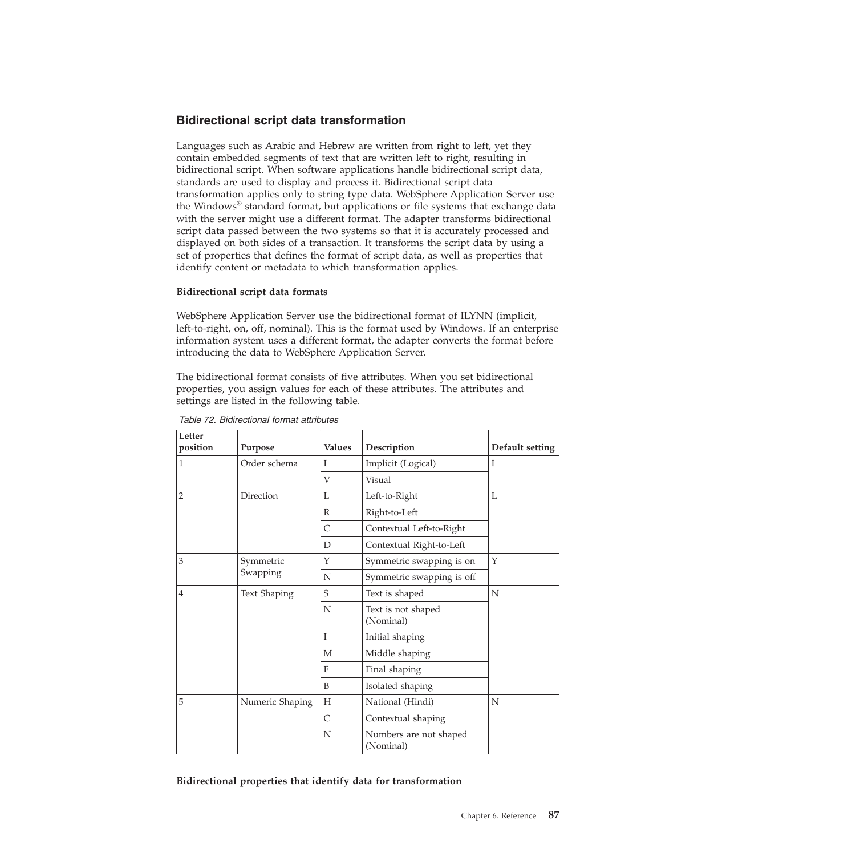#### **Bidirectional script data transformation**

Languages such as Arabic and Hebrew are written from right to left, yet they contain embedded segments of text that are written left to right, resulting in bidirectional script. When software applications handle bidirectional script data, standards are used to display and process it. Bidirectional script data transformation applies only to string type data. WebSphere Application Server use the Windows® standard format, but applications or file systems that exchange data with the server might use a different format. The adapter transforms bidirectional script data passed between the two systems so that it is accurately processed and displayed on both sides of a transaction. It transforms the script data by using a set of properties that defines the format of script data, as well as properties that identify content or metadata to which transformation applies.

#### **Bidirectional script data formats**

WebSphere Application Server use the bidirectional format of ILYNN (implicit, left-to-right, on, off, nominal). This is the format used by Windows. If an enterprise information system uses a different format, the adapter converts the format before introducing the data to WebSphere Application Server.

The bidirectional format consists of five attributes. When you set bidirectional properties, you assign values for each of these attributes. The attributes and settings are listed in the following table.

| Letter<br>position | Purpose               | <b>Values</b> | Description                         | Default setting |
|--------------------|-----------------------|---------------|-------------------------------------|-----------------|
| $\mathbf{1}$       | Order schema          | T             | Implicit (Logical)                  | T               |
|                    |                       | V             | Visual                              |                 |
| $\overline{2}$     | Direction             | L             | Left-to-Right                       | L               |
|                    |                       | $\mathbb{R}$  | Right-to-Left                       |                 |
|                    |                       | C             | Contextual Left-to-Right            |                 |
|                    |                       | D             | Contextual Right-to-Left            |                 |
| 3                  | Symmetric<br>Swapping | Y             | Symmetric swapping is on            | Y               |
|                    |                       | N             | Symmetric swapping is off           |                 |
| $\overline{4}$     | <b>Text Shaping</b>   | S             | Text is shaped                      | N               |
|                    |                       | N             | Text is not shaped<br>(Nominal)     |                 |
|                    |                       | Ι             | Initial shaping                     |                 |
|                    |                       | M             | Middle shaping                      |                 |
|                    |                       | $\mathbf{F}$  | Final shaping                       |                 |
|                    |                       | B             | Isolated shaping                    |                 |
| 5                  | Numeric Shaping       | Н             | National (Hindi)                    | N               |
|                    |                       | C             | Contextual shaping                  |                 |
|                    |                       | N             | Numbers are not shaped<br>(Nominal) |                 |

*Table 72. Bidirectional format attributes*

**Bidirectional properties that identify data for transformation**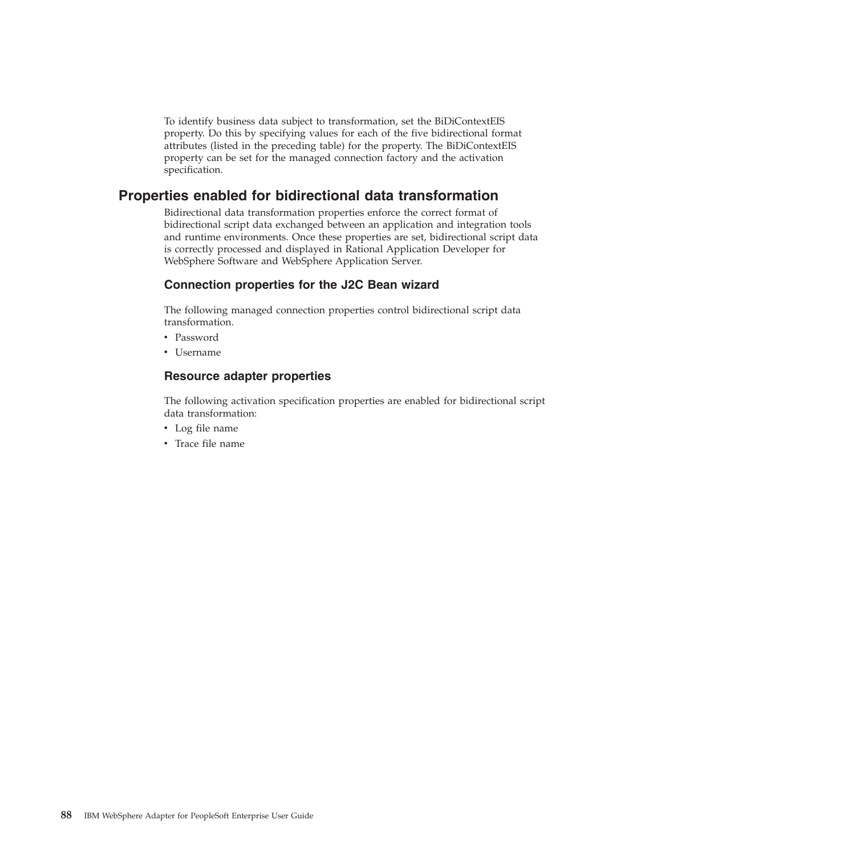To identify business data subject to transformation, set the BiDiContextEIS property. Do this by specifying values for each of the five bidirectional format attributes (listed in the preceding table) for the property. The BiDiContextEIS property can be set for the managed connection factory and the activation specification.

### **Properties enabled for bidirectional data transformation**

Bidirectional data transformation properties enforce the correct format of bidirectional script data exchanged between an application and integration tools and runtime environments. Once these properties are set, bidirectional script data is correctly processed and displayed in Rational Application Developer for WebSphere Software and WebSphere Application Server.

#### **Connection properties for the J2C Bean wizard**

The following managed connection properties control bidirectional script data transformation.

- Password
- Username

#### **Resource adapter properties**

The following activation specification properties are enabled for bidirectional script data transformation:

- Log file name
- Trace file name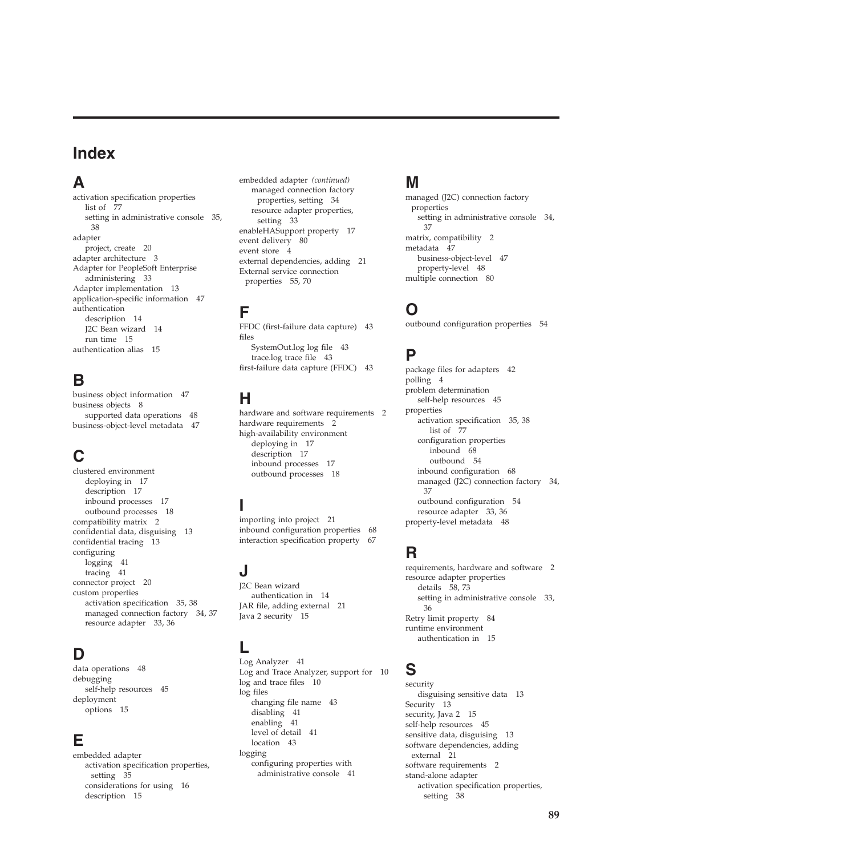## **Index**

## **A**

activation specification properties [list of 77](#page-80-0) [setting in administrative console 35](#page-38-0)[,](#page-41-0) [38](#page-41-0) adapter [project, create 20](#page-23-0) [adapter architecture 3](#page-6-0) Adapter for PeopleSoft Enterprise [administering 33](#page-36-0) [Adapter implementation 13](#page-16-0) [application-specific information 47](#page-50-0) authentication [description 14](#page-17-0) [J2C Bean wizard 14](#page-17-0) [run time 15](#page-18-0) [authentication alias 15](#page-18-0)

## **B**

[business object information 47](#page-50-0) [business objects 8](#page-11-0) [supported data operations 48](#page-51-0) [business-object-level metadata 47](#page-50-0)

# **C**

clustered environment [deploying in 17](#page-20-0) [description 17](#page-20-0) [inbound processes 17](#page-20-0) [outbound processes 18](#page-21-0) [compatibility matrix 2](#page-5-0) [confidential data, disguising 13](#page-16-0) [confidential tracing 13](#page-16-0) configuring [logging 41](#page-44-0) [tracing 41](#page-44-0) [connector project 20](#page-23-0) custom properties [activation specification 35](#page-38-0)[, 38](#page-41-0) [managed connection factory 34](#page-37-0)[, 37](#page-40-0) [resource adapter 33](#page-36-0)[, 36](#page-39-0)

## **D**

[data operations 48](#page-51-0) debugging [self-help resources 45](#page-48-0) deployment [options 15](#page-18-0)

## **E**

embedded adapter [activation specification properties,](#page-38-0) [setting 35](#page-38-0) [considerations for using 16](#page-19-0) [description 15](#page-18-0)

embedded adapter *(continued)* [managed connection factory](#page-37-0) [properties, setting 34](#page-37-0) [resource adapter properties,](#page-36-0) [setting 33](#page-36-0) [enableHASupport property 17](#page-20-0) [event delivery 80](#page-83-0) [event store 4](#page-7-0) [external dependencies, adding 21](#page-24-0) [External service connection](#page-58-0) [properties 55](#page-58-0)[, 70](#page-73-0)

# **F**

[FFDC \(first-failure data capture\) 43](#page-46-0) files [SystemOut.log log file 43](#page-46-0) [trace.log trace file 43](#page-46-0) [first-failure data capture \(FFDC\) 43](#page-46-0)

## **H**

[hardware and software requirements 2](#page-5-0) [hardware requirements 2](#page-5-0) high-availability environment [deploying in 17](#page-20-0) [description 17](#page-20-0) [inbound processes 17](#page-20-0) [outbound processes 18](#page-21-0)

### **I**

[importing into project 21](#page-24-0) [inbound configuration properties 68](#page-71-0) [interaction specification property 67](#page-70-0)

## **J**

J2C Bean wizard [authentication in 14](#page-17-0) [JAR file, adding external 21](#page-24-0) [Java 2 security 15](#page-18-0)

## **L**

[Log Analyzer 41](#page-44-0) [Log and Trace Analyzer, support for 10](#page-13-0) [log and trace files 10](#page-13-0) log files [changing file name 43](#page-46-0) [disabling 41](#page-44-0) [enabling 41](#page-44-0) [level of detail 41](#page-44-0) [location 43](#page-46-0) logging [configuring properties with](#page-44-0) [administrative console 41](#page-44-0)

### **M**

managed (J2C) connection factory properties [setting in administrative console 34](#page-37-0)[,](#page-40-0) [37](#page-40-0) [matrix, compatibility 2](#page-5-0) [metadata 47](#page-50-0) [business-object-level 47](#page-50-0) [property-level 48](#page-51-0) [multiple connection 80](#page-83-0)

## **O**

[outbound configuration properties 54](#page-57-0)

## **P**

[package files for adapters 42](#page-45-0) [polling 4](#page-7-0) problem determination [self-help resources 45](#page-48-0) properties [activation specification 35](#page-38-0)[, 38](#page-41-0) [list of 77](#page-80-0) configuration properties [inbound 68](#page-71-0) [outbound 54](#page-57-0) [inbound configuration 68](#page-71-0) [managed \(J2C\) connection factory 34](#page-37-0)[,](#page-40-0) [37](#page-40-0) [outbound configuration 54](#page-57-0) [resource adapter 33](#page-36-0)[, 36](#page-39-0) [property-level metadata 48](#page-51-0)

## **R**

[requirements, hardware and software 2](#page-5-0) resource adapter properties [details 58](#page-61-0)[, 73](#page-76-0) [setting in administrative console 33](#page-36-0)[,](#page-39-0) [36](#page-39-0) [Retry limit property 84](#page-87-0) runtime environment [authentication in 15](#page-18-0)

## **S**

security [disguising sensitive data 13](#page-16-0) [Security 13](#page-16-0) [security, Java 2 15](#page-18-0) [self-help resources 45](#page-48-0) [sensitive data, disguising 13](#page-16-0) [software dependencies, adding](#page-24-0) [external 21](#page-24-0) [software requirements 2](#page-5-0) stand-alone adapter [activation specification properties,](#page-41-0) [setting 38](#page-41-0)